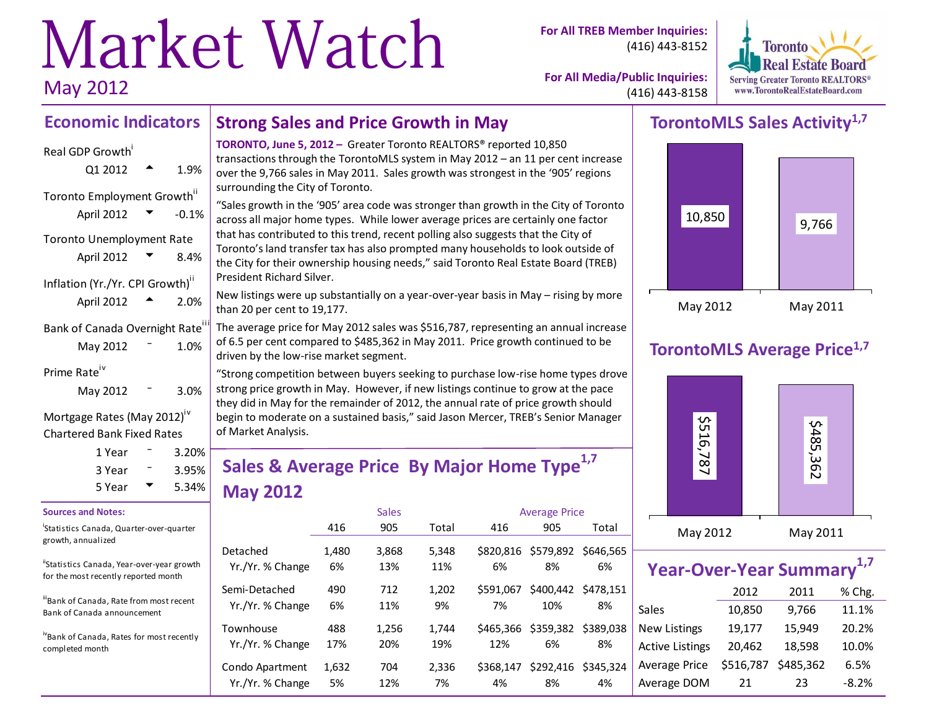# Market Watch May 2012

**For All TREB Member Inquiries:** (416) 443-8152



**For All Media/Public Inquiries:** (416) 443-8158

#### **Economic Indicators Strong Sales and Price Growth in May**

### Real GDP Growth<sup>i</sup>

| Real ODP OIOWUI                              |            |         |
|----------------------------------------------|------------|---------|
|                                              | Q1 2012    | 1.9%    |
| Toronto Employment Growth"                   |            |         |
|                                              | April 2012 | $-0.1%$ |
| <b>Toronto Unemployment Rate</b>             |            |         |
|                                              | April 2012 | 8.4%    |
| Inflation (Yr./Yr. CPI Growth) <sup>"</sup>  |            |         |
|                                              | April 2012 | 2.0%    |
| Bank of Canada Overnight Rate <sup>III</sup> |            |         |
|                                              | May 2012   | 1.0%    |
| Prime Rate <sup>iv</sup>                     |            |         |
|                                              | May 2012   | 3.0%    |
|                                              |            |         |

Mortgage Rates (May 2012)<sup>iv</sup> Chartered Bank Fixed Rates

| 1 Year | 3.20%             |
|--------|-------------------|
| 3 Year | $3.95\%$<br>5.34% |
| 5 Year |                   |

#### **Sources and Notes:**

i Statistics Canada, Quarter-over-quarter growth, annualized

"Statistics Canada, Year-over-year growth for the most recently reported month

iiBank of Canada, Rate from most recent Bank of Canada announcement

ivBank of Canada, Rates for most recently completed month

**TORONTO, June 5, 2012 –** Greater Toronto REALTORS® reported 10,850 transactions through the TorontoMLS system in May 2012 – an 11 per cent increase over the 9,766 sales in May 2011. Sales growth was strongest in the '905' regions surrounding the City of Toronto.

"Sales growth in the '905' area code was stronger than growth in the City of Toronto across all major home types. While lower average prices are certainly one factor that has contributed to this trend, recent polling also suggests that the City of Toronto's land transfer tax has also prompted many households to look outside of the City for their ownership housing needs," said Toronto Real Estate Board (TREB) President Richard Silver.

New listings were up substantially on a year-over-year basis in May – rising by more than 20 per cent to 19,177.

The average price for May 2012 sales was \$516,787, representing an annual increase of 6.5 per cent compared to \$485,362 in May 2011. Price growth continued to be driven by the low-rise market segment.

"Strong competition between buyers seeking to purchase low-rise home types drove strong price growth in May. However, if new listings continue to grow at the pace they did in May for the remainder of 2012, the annual rate of price growth should begin to moderate on a sustained basis," said Jason Mercer, TREB's Senior Manager of Market Analysis.

# **Sales & Average Price By Major Home Type1,7 May 2012**

|                  | <b>Sales</b><br><b>Average Price</b> |       |       |           |                     |           |
|------------------|--------------------------------------|-------|-------|-----------|---------------------|-----------|
|                  | 416                                  | 905   | Total | 416       | 905                 | Total     |
| Detached         | 1,480                                | 3,868 | 5,348 | 6%        | \$820,816 \$579,892 | \$646.565 |
| Yr./Yr. % Change | 6%                                   | 13%   | 11%   |           | 8%                  | 6%        |
| Semi-Detached    | 490                                  | 712   | 1.202 | \$591.067 | \$400,442           | \$478.151 |
| Yr./Yr. % Change | 6%                                   | 11%   | 9%    | 7%        | 10%                 | 8%        |
| Townhouse        | 488                                  | 1,256 | 1.744 | \$465.366 | \$359,382           | \$389.038 |
| Yr./Yr. % Change | 17%                                  | 20%   | 19%   | 12%       | 6%                  | 8%        |
| Condo Apartment  | 1,632                                | 704   | 2,336 | \$368.147 | \$292,416           | \$345.324 |
| Yr./Yr. % Change | 5%                                   | 12%   | 7%    | 4%        | 8%                  | 4%        |

# **TorontoMLS Sales Activity1,7**



# **TorontoMLS Average Price1,7**



| Year-Over-Year Summary <sup>1,7</sup> |           |           |         |  |  |  |  |  |  |  |  |
|---------------------------------------|-----------|-----------|---------|--|--|--|--|--|--|--|--|
|                                       | 2012      | 2011      | % Chg.  |  |  |  |  |  |  |  |  |
| <b>Sales</b>                          | 10,850    | 9,766     | 11.1%   |  |  |  |  |  |  |  |  |
| <b>New Listings</b>                   | 19,177    | 15,949    | 20.2%   |  |  |  |  |  |  |  |  |
| <b>Active Listings</b>                | 20,462    | 18,598    | 10.0%   |  |  |  |  |  |  |  |  |
| Average Price                         | \$516,787 | \$485,362 | 6.5%    |  |  |  |  |  |  |  |  |
| Average DOM                           | 21        | 23        | $-8.2%$ |  |  |  |  |  |  |  |  |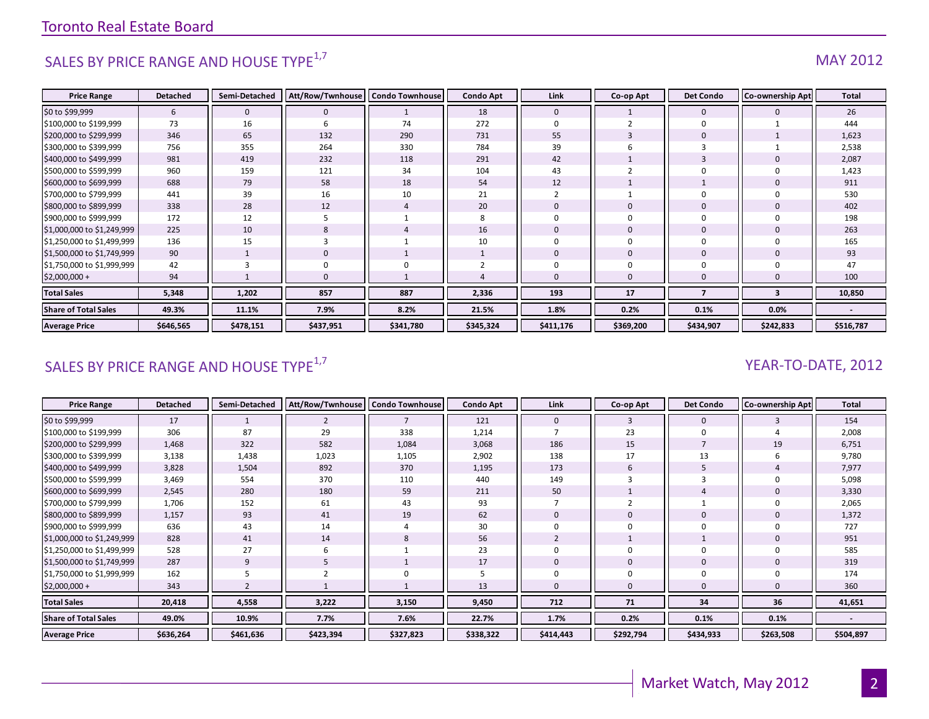# SALES BY PRICE RANGE AND HOUSE TYPE $^{1,7}$  MAY 2012

| <b>Price Range</b>          | <b>Detached</b> | Semi-Detached | Att/Row/Twnhouse | <b>Condo Townhouse</b> | <b>Condo Apt</b> | Link         | Co-op Apt | <b>Det Condo</b> | <b>Co-ownership Apt</b> | Total                    |
|-----------------------------|-----------------|---------------|------------------|------------------------|------------------|--------------|-----------|------------------|-------------------------|--------------------------|
| \$0 to \$99,999             | 6               | $\mathbf{0}$  |                  |                        | 18               | $\mathbf{0}$ |           | $\mathbf{0}$     |                         | 26                       |
| \$100,000 to \$199,999      | 73              | 16            | b                | 74                     | 272              | $\Omega$     |           | $\Omega$         |                         | 444                      |
| \$200,000 to \$299,999      | 346             | 65            | 132              | 290                    | 731              | 55           | 3         | $\mathbf 0$      |                         | 1,623                    |
| \$300,000 to \$399,999      | 756             | 355           | 264              | 330                    | 784              | 39           |           |                  |                         | 2,538                    |
| \$400,000 to \$499,999      | 981             | 419           | 232              | 118                    | 291              | 42           |           | $\overline{3}$   |                         | 2,087                    |
| \$500,000 to \$599,999      | 960             | 159           | 121              | 34                     | 104              | 43           |           |                  |                         | 1,423                    |
| \$600,000 to \$699,999      | 688             | 79            | 58               | 18                     | 54               | 12           |           |                  |                         | 911                      |
| \$700,000 to \$799,999      | 441             | 39            | 16               | 10                     | 21               |              |           |                  |                         | 530                      |
| \$800,000 to \$899,999      | 338             | 28            | 12               | $\overline{4}$         | 20               | $\mathbf 0$  |           | $\mathbf 0$      |                         | 402                      |
| \$900,000 to \$999,999      | 172             | 12            |                  |                        | 8                | $\Omega$     |           |                  |                         | 198                      |
| \$1,000,000 to \$1,249,999  | 225             | 10            | 8                |                        | 16               | $\Omega$     | $\Omega$  | $\Omega$         |                         | 263                      |
| \$1,250,000 to \$1,499,999  | 136             | 15            |                  |                        | 10               | $\Omega$     |           |                  |                         | 165                      |
| \$1,500,000 to \$1,749,999  | 90              |               | $\Omega$         |                        |                  | $\Omega$     | 0         | $\mathbf 0$      |                         | 93                       |
| \$1,750,000 to \$1,999,999  | 42              |               |                  |                        |                  |              |           |                  |                         | 47                       |
| $$2,000,000+$               | 94              |               |                  |                        |                  | $\Omega$     | $\Omega$  |                  |                         | 100                      |
| <b>Total Sales</b>          | 5,348           | 1,202         | 857              | 887                    | 2,336            | 193          | 17        | 7                | 3                       | 10,850                   |
| <b>Share of Total Sales</b> | 49.3%           | 11.1%         | 7.9%             | 8.2%                   | 21.5%            | 1.8%         | 0.2%      | 0.1%             | 0.0%                    | $\overline{\phantom{a}}$ |
| <b>Average Price</b>        | \$646,565       | \$478,151     | \$437,951        | \$341,780              | \$345,324        | \$411,176    | \$369,200 | \$434,907        | \$242,833               | \$516,787                |

# SALES BY PRICE RANGE AND HOUSE TYPE<sup>1,7</sup>  $\sqrt{2}$  and  $\sqrt{2}$  and  $\sqrt{2}$  and  $\sqrt{2}$  and  $\sqrt{2}$  and  $\sqrt{2}$  and  $\sqrt{2}$  and  $\sqrt{2}$  and  $\sqrt{2}$  and  $\sqrt{2}$  and  $\sqrt{2}$  and  $\sqrt{2}$  and  $\sqrt{2}$  and  $\sqrt{2}$  and  $\sqrt{2}$  and

| <b>Price Range</b>          | <b>Detached</b> | Semi-Detached | Att/Row/Twnhouse   Condo Townhouse |                | <b>Condo Apt</b> | Link        | Co-op Apt   | <b>Det Condo</b> | <b>Co-ownership Apt</b> | <b>Total</b> |
|-----------------------------|-----------------|---------------|------------------------------------|----------------|------------------|-------------|-------------|------------------|-------------------------|--------------|
| \$0 to \$99,999             | 17              | $\mathbf{1}$  | 2                                  | $\overline{7}$ | 121              | $\mathbf 0$ | 3           | $\mathbf 0$      |                         | 154          |
| \$100,000 to \$199,999      | 306             | 87            | 29                                 | 338            | 1,214            |             | 23          | 0                |                         | 2,008        |
| \$200,000 to \$299,999      | 1,468           | 322           | 582                                | 1,084          | 3,068            | 186         | 15          |                  | 19                      | 6,751        |
| \$300,000 to \$399,999      | 3,138           | 1,438         | 1,023                              | 1,105          | 2,902            | 138         | 17          | 13               |                         | 9,780        |
| \$400,000 to \$499,999      | 3,828           | 1,504         | 892                                | 370            | 1,195            | 173         | 6           | 5                |                         | 7,977        |
| \$500,000 to \$599,999      | 3,469           | 554           | 370                                | 110            | 440              | 149         |             |                  |                         | 5,098        |
| \$600,000 to \$699,999      | 2,545           | 280           | 180                                | 59             | 211              | 50          |             |                  |                         | 3,330        |
| \$700,000 to \$799,999      | 1,706           | 152           | 61                                 | 43             | 93               |             |             |                  |                         | 2,065        |
| \$800,000 to \$899,999      | 1,157           | 93            | 41                                 | 19             | 62               |             |             | 0                |                         | 1,372        |
| \$900,000 to \$999,999      | 636             | 43            | 14                                 | 4              | 30               |             |             | 0                |                         | 727          |
| \$1,000,000 to \$1,249,999  | 828             | 41            | 14                                 | 8              | 56               |             |             |                  |                         | 951          |
| \$1,250,000 to \$1,499,999  | 528             | 27            | 6                                  |                | 23               |             | $\Omega$    | $\mathbf 0$      |                         | 585          |
| \$1,500,000 to \$1,749,999  | 287             | 9             |                                    |                | 17               | 0           | $\mathbf 0$ | 0                |                         | 319          |
| \$1,750,000 to \$1,999,999  | 162             |               |                                    | $\Omega$       |                  |             |             | 0                |                         | 174          |
| $$2,000,000 +$              | 343             |               |                                    |                | 13               |             |             | $\mathbf{0}$     |                         | 360          |
| <b>Total Sales</b>          | 20,418          | 4,558         | 3,222                              | 3,150          | 9,450            | 712         | 71          | 34               | 36                      | 41,651       |
| <b>Share of Total Sales</b> | 49.0%           | 10.9%         | 7.7%                               | 7.6%           | 22.7%            | 1.7%        | 0.2%        | 0.1%             | 0.1%                    |              |
| <b>Average Price</b>        | \$636,264       | \$461,636     | \$423,394                          | \$327,823      | \$338,322        | \$414,443   | \$292,794   | \$434,933        | \$263,508               | \$504,897    |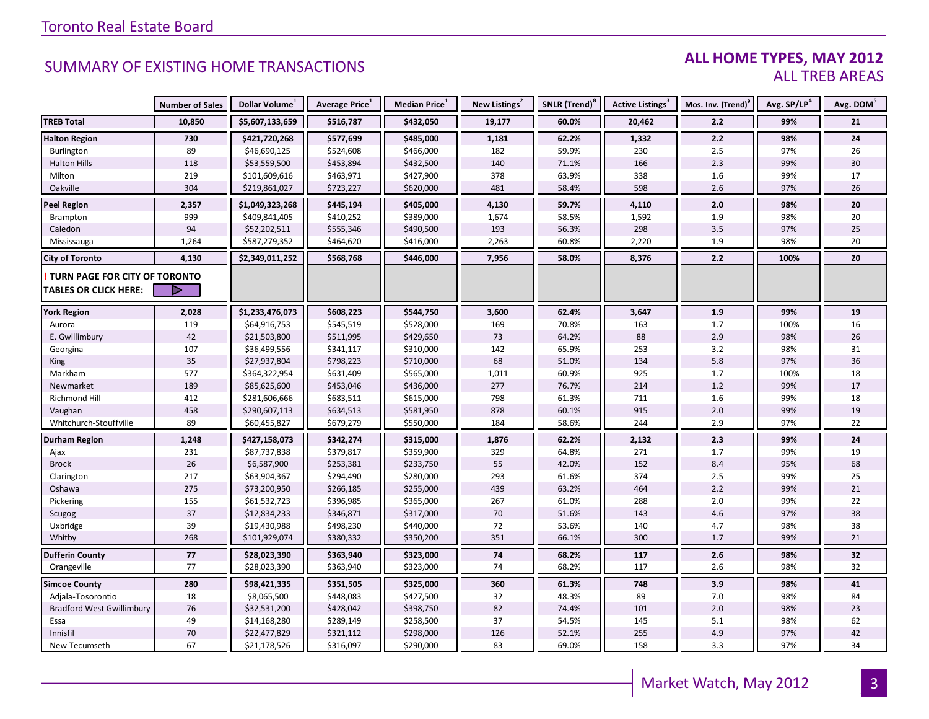#### **ALL HOME TYPES, MAY 2012** ALL TREB AREAS

|                                  | <b>Number of Sales</b> | Dollar Volume <sup>1</sup> | Average Price <sup>1</sup> | Median Price <sup>1</sup> | New Listings <sup>2</sup> | SNLR (Trend) <sup>8</sup> | Active Listings <sup>3</sup> | Mos. Inv. (Trend) <sup>9</sup> | Avg. SP/LP <sup>4</sup> | Avg. DOM <sup>5</sup> |
|----------------------------------|------------------------|----------------------------|----------------------------|---------------------------|---------------------------|---------------------------|------------------------------|--------------------------------|-------------------------|-----------------------|
| <b>TREB Total</b>                | 10,850                 | \$5,607,133,659            | \$516,787                  | \$432,050                 | 19,177                    | 60.0%                     | 20,462                       | 2.2                            | 99%                     | 21                    |
| <b>Halton Region</b>             | 730                    | \$421,720,268              | \$577,699                  | \$485,000                 | 1,181                     | 62.2%                     | 1,332                        | 2.2                            | 98%                     | 24                    |
| Burlington                       | 89                     | \$46,690,125               | \$524,608                  | \$466,000                 | 182                       | 59.9%                     | 230                          | 2.5                            | 97%                     | 26                    |
| <b>Halton Hills</b>              | 118                    | \$53,559,500               | \$453,894                  | \$432,500                 | 140                       | 71.1%                     | 166                          | 2.3                            | 99%                     | 30                    |
| Milton                           | 219                    | \$101,609,616              | \$463,971                  | \$427,900                 | 378                       | 63.9%                     | 338                          | 1.6                            | 99%                     | 17                    |
| Oakville                         | 304                    | \$219,861,027              | \$723,227                  | \$620,000                 | 481                       | 58.4%                     | 598                          | 2.6                            | 97%                     | 26                    |
| <b>Peel Region</b>               | 2,357                  | \$1,049,323,268            | \$445,194                  | \$405,000                 | 4,130                     | 59.7%                     | 4,110                        | 2.0                            | 98%                     | 20                    |
| Brampton                         | 999                    | \$409,841,405              | \$410,252                  | \$389,000                 | 1,674                     | 58.5%                     | 1,592                        | 1.9                            | 98%                     | 20                    |
| Caledon                          | 94                     | \$52,202,511               | \$555,346                  | \$490,500                 | 193                       | 56.3%                     | 298                          | $3.5$                          | 97%                     | 25                    |
| Mississauga                      | 1,264                  | \$587,279,352              | \$464,620                  | \$416,000                 | 2,263                     | 60.8%                     | 2,220                        | 1.9                            | 98%                     | 20                    |
| <b>City of Toronto</b>           | 4,130                  | \$2,349,011,252            | \$568,768                  | \$446,000                 | 7,956                     | 58.0%                     | 8,376                        | 2.2                            | 100%                    | 20                    |
| TURN PAGE FOR CITY OF TORONTO    |                        |                            |                            |                           |                           |                           |                              |                                |                         |                       |
| <b>TABLES OR CLICK HERE:</b>     |                        |                            |                            |                           |                           |                           |                              |                                |                         |                       |
|                                  |                        |                            |                            |                           |                           |                           |                              |                                |                         |                       |
| <b>York Region</b>               | 2,028                  | \$1,233,476,073            | \$608,223                  | \$544,750                 | 3,600                     | 62.4%                     | 3,647                        | 1.9                            | 99%                     | 19                    |
| Aurora                           | 119                    | \$64,916,753               | \$545,519                  | \$528,000                 | 169                       | 70.8%                     | 163                          | 1.7                            | 100%                    | 16                    |
| E. Gwillimbury                   | 42                     | \$21,503,800               | \$511,995                  | \$429,650                 | 73                        | 64.2%                     | 88                           | 2.9                            | 98%                     | 26                    |
| Georgina                         | 107                    | \$36,499,556               | \$341,117                  | \$310,000                 | 142                       | 65.9%                     | 253                          | 3.2                            | 98%                     | 31                    |
| King                             | 35                     | \$27,937,804               | \$798,223                  | \$710,000                 | 68                        | 51.0%                     | 134                          | 5.8                            | 97%                     | 36                    |
| Markham                          | 577                    | \$364,322,954              | \$631,409                  | \$565,000                 | 1,011                     | 60.9%                     | 925                          | 1.7                            | 100%                    | 18                    |
| Newmarket                        | 189                    | \$85,625,600               | \$453,046                  | \$436,000                 | 277                       | 76.7%                     | 214                          | 1.2                            | 99%                     | 17                    |
| Richmond Hill                    | 412                    | \$281,606,666              | \$683,511                  | \$615,000                 | 798                       | 61.3%                     | 711                          | 1.6                            | 99%                     | 18                    |
| Vaughan                          | 458                    | \$290,607,113              | \$634,513                  | \$581,950                 | 878                       | 60.1%                     | 915                          | 2.0                            | 99%                     | 19                    |
| Whitchurch-Stouffville           | 89                     | \$60,455,827               | \$679,279                  | \$550,000                 | 184                       | 58.6%                     | 244                          | 2.9                            | 97%                     | 22                    |
| <b>Durham Region</b>             | 1,248                  | \$427,158,073              | \$342,274                  | \$315,000                 | 1,876                     | 62.2%                     | 2,132                        | 2.3                            | 99%                     | 24                    |
| Ajax                             | 231                    | \$87,737,838               | \$379,817                  | \$359,900                 | 329                       | 64.8%                     | 271                          | 1.7                            | 99%                     | 19                    |
| <b>Brock</b>                     | 26                     | \$6,587,900                | \$253,381                  | \$233,750                 | 55                        | 42.0%                     | 152                          | 8.4                            | 95%                     | 68                    |
| Clarington                       | 217                    | \$63,904,367               | \$294,490                  | \$280,000                 | 293                       | 61.6%                     | 374                          | $2.5$                          | 99%                     | 25                    |
| Oshawa                           | 275                    | \$73,200,950               | \$266,185                  | \$255,000                 | 439                       | 63.2%                     | 464                          | 2.2                            | 99%                     | 21                    |
| Pickering                        | 155                    | \$61,532,723               | \$396,985                  | \$365,000                 | 267                       | 61.0%                     | 288                          | 2.0                            | 99%                     | 22                    |
| Scugog                           | 37                     | \$12,834,233               | \$346,871                  | \$317,000                 | 70                        | 51.6%                     | 143                          | $4.6\,$                        | 97%                     | 38                    |
| Uxbridge                         | 39                     | \$19,430,988               | \$498,230                  | \$440,000                 | 72                        | 53.6%                     | 140                          | 4.7                            | 98%                     | 38                    |
| Whitby                           | 268                    | \$101,929,074              | \$380,332                  | \$350,200                 | 351                       | 66.1%                     | 300                          | 1.7                            | 99%                     | 21                    |
| <b>Dufferin County</b>           | 77                     | \$28,023,390               | \$363,940                  | \$323,000                 | 74                        | 68.2%                     | 117                          | 2.6                            | 98%                     | 32                    |
| Orangeville                      | 77                     | \$28,023,390               | \$363,940                  | \$323,000                 | 74                        | 68.2%                     | 117                          | 2.6                            | 98%                     | 32                    |
| <b>Simcoe County</b>             | 280                    | \$98,421,335               | \$351,505                  | \$325,000                 | 360                       | 61.3%                     | 748                          | 3.9                            | 98%                     | 41                    |
| Adjala-Tosorontio                | 18                     | \$8,065,500                | \$448,083                  | \$427,500                 | 32                        | 48.3%                     | 89                           | 7.0                            | 98%                     | 84                    |
| <b>Bradford West Gwillimbury</b> | 76                     | \$32,531,200               | \$428,042                  | \$398,750                 | 82                        | 74.4%                     | 101                          | 2.0                            | 98%                     | 23                    |
| Essa                             | 49                     | \$14,168,280               | \$289,149                  | \$258,500                 | 37                        | 54.5%                     | 145                          | 5.1                            | 98%                     | 62                    |
| Innisfil                         | 70                     | \$22,477,829               | \$321,112                  | \$298,000                 | 126                       | 52.1%                     | 255                          | 4.9                            | 97%                     | 42                    |
| New Tecumseth                    | 67                     | \$21,178,526               | \$316,097                  | \$290,000                 | 83                        | 69.0%                     | 158                          | 3.3                            | 97%                     | 34                    |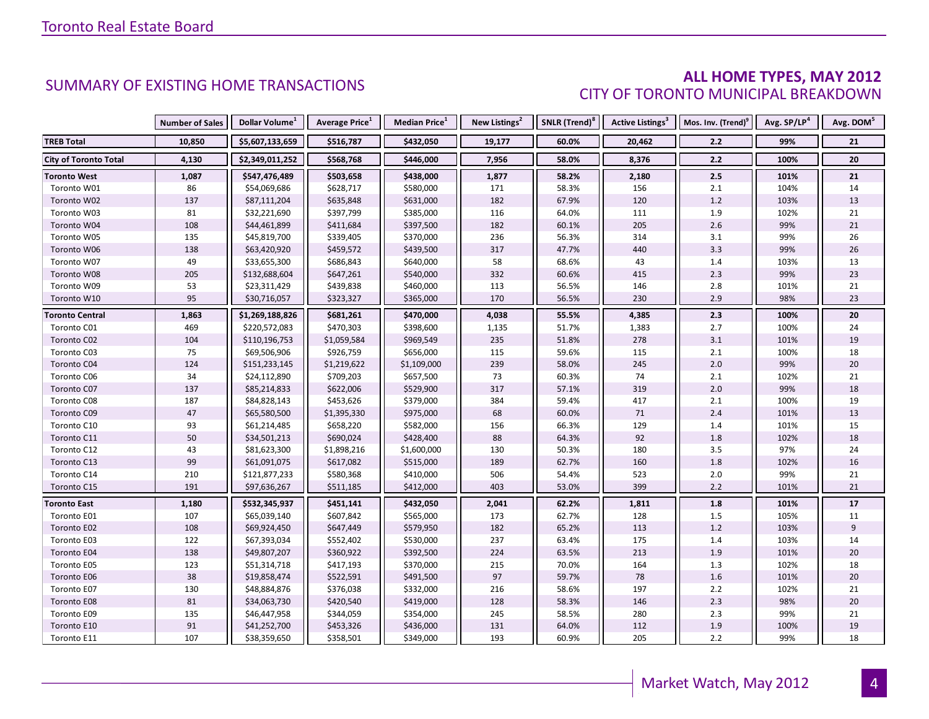### **ALL HOME TYPES, MAY 2012** CITY OF TORONTO MUNICIPAL BREAKDOWN

|                              | <b>Number of Sales</b> | Dollar Volume <sup>1</sup> | Average Price <sup>1</sup> | <b>Median Price</b> <sup>1</sup> | New Listings <sup>2</sup> | SNLR (Trend) <sup>8</sup> |        | Active Listings <sup>3</sup>   Mos. Inv. (Trend) <sup>9</sup> | Avg. SP/LP <sup>4</sup> | Avg. DOM <sup>5</sup> |
|------------------------------|------------------------|----------------------------|----------------------------|----------------------------------|---------------------------|---------------------------|--------|---------------------------------------------------------------|-------------------------|-----------------------|
| <b>TREB Total</b>            | 10,850                 | \$5,607,133,659            | \$516,787                  | \$432,050                        | 19,177                    | 60.0%                     | 20,462 | 2.2                                                           | 99%                     | 21                    |
| <b>City of Toronto Total</b> | 4,130                  | \$2,349,011,252            | \$568,768                  | \$446,000                        | 7,956                     | 58.0%                     | 8,376  | $2.2$                                                         | 100%                    | 20                    |
| <b>Toronto West</b>          | 1,087                  | \$547,476,489              | \$503,658                  | \$438,000                        | 1,877                     | 58.2%                     | 2,180  | $2.5$                                                         | 101%                    | 21                    |
| Toronto W01                  | 86                     | \$54,069,686               | \$628,717                  | \$580,000                        | 171                       | 58.3%                     | 156    | 2.1                                                           | 104%                    | 14                    |
| Toronto W02                  | 137                    | \$87,111,204               | \$635,848                  | \$631,000                        | 182                       | 67.9%                     | 120    | 1.2                                                           | 103%                    | 13                    |
| Toronto W03                  | 81                     | \$32,221,690               | \$397,799                  | \$385,000                        | 116                       | 64.0%                     | 111    | 1.9                                                           | 102%                    | 21                    |
| Toronto W04                  | 108                    | \$44,461,899               | \$411,684                  | \$397,500                        | 182                       | 60.1%                     | 205    | 2.6                                                           | 99%                     | 21                    |
| Toronto W05                  | 135                    | \$45,819,700               | \$339,405                  | \$370,000                        | 236                       | 56.3%                     | 314    | 3.1                                                           | 99%                     | 26                    |
| Toronto W06                  | 138                    | \$63,420,920               | \$459,572                  | \$439,500                        | 317                       | 47.7%                     | 440    | 3.3                                                           | 99%                     | 26                    |
| Toronto W07                  | 49                     | \$33,655,300               | \$686,843                  | \$640,000                        | 58                        | 68.6%                     | 43     | 1.4                                                           | 103%                    | 13                    |
| Toronto W08                  | 205                    | \$132,688,604              | \$647,261                  | \$540,000                        | 332                       | 60.6%                     | 415    | 2.3                                                           | 99%                     | 23                    |
| Toronto W09                  | 53                     | \$23,311,429               | \$439,838                  | \$460,000                        | 113                       | 56.5%                     | 146    | 2.8                                                           | 101%                    | 21                    |
| Toronto W10                  | 95                     | \$30,716,057               | \$323,327                  | \$365,000                        | 170                       | 56.5%                     | 230    | 2.9                                                           | 98%                     | 23                    |
| <b>Toronto Central</b>       | 1,863                  | \$1,269,188,826            | \$681,261                  | \$470,000                        | 4,038                     | 55.5%                     | 4,385  | 2.3                                                           | 100%                    | 20                    |
| Toronto C01                  | 469                    | \$220,572,083              | \$470,303                  | \$398,600                        | 1,135                     | 51.7%                     | 1,383  | 2.7                                                           | 100%                    | 24                    |
| Toronto C02                  | 104                    | \$110,196,753              | \$1,059,584                | \$969,549                        | 235                       | 51.8%                     | 278    | 3.1                                                           | 101%                    | 19                    |
| Toronto C03                  | 75                     | \$69,506,906               | \$926,759                  | \$656,000                        | 115                       | 59.6%                     | 115    | $2.1\,$                                                       | 100%                    | 18                    |
| Toronto C04                  | 124                    | \$151,233,145              | \$1,219,622                | \$1,109,000                      | 239                       | 58.0%                     | 245    | 2.0                                                           | 99%                     | 20                    |
| Toronto C06                  | 34                     | \$24,112,890               | \$709,203                  | \$657,500                        | 73                        | 60.3%                     | 74     | 2.1                                                           | 102%                    | 21                    |
| Toronto C07                  | 137                    | \$85,214,833               | \$622,006                  | \$529,900                        | 317                       | 57.1%                     | 319    | 2.0                                                           | 99%                     | 18                    |
| Toronto C08                  | 187                    | \$84,828,143               | \$453,626                  | \$379,000                        | 384                       | 59.4%                     | 417    | $2.1$                                                         | 100%                    | 19                    |
| Toronto C09                  | 47                     | \$65,580,500               | \$1,395,330                | \$975,000                        | 68                        | 60.0%                     | 71     | 2.4                                                           | 101%                    | 13                    |
| Toronto C10                  | 93                     | \$61,214,485               | \$658,220                  | \$582,000                        | 156                       | 66.3%                     | 129    | 1.4                                                           | 101%                    | 15                    |
| Toronto C11                  | 50                     | \$34,501,213               | \$690,024                  | \$428,400                        | $88\,$                    | 64.3%                     | 92     | 1.8                                                           | 102%                    | 18                    |
| Toronto C12                  | 43                     | \$81,623,300               | \$1,898,216                | \$1,600,000                      | 130                       | 50.3%                     | 180    | 3.5                                                           | 97%                     | 24                    |
| Toronto C13                  | 99                     | \$61,091,075               | \$617,082                  | \$515,000                        | 189                       | 62.7%                     | 160    | 1.8                                                           | 102%                    | $16\,$                |
| Toronto C14                  | 210                    | \$121,877,233              | \$580,368                  | \$410,000                        | 506                       | 54.4%                     | 523    | 2.0                                                           | 99%                     | 21                    |
| Toronto C15                  | 191                    | \$97,636,267               | \$511,185                  | \$412,000                        | 403                       | 53.0%                     | 399    | 2.2                                                           | 101%                    | 21                    |
| <b>Toronto East</b>          | 1,180                  | \$532,345,937              | \$451,141                  | \$432,050                        | 2,041                     | 62.2%                     | 1,811  | 1.8                                                           | 101%                    | 17                    |
| Toronto E01                  | 107                    | \$65,039,140               | \$607,842                  | \$565,000                        | 173                       | 62.7%                     | 128    | 1.5                                                           | 105%                    | 11                    |
| Toronto E02                  | 108                    | \$69,924,450               | \$647,449                  | \$579,950                        | 182                       | 65.2%                     | 113    | 1.2                                                           | 103%                    | $\overline{9}$        |
| Toronto E03                  | 122                    | \$67,393,034               | \$552,402                  | \$530,000                        | 237                       | 63.4%                     | 175    | 1.4                                                           | 103%                    | 14                    |
| Toronto E04                  | 138                    | \$49,807,207               | \$360,922                  | \$392,500                        | 224                       | 63.5%                     | 213    | 1.9                                                           | 101%                    | 20                    |
| Toronto E05                  | 123                    | \$51,314,718               | \$417,193                  | \$370,000                        | 215                       | 70.0%                     | 164    | 1.3                                                           | 102%                    | 18                    |
| Toronto E06                  | 38                     | \$19,858,474               | \$522,591                  | \$491,500                        | 97                        | 59.7%                     | 78     | 1.6                                                           | 101%                    | 20                    |
| Toronto E07                  | 130                    | \$48,884,876               | \$376,038                  | \$332,000                        | 216                       | 58.6%                     | 197    | $2.2\,$                                                       | 102%                    | 21                    |
| Toronto E08                  | 81                     | \$34,063,730               | \$420,540                  | \$419,000                        | 128                       | 58.3%                     | 146    | 2.3                                                           | 98%                     | $20\,$                |
| Toronto E09                  | 135                    | \$46,447,958               | \$344,059                  | \$354,000                        | 245                       | 58.5%                     | 280    | 2.3                                                           | 99%                     | 21                    |
| Toronto E10                  | 91                     | \$41,252,700               | \$453,326                  | \$436,000                        | 131                       | 64.0%                     | 112    | 1.9                                                           | 100%                    | 19                    |
| Toronto E11                  | 107                    | \$38,359,650               | \$358,501                  | \$349,000                        | 193                       | 60.9%                     | 205    | 2.2                                                           | 99%                     | 18                    |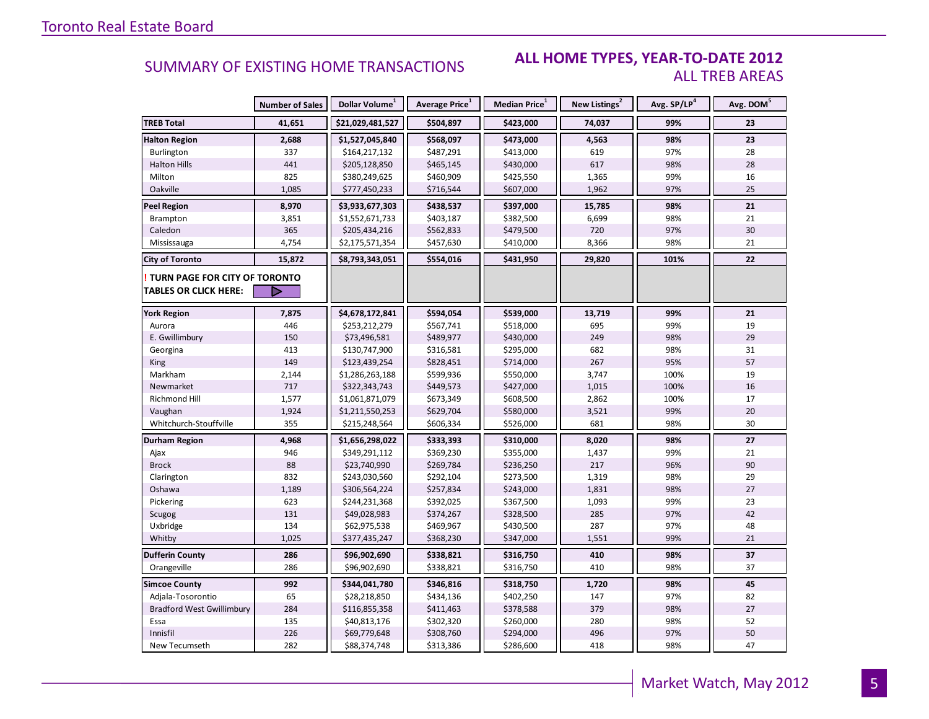#### **ALL HOME TYPES, YEAR-TO-DATE 2012** ALL TREB AREAS

|                                        | <b>Number of Sales</b> | Dollar Volume <sup>1</sup> | <b>Average Price</b> <sup>1</sup> | Median Price <sup>1</sup> | New Listings <sup>2</sup> | Avg. SP/LP <sup>4</sup> | Avg. DOM <sup>5</sup> |
|----------------------------------------|------------------------|----------------------------|-----------------------------------|---------------------------|---------------------------|-------------------------|-----------------------|
| <b>TREB Total</b>                      | 41,651                 | \$21,029,481,527           | \$504,897                         | \$423,000                 | 74,037                    | 99%                     | 23                    |
| <b>Halton Region</b>                   | 2,688                  | \$1,527,045,840            | \$568,097                         | \$473,000                 | 4,563                     | 98%                     | 23                    |
| Burlington                             | 337                    | \$164,217,132              | \$487,291                         | \$413,000                 | 619                       | 97%                     | 28                    |
| <b>Halton Hills</b>                    | 441                    | \$205,128,850              | \$465,145                         | \$430,000                 | 617                       | 98%                     | 28                    |
| Milton                                 | 825                    | \$380,249,625              | \$460,909                         | \$425,550                 | 1,365                     | 99%                     | 16                    |
| Oakville                               | 1,085                  | \$777,450,233              | \$716,544                         | \$607,000                 | 1,962                     | 97%                     | 25                    |
| <b>Peel Region</b>                     | 8,970                  | \$3,933,677,303            | \$438,537                         | \$397,000                 | 15,785                    | 98%                     | 21                    |
| Brampton                               | 3,851                  | \$1,552,671,733            | \$403,187                         | \$382,500                 | 6,699                     | 98%                     | 21                    |
| Caledon                                | 365                    | \$205,434,216              | \$562,833                         | \$479,500                 | 720                       | 97%                     | 30                    |
| Mississauga                            | 4,754                  | \$2,175,571,354            | \$457,630                         | \$410,000                 | 8,366                     | 98%                     | 21                    |
| <b>City of Toronto</b>                 | 15,872                 | \$8,793,343,051            | \$554,016                         | \$431,950                 | 29,820                    | 101%                    | 22                    |
| <b>! TURN PAGE FOR CITY OF TORONTO</b> |                        |                            |                                   |                           |                           |                         |                       |
| <b>TABLES OR CLICK HERE:</b>           |                        |                            |                                   |                           |                           |                         |                       |
| <b>York Region</b>                     | 7,875                  | \$4,678,172,841            | \$594,054                         | \$539,000                 | 13,719                    | 99%                     | 21                    |
| Aurora                                 | 446                    | \$253,212,279              | \$567,741                         | \$518,000                 | 695                       | 99%                     | 19                    |
| E. Gwillimbury                         | 150                    | \$73,496,581               | \$489,977                         | \$430,000                 | 249                       | 98%                     | 29                    |
| Georgina                               | 413                    | \$130,747,900              | \$316,581                         | \$295,000                 | 682                       | 98%                     | 31                    |
| <b>King</b>                            | 149                    | \$123,439,254              | \$828,451                         | \$714,000                 | 267                       | 95%                     | 57                    |
| Markham                                | 2,144                  | \$1,286,263,188            | \$599,936                         | \$550,000                 | 3,747                     | 100%                    | 19                    |
| Newmarket                              | 717                    | \$322,343,743              | \$449,573                         | \$427,000                 | 1,015                     | 100%                    | 16                    |
| Richmond Hill                          | 1,577                  | \$1,061,871,079            | \$673,349                         | \$608,500                 | 2,862                     | 100%                    | 17                    |
| Vaughan                                | 1,924                  | \$1,211,550,253            | \$629,704                         | \$580,000                 | 3,521                     | 99%                     | 20                    |
| Whitchurch-Stouffville                 | 355                    | \$215,248,564              | \$606,334                         | \$526,000                 | 681                       | 98%                     | 30                    |
| Durham Region                          | 4,968                  | \$1,656,298,022            | \$333,393                         | \$310,000                 | 8,020                     | 98%                     | 27                    |
| Ajax                                   | 946                    | \$349,291,112              | \$369,230                         | \$355,000                 | 1,437                     | 99%                     | 21                    |
| <b>Brock</b>                           | 88                     | \$23,740,990               | \$269,784                         | \$236,250                 | 217                       | 96%                     | 90                    |
| Clarington                             | 832                    | \$243,030,560              | \$292,104                         | \$273,500                 | 1,319                     | 98%                     | 29                    |
| Oshawa                                 | 1,189                  | \$306,564,224              | \$257,834                         | \$243,000                 | 1,831                     | 98%                     | 27                    |
| Pickering                              | 623                    | \$244,231,368              | \$392,025                         | \$367,500                 | 1,093                     | 99%                     | 23                    |
| Scugog                                 | 131                    | \$49,028,983               | \$374,267                         | \$328,500                 | 285                       | 97%                     | 42                    |
| Uxbridge                               | 134                    | \$62,975,538               | \$469,967                         | \$430,500                 | 287                       | 97%                     | 48                    |
| Whitby                                 | 1,025                  | \$377,435,247              | \$368,230                         | \$347,000                 | 1,551                     | 99%                     | 21                    |
| <b>Dufferin County</b>                 | 286                    | \$96,902,690               | \$338,821                         | \$316,750                 | 410                       | 98%                     | 37                    |
| Orangeville                            | 286                    | \$96,902,690               | \$338,821                         | \$316,750                 | 410                       | 98%                     | 37                    |
| <b>Simcoe County</b>                   | 992                    | \$344,041,780              | \$346,816                         | \$318,750                 | 1,720                     | 98%                     | 45                    |
| Adjala-Tosorontio                      | 65                     | \$28,218,850               | \$434,136                         | \$402,250                 | 147                       | 97%                     | 82                    |
| <b>Bradford West Gwillimbury</b>       | 284                    | \$116,855,358              | \$411,463                         | \$378,588                 | 379                       | 98%                     | 27                    |
| Essa                                   | 135                    | \$40,813,176               | \$302,320                         | \$260,000                 | 280                       | 98%                     | 52                    |
| Innisfil                               | 226                    | \$69,779,648               | \$308,760                         | \$294,000                 | 496                       | 97%                     | 50                    |
| New Tecumseth                          | 282                    | \$88,374,748               | \$313,386                         | \$286,600                 | 418                       | 98%                     | 47                    |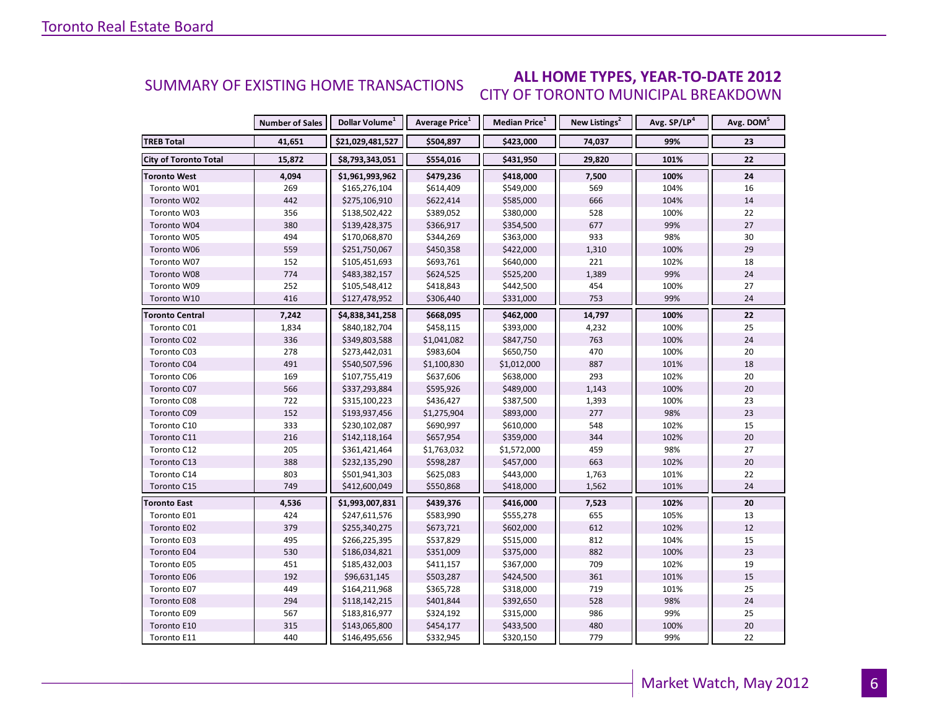#### **ALL HOME TYPES, YEAR-TO-DATE 2012** CITY OF TORONTO MUNICIPAL BREAKDOWN SUMMARY OF EXISTING HOME TRANSACTIONS

|                              | <b>Number of Sales</b> | Dollar Volume <sup>1</sup> | Average Price <sup>1</sup> | Median Price <sup>1</sup> | New Listings <sup>2</sup> | Avg. SP/LP <sup>4</sup> | Avg. DOM <sup>5</sup> |
|------------------------------|------------------------|----------------------------|----------------------------|---------------------------|---------------------------|-------------------------|-----------------------|
| <b>TREB Total</b>            | 41,651                 | \$21,029,481,527           | \$504,897                  | \$423,000                 | 74,037                    | 99%                     | 23                    |
| <b>City of Toronto Total</b> | 15,872                 | \$8,793,343,051            | \$554,016                  | \$431,950                 | 29,820                    | 101%                    | 22                    |
| <b>Toronto West</b>          | 4,094                  | \$1,961,993,962            | \$479,236                  | \$418,000                 | 7,500                     | 100%                    | 24                    |
| Toronto W01                  | 269                    | \$165,276,104              | \$614,409                  | \$549,000                 | 569                       | 104%                    | 16                    |
| Toronto W02                  | 442                    | \$275,106,910              | \$622,414                  | \$585,000                 | 666                       | 104%                    | 14                    |
| Toronto W03                  | 356                    | \$138,502,422              | \$389,052                  | \$380,000                 | 528                       | 100%                    | 22                    |
| Toronto W04                  | 380                    | \$139,428,375              | \$366,917                  | \$354,500                 | 677                       | 99%                     | 27                    |
| Toronto W05                  | 494                    | \$170,068,870              | \$344,269                  | \$363,000                 | 933                       | 98%                     | 30                    |
| Toronto W06                  | 559                    | \$251,750,067              | \$450,358                  | \$422,000                 | 1,310                     | 100%                    | 29                    |
| Toronto W07                  | 152                    | \$105,451,693              | \$693,761                  | \$640,000                 | 221                       | 102%                    | 18                    |
| Toronto W08                  | 774                    | \$483,382,157              | \$624,525                  | \$525,200                 | 1,389                     | 99%                     | 24                    |
| Toronto W09                  | 252                    | \$105,548,412              | \$418,843                  | \$442,500                 | 454                       | 100%                    | 27                    |
| Toronto W10                  | 416                    | \$127,478,952              | \$306,440                  | \$331,000                 | 753                       | 99%                     | 24                    |
| Toronto Central              | 7,242                  | \$4,838,341,258            | \$668,095                  | \$462,000                 | 14,797                    | 100%                    | 22                    |
| Toronto C01                  | 1,834                  | \$840,182,704              | \$458,115                  | \$393,000                 | 4,232                     | 100%                    | 25                    |
| Toronto C02                  | 336                    | \$349,803,588              | \$1,041,082                | \$847,750                 | 763                       | 100%                    | 24                    |
| Toronto C03                  | 278                    | \$273,442,031              | \$983,604                  | \$650,750                 | 470                       | 100%                    | 20                    |
| Toronto C04                  | 491                    | \$540,507,596              | \$1,100,830                | \$1,012,000               | 887                       | 101%                    | 18                    |
| Toronto C06                  | 169                    | \$107,755,419              | \$637,606                  | \$638,000                 | 293                       | 102%                    | 20                    |
| Toronto C07                  | 566                    | \$337,293,884              | \$595,926                  | \$489,000                 | 1,143                     | 100%                    | 20                    |
| Toronto C08                  | 722                    | \$315,100,223              | \$436,427                  | \$387,500                 | 1,393                     | 100%                    | 23                    |
| Toronto C09                  | 152                    | \$193,937,456              | \$1,275,904                | \$893,000                 | 277                       | 98%                     | 23                    |
| Toronto C10                  | 333                    | \$230,102,087              | \$690,997                  | \$610,000                 | 548                       | 102%                    | 15                    |
| Toronto C11                  | 216                    | \$142,118,164              | \$657,954                  | \$359,000                 | 344                       | 102%                    | 20                    |
| Toronto C12                  | 205                    | \$361,421,464              | \$1,763,032                | \$1,572,000               | 459                       | 98%                     | 27                    |
| Toronto C13                  | 388                    | \$232,135,290              | \$598,287                  | \$457,000                 | 663                       | 102%                    | 20                    |
| Toronto C14                  | 803                    | \$501,941,303              | \$625,083                  | \$443,000                 | 1,763                     | 101%                    | 22                    |
| Toronto C15                  | 749                    | \$412,600,049              | \$550,868                  | \$418,000                 | 1,562                     | 101%                    | 24                    |
| <b>Toronto East</b>          | 4,536                  | \$1,993,007,831            | \$439,376                  | \$416,000                 | 7,523                     | 102%                    | 20                    |
| Toronto E01                  | 424                    | \$247,611,576              | \$583,990                  | \$555,278                 | 655                       | 105%                    | 13                    |
| Toronto E02                  | 379                    | \$255,340,275              | \$673,721                  | \$602,000                 | 612                       | 102%                    | 12                    |
| Toronto E03                  | 495                    | \$266,225,395              | \$537,829                  | \$515,000                 | 812                       | 104%                    | 15                    |
| Toronto E04                  | 530                    | \$186,034,821              | \$351,009                  | \$375,000                 | 882                       | 100%                    | 23                    |
| Toronto E05                  | 451                    | \$185,432,003              | \$411,157                  | \$367,000                 | 709                       | 102%                    | 19                    |
| Toronto E06                  | 192                    | \$96,631,145               | \$503,287                  | \$424,500                 | 361                       | 101%                    | 15                    |
| Toronto E07                  | 449                    | \$164,211,968              | \$365,728                  | \$318,000                 | 719                       | 101%                    | 25                    |
| Toronto E08                  | 294                    | \$118,142,215              | \$401,844                  | \$392,650                 | 528                       | 98%                     | 24                    |
| Toronto E09                  | 567                    | \$183,816,977              | \$324,192                  | \$315,000                 | 986                       | 99%                     | 25                    |
| Toronto E10                  | 315                    | \$143,065,800              | \$454,177                  | \$433,500                 | 480                       | 100%                    | 20                    |
| Toronto E11                  | 440                    | \$146,495,656              | \$332,945                  | \$320,150                 | 779                       | 99%                     | 22                    |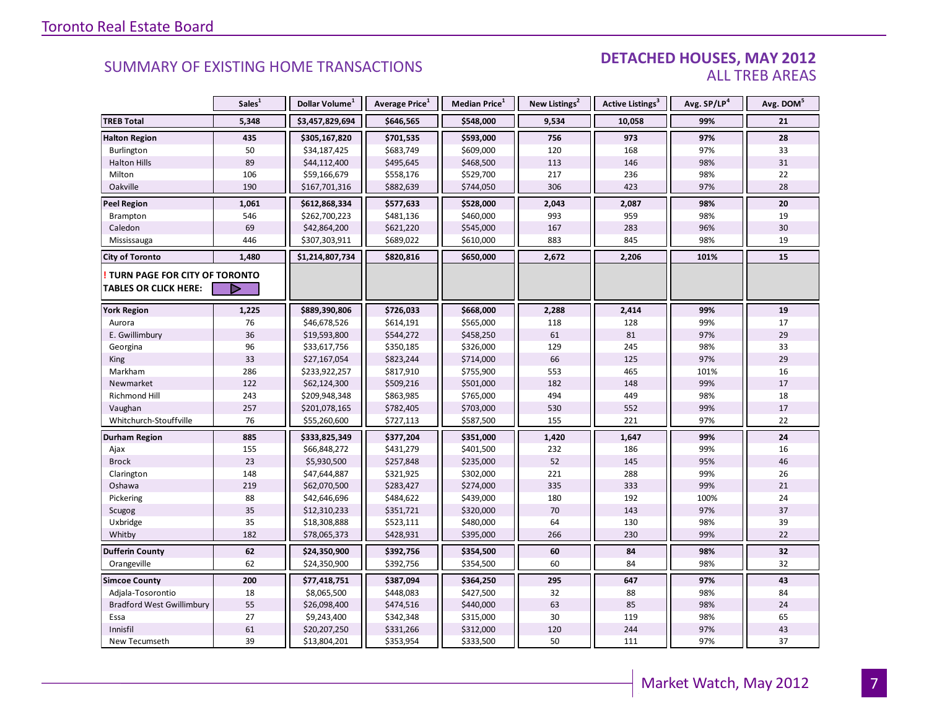#### DETACHED HOUSES, MAY 2012 ALL TREB AREAS

|                                                               | Sales <sup>1</sup> | Dollar Volume <sup>1</sup> | Average Price <sup>1</sup> | Median Price <sup>1</sup> | New Listings <sup>2</sup> | Active Listings <sup>3</sup> | Avg. SP/LP <sup>4</sup> | Avg. DOM <sup>5</sup> |
|---------------------------------------------------------------|--------------------|----------------------------|----------------------------|---------------------------|---------------------------|------------------------------|-------------------------|-----------------------|
| <b>TREB Total</b>                                             | 5,348              | \$3,457,829,694            | \$646,565                  | \$548,000                 | 9,534                     | 10,058                       | 99%                     | 21                    |
| <b>Halton Region</b>                                          | 435                | \$305,167,820              | \$701,535                  | \$593,000                 | 756                       | 973                          | 97%                     | 28                    |
| Burlington                                                    | 50                 | \$34,187,425               | \$683,749                  | \$609,000                 | 120                       | 168                          | 97%                     | 33                    |
| <b>Halton Hills</b>                                           | 89                 | \$44,112,400               | \$495,645                  | \$468,500                 | 113                       | 146                          | 98%                     | 31                    |
| Milton                                                        | 106                | \$59,166,679               | \$558,176                  | \$529,700                 | 217                       | 236                          | 98%                     | 22                    |
| Oakville                                                      | 190                | \$167,701,316              | \$882,639                  | \$744,050                 | 306                       | 423                          | 97%                     | 28                    |
| <b>Peel Region</b>                                            | 1,061              | \$612,868,334              | \$577,633                  | \$528,000                 | 2,043                     | 2,087                        | 98%                     | 20                    |
| Brampton                                                      | 546                | \$262,700,223              | \$481,136                  | \$460,000                 | 993                       | 959                          | 98%                     | 19                    |
| Caledon                                                       | 69                 | \$42,864,200               | \$621,220                  | \$545,000                 | 167                       | 283                          | 96%                     | 30                    |
| Mississauga                                                   | 446                | \$307,303,911              | \$689,022                  | \$610,000                 | 883                       | 845                          | 98%                     | 19                    |
| <b>City of Toronto</b>                                        | 1,480              | \$1,214,807,734            | \$820,816                  | \$650,000                 | 2,672                     | 2,206                        | 101%                    | 15                    |
| TURN PAGE FOR CITY OF TORONTO<br><b>TABLES OR CLICK HERE:</b> | D                  |                            |                            |                           |                           |                              |                         |                       |
|                                                               |                    |                            |                            |                           |                           |                              |                         |                       |
| <b>York Region</b>                                            | 1,225              | \$889,390,806              | \$726,033                  | \$668,000                 | 2,288                     | 2,414                        | 99%                     | 19                    |
| Aurora                                                        | 76                 | \$46,678,526               | \$614,191                  | \$565,000                 | 118                       | 128                          | 99%                     | 17                    |
| E. Gwillimbury                                                | 36                 | \$19,593,800               | \$544,272                  | \$458,250                 | 61                        | 81                           | 97%                     | 29                    |
| Georgina                                                      | 96                 | \$33,617,756               | \$350,185                  | \$326,000                 | 129                       | 245                          | 98%                     | 33                    |
| King                                                          | 33                 | \$27,167,054               | \$823,244                  | \$714,000                 | 66                        | 125                          | 97%                     | 29                    |
| Markham                                                       | 286                | \$233,922,257              | \$817,910                  | \$755,900                 | 553                       | 465                          | 101%                    | 16                    |
| Newmarket                                                     | 122                | \$62,124,300               | \$509,216                  | \$501,000                 | 182                       | 148                          | 99%                     | 17                    |
| Richmond Hill                                                 | 243                | \$209,948,348              | \$863,985                  | \$765,000                 | 494                       | 449                          | 98%                     | 18                    |
| Vaughan                                                       | 257                | \$201,078,165              | \$782,405                  | \$703,000                 | 530                       | 552                          | 99%                     | 17                    |
| Whitchurch-Stouffville                                        | 76                 | \$55,260,600               | \$727,113                  | \$587,500                 | 155                       | 221                          | 97%                     | 22                    |
| <b>Durham Region</b>                                          | 885                | \$333,825,349              | \$377,204                  | \$351,000                 | 1,420                     | 1,647                        | 99%                     | 24                    |
| Ajax                                                          | 155                | \$66,848,272               | \$431,279                  | \$401,500                 | 232                       | 186                          | 99%                     | 16                    |
| <b>Brock</b>                                                  | 23                 | \$5,930,500                | \$257,848                  | \$235,000                 | 52                        | 145                          | 95%                     | 46                    |
| Clarington                                                    | 148                | \$47,644,887               | \$321,925                  | \$302,000                 | 221                       | 288                          | 99%                     | 26                    |
| Oshawa                                                        | 219                | \$62,070,500               | \$283,427                  | \$274,000                 | 335                       | 333                          | 99%                     | 21                    |
| Pickering                                                     | 88                 | \$42,646,696               | \$484,622                  | \$439,000                 | 180                       | 192                          | 100%                    | 24                    |
| Scugog                                                        | 35                 | \$12,310,233               | \$351,721                  | \$320,000                 | 70                        | 143                          | 97%                     | 37                    |
| Uxbridge                                                      | 35                 | \$18,308,888               | \$523,111                  | \$480,000                 | 64                        | 130                          | 98%                     | 39                    |
| Whitby                                                        | 182                | \$78,065,373               | \$428,931                  | \$395,000                 | 266                       | 230                          | 99%                     | 22                    |
| <b>Dufferin County</b>                                        | 62                 | \$24,350,900               | \$392,756                  | \$354,500                 | 60                        | 84                           | 98%                     | 32                    |
| Orangeville                                                   | 62                 | \$24,350,900               | \$392,756                  | \$354,500                 | 60                        | 84                           | 98%                     | 32                    |
| <b>Simcoe County</b>                                          | 200                | \$77,418,751               | \$387,094                  | \$364,250                 | 295                       | 647                          | 97%                     | 43                    |
| Adjala-Tosorontio                                             | 18                 | \$8,065,500                | \$448,083                  | \$427,500                 | 32                        | 88                           | 98%                     | 84                    |
| <b>Bradford West Gwillimbury</b>                              | 55                 | \$26,098,400               | \$474,516                  | \$440,000                 | 63                        | 85                           | 98%                     | 24                    |
| Essa                                                          | 27                 | \$9,243,400                | \$342,348                  | \$315,000                 | 30                        | 119                          | 98%                     | 65                    |
| Innisfil                                                      | 61                 | \$20,207,250               | \$331,266                  | \$312,000                 | 120                       | 244                          | 97%                     | 43                    |
| New Tecumseth                                                 | 39                 | \$13,804,201               | \$353,954                  | \$333,500                 | 50                        | 111                          | 97%                     | 37                    |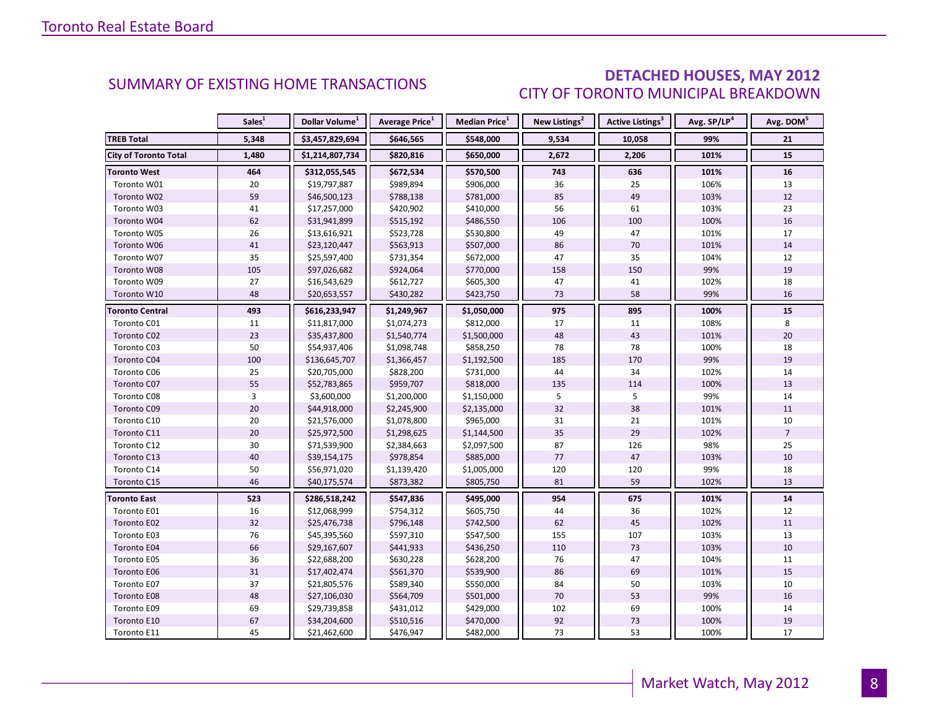### DETACHED HOUSES, MAY 2012 CITY OF TORONTO MUNICIPAL BREAKDOWN

<span id="page-7-0"></span>

|                        | Sales <sup>1</sup> | Dollar Volume <sup>1</sup> | Average Price <sup>1</sup> | Median Price <sup>1</sup> | New Listings <sup>2</sup> | Active Listings <sup>3</sup> | Avg. SP/LP <sup>4</sup> | Avg. DOM <sup>5</sup> |
|------------------------|--------------------|----------------------------|----------------------------|---------------------------|---------------------------|------------------------------|-------------------------|-----------------------|
| <b>TREB Total</b>      | 5,348              | \$3,457,829,694            | \$646,565                  | \$548,000                 | 9,534                     | 10,058                       | 99%                     | 21                    |
| City of Toronto Total  | 1,480              | \$1,214,807,734            | \$820,816                  | \$650,000                 | 2,672                     | 2,206                        | 101%                    | 15                    |
| <b>Toronto West</b>    | 464                | \$312,055,545              | \$672,534                  | \$570,500                 | 743                       | 636                          | 101%                    | 16                    |
| Toronto W01            | 20                 | \$19,797,887               | \$989,894                  | \$906,000                 | 36                        | 25                           | 106%                    | 13                    |
| Toronto W02            | 59                 | \$46,500,123               | \$788,138                  | \$781,000                 | 85                        | 49                           | 103%                    | 12                    |
| Toronto W03            | 41                 | \$17,257,000               | \$420,902                  | \$410,000                 | 56                        | 61                           | 103%                    | 23                    |
| Toronto W04            | 62                 | \$31,941,899               | \$515,192                  | \$486,550                 | 106                       | 100                          | 100%                    | 16                    |
| Toronto W05            | 26                 | \$13,616,921               | \$523,728                  | \$530,800                 | 49                        | 47                           | 101%                    | 17                    |
| Toronto W06            | 41                 | \$23,120,447               | \$563,913                  | \$507,000                 | 86                        | 70                           | 101%                    | 14                    |
| Toronto W07            | 35                 | \$25,597,400               | \$731,354                  | \$672,000                 | 47                        | 35                           | 104%                    | 12                    |
| Toronto W08            | 105                | \$97,026,682               | \$924,064                  | \$770,000                 | 158                       | 150                          | 99%                     | 19                    |
| Toronto W09            | 27                 | \$16,543,629               | \$612,727                  | \$605,300                 | 47                        | 41                           | 102%                    | 18                    |
| Toronto W10            | 48                 | \$20,653,557               | \$430,282                  | \$423,750                 | 73                        | 58                           | 99%                     | 16                    |
| <b>Toronto Central</b> | 493                | \$616,233,947              | \$1,249,967                | \$1,050,000               | 975                       | 895                          | 100%                    | 15                    |
| Toronto C01            | 11                 | \$11,817,000               | \$1,074,273                | \$812,000                 | 17                        | 11                           | 108%                    | 8                     |
| Toronto C02            | 23                 | \$35,437,800               | \$1,540,774                | \$1,500,000               | 48                        | 43                           | 101%                    | 20                    |
| Toronto C03            | 50                 | \$54,937,406               | \$1,098,748                | \$858,250                 | 78                        | 78                           | 100%                    | 18                    |
| Toronto C04            | 100                | \$136,645,707              | \$1,366,457                | \$1,192,500               | 185                       | 170                          | 99%                     | 19                    |
| Toronto C06            | 25                 | \$20,705,000               | \$828,200                  | \$731,000                 | 44                        | 34                           | 102%                    | 14                    |
| Toronto C07            | 55                 | \$52,783,865               | \$959,707                  | \$818,000                 | 135                       | 114                          | 100%                    | 13                    |
| Toronto C08            | 3                  | \$3,600,000                | \$1,200,000                | \$1,150,000               | 5                         | 5                            | 99%                     | 14                    |
| Toronto C09            | 20                 | \$44,918,000               | \$2,245,900                | \$2,135,000               | 32                        | 38                           | 101%                    | 11                    |
| Toronto C10            | 20                 | \$21,576,000               | \$1,078,800                | \$965,000                 | 31                        | 21                           | 101%                    | 10                    |
| Toronto C11            | 20                 | \$25,972,500               | \$1,298,625                | \$1,144,500               | 35                        | 29                           | 102%                    | $\overline{7}$        |
| Toronto C12            | 30                 | \$71,539,900               | \$2,384,663                | \$2,097,500               | 87                        | 126                          | 98%                     | 25                    |
| Toronto C13            | 40                 | \$39,154,175               | \$978,854                  | \$885,000                 | 77                        | 47                           | 103%                    | 10                    |
| Toronto C14            | 50                 | \$56,971,020               | \$1,139,420                | \$1,005,000               | 120                       | 120                          | 99%                     | 18                    |
| Toronto C15            | 46                 | \$40,175,574               | \$873,382                  | \$805,750                 | 81                        | 59                           | 102%                    | 13                    |
| <b>Toronto East</b>    | 523                | \$286,518,242              | \$547,836                  | \$495,000                 | 954                       | 675                          | 101%                    | 14                    |
| Toronto E01            | 16                 | \$12,068,999               | \$754,312                  | \$605,750                 | 44                        | 36                           | 102%                    | 12                    |
| Toronto E02            | 32                 | \$25,476,738               | \$796,148                  | \$742,500                 | 62                        | 45                           | 102%                    | 11                    |
| Toronto E03            | 76                 | \$45,395,560               | \$597,310                  | \$547,500                 | 155                       | 107                          | 103%                    | 13                    |
| Toronto E04            | 66                 | \$29,167,607               | \$441,933                  | \$436,250                 | 110                       | 73                           | 103%                    | 10                    |
| Toronto E05            | 36                 | \$22,688,200               | \$630,228                  | \$628,200                 | 76                        | 47                           | 104%                    | 11                    |
| Toronto E06            | 31                 | \$17,402,474               | \$561,370                  | \$539,900                 | 86                        | 69                           | 101%                    | 15                    |
| Toronto E07            | 37                 | \$21,805,576               | \$589,340                  | \$550,000                 | 84                        | 50                           | 103%                    | 10                    |
| Toronto E08            | 48                 | \$27,106,030               | \$564,709                  | \$501,000                 | 70                        | 53                           | 99%                     | 16                    |
| Toronto E09            | 69                 | \$29,739,858               | \$431,012                  | \$429,000                 | 102                       | 69                           | 100%                    | 14                    |
| Toronto E10            | 67                 | \$34,204,600               | \$510,516                  | \$470,000                 | 92                        | 73                           | 100%                    | 19                    |
| Toronto E11            | 45                 | \$21,462,600               | \$476,947                  | \$482,000                 | 73                        | 53                           | 100%                    | 17                    |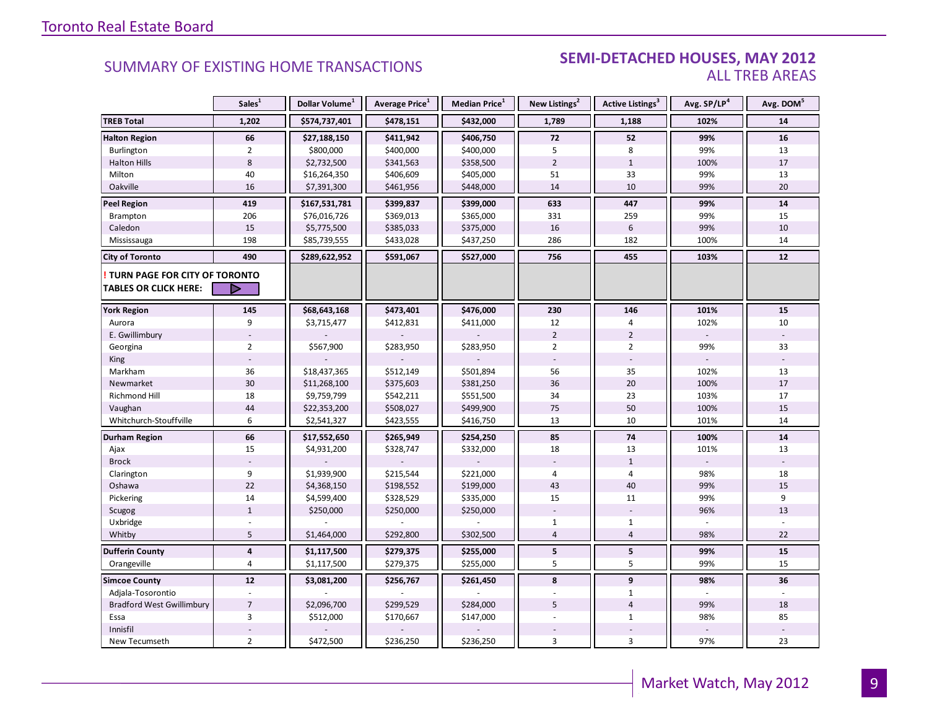#### **Industrial SUMMARY OF EXISTING HOME TRANSACTIONS SEMI-DETACHED HOUSES, MAY 2012** ALL TREB AREAS

|                                  | Sales <sup>1</sup> | Dollar Volume <sup>1</sup> | Average Price <sup>1</sup> | Median Price <sup>1</sup> | New Listings <sup>2</sup> | Active Listings <sup>3</sup> | Avg. SP/LP <sup>4</sup> | Avg. DOM <sup>5</sup> |
|----------------------------------|--------------------|----------------------------|----------------------------|---------------------------|---------------------------|------------------------------|-------------------------|-----------------------|
| <b>TREB Total</b>                | 1,202              | \$574,737,401              | \$478,151                  | \$432,000                 | 1,789                     | 1,188                        | 102%                    | 14                    |
| <b>Halton Region</b>             | 66                 | \$27,188,150               | \$411,942                  | \$406,750                 | 72                        | 52                           | 99%                     | 16                    |
| Burlington                       | $\overline{2}$     | \$800,000                  | \$400,000                  | \$400,000                 | 5                         | 8                            | 99%                     | 13                    |
| <b>Halton Hills</b>              | $\,8\,$            | \$2,732,500                | \$341,563                  | \$358,500                 | $\overline{2}$            | $\mathbf{1}$                 | 100%                    | 17                    |
| Milton                           | 40                 | \$16,264,350               | \$406,609                  | \$405,000                 | 51                        | 33                           | 99%                     | 13                    |
| Oakville                         | 16                 | \$7,391,300                | \$461,956                  | \$448,000                 | 14                        | 10                           | 99%                     | 20                    |
| <b>Peel Region</b>               | 419                | \$167,531,781              | \$399,837                  | \$399,000                 | 633                       | 447                          | 99%                     | 14                    |
| Brampton                         | 206                | \$76,016,726               | \$369,013                  | \$365,000                 | 331                       | 259                          | 99%                     | 15                    |
| Caledon                          | 15                 | \$5,775,500                | \$385,033                  | \$375,000                 | 16                        | $\,6\,$                      | 99%                     | 10                    |
| Mississauga                      | 198                | \$85,739,555               | \$433,028                  | \$437,250                 | 286                       | 182                          | 100%                    | 14                    |
| <b>City of Toronto</b>           | 490                | \$289,622,952              | \$591,067                  | \$527,000                 | 756                       | 455                          | 103%                    | 12                    |
| TURN PAGE FOR CITY OF TORONTO    |                    |                            |                            |                           |                           |                              |                         |                       |
| <b>TABLES OR CLICK HERE:</b>     | D                  |                            |                            |                           |                           |                              |                         |                       |
| <b>York Region</b>               | 145                | \$68,643,168               | \$473,401                  | \$476,000                 | 230                       | 146                          | 101%                    | 15                    |
| Aurora                           | 9                  | \$3,715,477                | \$412,831                  | \$411,000                 | 12                        | 4                            | 102%                    | 10                    |
| E. Gwillimbury                   |                    |                            |                            |                           | $\overline{2}$            | $\overline{2}$               |                         |                       |
| Georgina                         | $\overline{2}$     | \$567,900                  | \$283,950                  | \$283,950                 | $\overline{2}$            | $\overline{2}$               | 99%                     | 33                    |
| King                             |                    |                            |                            |                           |                           |                              |                         |                       |
| Markham                          | 36                 | \$18,437,365               | \$512,149                  | \$501,894                 | 56                        | 35                           | 102%                    | 13                    |
| Newmarket                        | 30                 | \$11,268,100               | \$375,603                  | \$381,250                 | 36                        | 20                           | 100%                    | 17                    |
| Richmond Hill                    | 18                 | \$9,759,799                | \$542,211                  | \$551,500                 | 34                        | 23                           | 103%                    | 17                    |
| Vaughan                          | 44                 | \$22,353,200               | \$508,027                  | \$499,900                 | 75                        | 50                           | 100%                    | 15                    |
| Whitchurch-Stouffville           | 6                  | \$2,541,327                | \$423,555                  | \$416,750                 | 13                        | 10                           | 101%                    | 14                    |
| Durham Region                    | 66                 | \$17,552,650               | \$265,949                  | \$254,250                 | 85                        | 74                           | 100%                    | 14                    |
| Ajax                             | 15                 | \$4,931,200                | \$328,747                  | \$332,000                 | 18                        | 13                           | 101%                    | 13                    |
| <b>Brock</b>                     |                    |                            |                            |                           |                           | $\mathbf{1}$                 |                         |                       |
| Clarington                       | 9                  | \$1,939,900                | \$215,544                  | \$221,000                 | $\overline{4}$            | 4                            | 98%                     | 18                    |
| Oshawa                           | 22                 | \$4,368,150                | \$198,552                  | \$199,000                 | 43                        | 40                           | 99%                     | 15                    |
| Pickering                        | 14                 | \$4,599,400                | \$328,529                  | \$335,000                 | 15                        | 11                           | 99%                     | 9                     |
| Scugog                           | $\mathbf{1}$       | \$250,000                  | \$250,000                  | \$250,000                 |                           |                              | 96%                     | 13                    |
| Uxbridge                         |                    |                            |                            |                           | $\mathbf{1}$              | $\mathbf{1}$                 |                         |                       |
| Whitby                           | 5                  | \$1,464,000                | \$292,800                  | \$302,500                 | $\overline{4}$            | $\overline{4}$               | 98%                     | 22                    |
| <b>Dufferin County</b>           | $\pmb{4}$          | \$1,117,500                | \$279,375                  | \$255,000                 | 5                         | 5                            | 99%                     | 15                    |
| Orangeville                      | $\overline{4}$     | \$1,117,500                | \$279,375                  | \$255,000                 | 5                         | 5                            | 99%                     | 15                    |
| <b>Simcoe County</b>             | 12                 | \$3,081,200                | \$256,767                  | \$261,450                 | 8                         | 9                            | 98%                     | 36                    |
| Adjala-Tosorontio                |                    |                            |                            |                           |                           | $\mathbf{1}$                 |                         |                       |
| <b>Bradford West Gwillimbury</b> | $\overline{7}$     | \$2,096,700                | \$299,529                  | \$284,000                 | 5                         | $\overline{4}$               | 99%                     | 18                    |
| Essa                             | $\overline{3}$     | \$512,000                  | \$170,667                  | \$147,000                 |                           | $\mathbf{1}$                 | 98%                     | 85                    |
| Innisfil                         |                    |                            |                            |                           |                           |                              |                         |                       |
| New Tecumseth                    | $\overline{2}$     | \$472,500                  | \$236,250                  | \$236,250                 | 3                         | $\overline{3}$               | 97%                     | 23                    |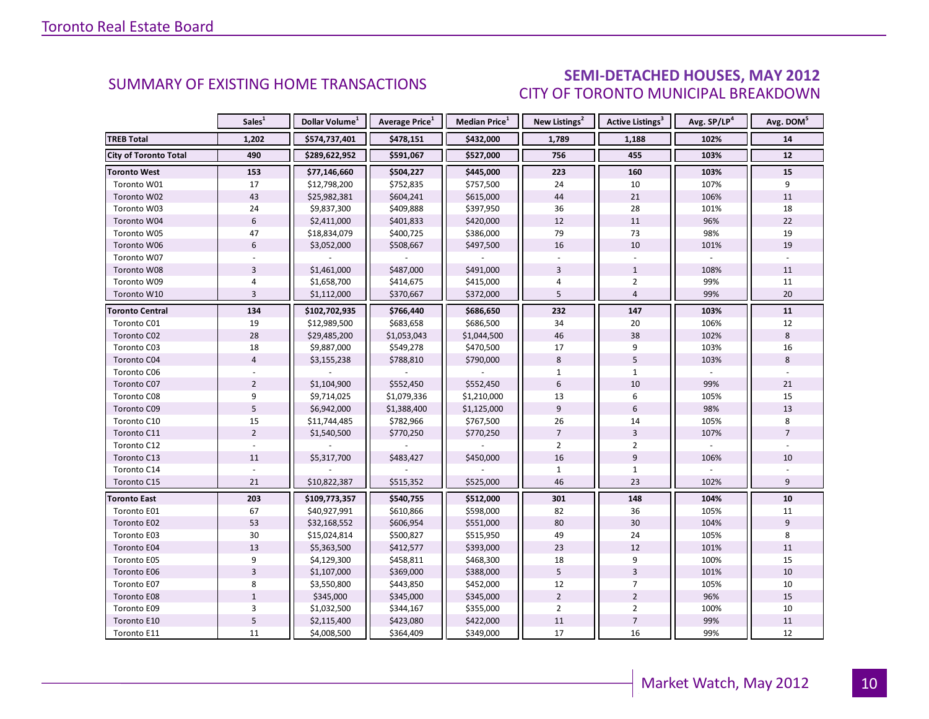### SEMI-DETACHED HOUSES, MAY 2012 CITY OF TORONTO MUNICIPAL BREAKDOWN

<span id="page-9-0"></span>

|                              | Sales <sup>1</sup> | Dollar Volume <sup>1</sup> | <b>Average Price</b> <sup>1</sup> | Median Price <sup>1</sup> | New Listings <sup>2</sup> | <b>Active Listings<sup>3</sup></b> | Avg. SP/LP <sup>4</sup> | Avg. DOM <sup>5</sup> |
|------------------------------|--------------------|----------------------------|-----------------------------------|---------------------------|---------------------------|------------------------------------|-------------------------|-----------------------|
| <b>TREB Total</b>            | 1,202              | \$574,737,401              | \$478,151                         | \$432,000                 | 1,789                     | 1,188                              | 102%                    | 14                    |
| <b>City of Toronto Total</b> | 490                | \$289,622,952              | \$591,067                         | \$527,000                 | 756                       | 455                                | 103%                    | 12                    |
| <b>Toronto West</b>          | 153                | \$77,146,660               | \$504,227                         | \$445,000                 | 223                       | 160                                | 103%                    | 15                    |
| Toronto W01                  | 17                 | \$12,798,200               | \$752,835                         | \$757,500                 | 24                        | 10                                 | 107%                    | 9                     |
| Toronto W02                  | 43                 | \$25,982,381               | \$604,241                         | \$615,000                 | 44                        | 21                                 | 106%                    | 11                    |
| Toronto W03                  | 24                 | \$9,837,300                | \$409,888                         | \$397,950                 | 36                        | 28                                 | 101%                    | 18                    |
| Toronto W04                  | 6                  | \$2,411,000                | \$401,833                         | \$420,000                 | 12                        | 11                                 | 96%                     | 22                    |
| Toronto W05                  | 47                 | \$18,834,079               | \$400,725                         | \$386,000                 | 79                        | 73                                 | 98%                     | 19                    |
| Toronto W06                  | 6                  | \$3,052,000                | \$508,667                         | \$497,500                 | 16                        | 10                                 | 101%                    | 19                    |
| Toronto W07                  |                    |                            |                                   |                           |                           |                                    |                         |                       |
| Toronto W08                  | $\overline{3}$     | \$1,461,000                | \$487,000                         | \$491,000                 | $\overline{3}$            | $\mathbf{1}$                       | 108%                    | 11                    |
| Toronto W09                  | 4                  | \$1,658,700                | \$414,675                         | \$415,000                 | 4                         | $\overline{2}$                     | 99%                     | 11                    |
| Toronto W10                  | $\overline{3}$     | \$1,112,000                | \$370,667                         | \$372,000                 | 5                         | $\overline{4}$                     | 99%                     | 20                    |
| <b>Toronto Central</b>       | 134                | \$102,702,935              | \$766,440                         | \$686,650                 | 232                       | 147                                | 103%                    | 11                    |
| Toronto C01                  | 19                 | \$12,989,500               | \$683,658                         | \$686,500                 | 34                        | 20                                 | 106%                    | 12                    |
| Toronto C02                  | 28                 | \$29,485,200               | \$1,053,043                       | \$1,044,500               | 46                        | 38                                 | 102%                    | 8                     |
| Toronto C03                  | 18                 | \$9,887,000                | \$549,278                         | \$470,500                 | 17                        | 9                                  | 103%                    | 16                    |
| Toronto C04                  | $\overline{4}$     | \$3,155,238                | \$788,810                         | \$790,000                 | 8                         | 5                                  | 103%                    | 8                     |
| Toronto C06                  |                    |                            |                                   |                           | $\mathbf{1}$              | $\mathbf{1}$                       |                         |                       |
| Toronto C07                  | $\overline{2}$     | \$1,104,900                | \$552,450                         | \$552,450                 | 6                         | 10                                 | 99%                     | 21                    |
| Toronto C08                  | 9                  | \$9,714,025                | \$1,079,336                       | \$1,210,000               | 13                        | 6                                  | 105%                    | 15                    |
| Toronto C09                  | 5                  | \$6,942,000                | \$1,388,400                       | \$1,125,000               | 9                         | 6                                  | 98%                     | 13                    |
| Toronto C10                  | 15                 | \$11,744,485               | \$782,966                         | \$767,500                 | 26                        | 14                                 | 105%                    | 8                     |
| Toronto C11                  | $\overline{2}$     | \$1,540,500                | \$770,250                         | \$770,250                 | $\overline{7}$            | $\overline{3}$                     | 107%                    | $\overline{7}$        |
| Toronto C12                  |                    |                            |                                   |                           | $\overline{2}$            | $\overline{2}$                     |                         |                       |
| Toronto C13                  | 11                 | \$5,317,700                | \$483,427                         | \$450,000                 | 16                        | 9                                  | 106%                    | 10                    |
| Toronto C14                  |                    |                            |                                   |                           | $\mathbf{1}$              | $\mathbf{1}$                       |                         |                       |
| Toronto C15                  | 21                 | \$10,822,387               | \$515,352                         | \$525,000                 | 46                        | 23                                 | 102%                    | 9                     |
| <b>Toronto East</b>          | 203                | \$109,773,357              | \$540,755                         | \$512,000                 | 301                       | 148                                | 104%                    | 10                    |
| Toronto E01                  | 67                 | \$40,927,991               | \$610,866                         | \$598,000                 | 82                        | 36                                 | 105%                    | 11                    |
| Toronto E02                  | 53                 | \$32,168,552               | \$606,954                         | \$551,000                 | 80                        | 30                                 | 104%                    | 9                     |
| Toronto E03                  | 30                 | \$15,024,814               | \$500,827                         | \$515,950                 | 49                        | 24                                 | 105%                    | 8                     |
| Toronto E04                  | 13                 | \$5,363,500                | \$412,577                         | \$393,000                 | 23                        | 12                                 | 101%                    | 11                    |
| Toronto E05                  | 9                  | \$4,129,300                | \$458,811                         | \$468,300                 | 18                        | 9                                  | 100%                    | 15                    |
| Toronto E06                  | $\overline{3}$     | \$1,107,000                | \$369,000                         | \$388,000                 | 5                         | $\overline{3}$                     | 101%                    | 10                    |
| Toronto E07                  | 8                  | \$3,550,800                | \$443,850                         | \$452,000                 | 12                        | $\overline{7}$                     | 105%                    | 10                    |
| Toronto E08                  | $1\,$              | \$345,000                  | \$345,000                         | \$345,000                 | $\overline{2}$            | $\overline{2}$                     | 96%                     | 15                    |
| Toronto E09                  | 3                  | \$1,032,500                | \$344,167                         | \$355,000                 | $\overline{2}$            | $\overline{2}$                     | 100%                    | 10                    |
| Toronto E10                  | $\mathsf S$        | \$2,115,400                | \$423,080                         | \$422,000                 | 11                        | $\overline{7}$                     | 99%                     | 11                    |
| Toronto E11                  | 11                 | \$4,008,500                | \$364,409                         | \$349,000                 | 17                        | 16                                 | 99%                     | 12                    |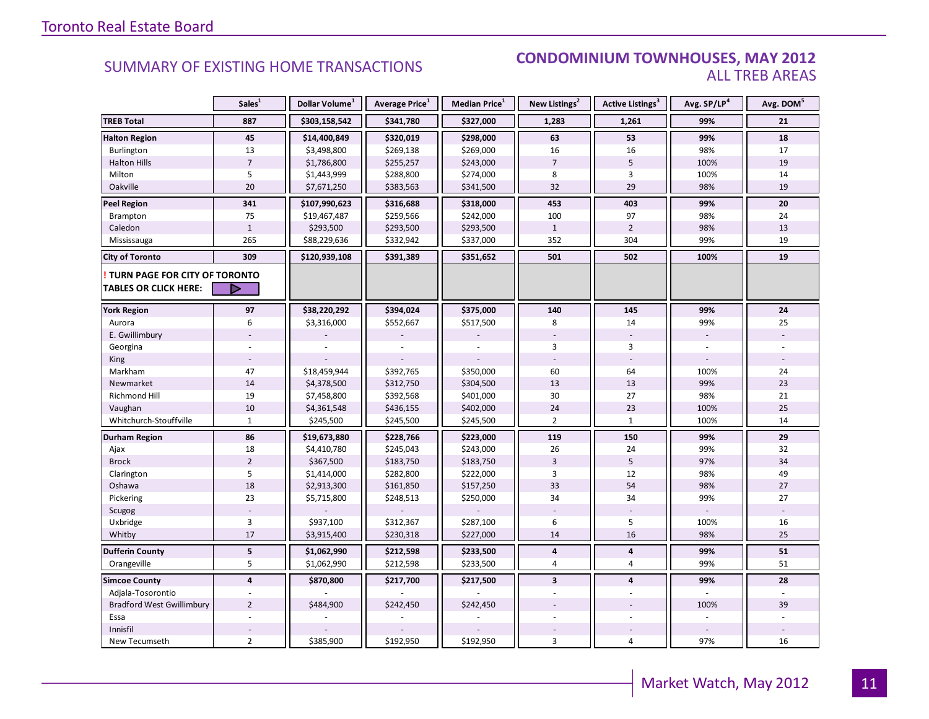#### SUMMARY OF EXISTING HOME TRANSACTIONS **CONDOMINIUM TOWNHOUSES, MAY 2012** ALL TREB AREAS

|                                  | Sales <sup>1</sup>      | Dollar Volume <sup>1</sup> | Average Price <sup>1</sup> | Median Price <sup>1</sup> | New Listings <sup>2</sup> | Active Listings <sup>3</sup> | Avg. SP/LP <sup>4</sup> | Avg. DOM <sup>5</sup> |
|----------------------------------|-------------------------|----------------------------|----------------------------|---------------------------|---------------------------|------------------------------|-------------------------|-----------------------|
| <b>TREB Total</b>                | 887                     | \$303,158,542              | \$341,780                  | \$327,000                 | 1,283                     | 1,261                        | 99%                     | 21                    |
| <b>Halton Region</b>             | 45                      | \$14,400,849               | \$320,019                  | \$298,000                 | 63                        | 53                           | 99%                     | 18                    |
| Burlington                       | 13                      | \$3,498,800                | \$269,138                  | \$269,000                 | 16                        | 16                           | 98%                     | 17                    |
| <b>Halton Hills</b>              | $\overline{7}$          | \$1,786,800                | \$255,257                  | \$243,000                 | $\overline{7}$            | 5                            | 100%                    | 19                    |
| Milton                           | 5                       | \$1,443,999                | \$288,800                  | \$274,000                 | 8                         | 3                            | 100%                    | 14                    |
| Oakville                         | 20                      | \$7,671,250                | \$383,563                  | \$341,500                 | 32                        | 29                           | 98%                     | 19                    |
| <b>Peel Region</b>               | 341                     | \$107,990,623              | \$316,688                  | \$318,000                 | 453                       | 403                          | 99%                     | 20                    |
| Brampton                         | 75                      | \$19,467,487               | \$259,566                  | \$242,000                 | 100                       | 97                           | 98%                     | 24                    |
| Caledon                          | $\mathbf{1}$            | \$293,500                  | \$293,500                  | \$293,500                 | $\mathbf{1}$              | $\overline{2}$               | 98%                     | 13                    |
| Mississauga                      | 265                     | \$88,229,636               | \$332,942                  | \$337,000                 | 352                       | 304                          | 99%                     | 19                    |
| <b>City of Toronto</b>           | 309                     | \$120,939,108              | \$391,389                  | \$351,652                 | 501                       | 502                          | 100%                    | 19                    |
| TURN PAGE FOR CITY OF TORONTO    |                         |                            |                            |                           |                           |                              |                         |                       |
| <b>TABLES OR CLICK HERE:</b>     | D                       |                            |                            |                           |                           |                              |                         |                       |
| <b>York Region</b>               | 97                      | \$38,220,292               | \$394,024                  | \$375,000                 | 140                       | 145                          | 99%                     | 24                    |
| Aurora                           | 6                       | \$3,316,000                | \$552,667                  | \$517,500                 | 8                         | 14                           | 99%                     | 25                    |
| E. Gwillimbury                   |                         |                            |                            |                           |                           |                              |                         |                       |
| Georgina                         |                         |                            |                            |                           | 3                         | 3                            |                         |                       |
| King                             |                         |                            |                            |                           |                           |                              |                         |                       |
| Markham                          | 47                      | \$18,459,944               | \$392,765                  | \$350,000                 | 60                        | 64                           | 100%                    | 24                    |
| Newmarket                        | 14                      | \$4,378,500                | \$312,750                  | \$304,500                 | 13                        | 13                           | 99%                     | 23                    |
| <b>Richmond Hill</b>             | 19                      | \$7,458,800                | \$392,568                  | \$401,000                 | 30                        | 27                           | 98%                     | 21                    |
| Vaughan                          | 10                      | \$4,361,548                | \$436,155                  | \$402,000                 | 24                        | 23                           | 100%                    | 25                    |
| Whitchurch-Stouffville           | $\mathbf{1}$            | \$245,500                  | \$245,500                  | \$245,500                 | $\overline{2}$            | $\mathbf{1}$                 | 100%                    | 14                    |
| Durham Region                    | 86                      | \$19,673,880               | \$228,766                  | \$223,000                 | 119                       | 150                          | 99%                     | 29                    |
| Ajax                             | 18                      | \$4,410,780                | \$245,043                  | \$243,000                 | 26                        | 24                           | 99%                     | 32                    |
| <b>Brock</b>                     | $\overline{2}$          | \$367,500                  | \$183,750                  | \$183,750                 | 3                         | 5                            | 97%                     | 34                    |
| Clarington                       | 5                       | \$1,414,000                | \$282,800                  | \$222,000                 | 3                         | 12                           | 98%                     | 49                    |
| Oshawa                           | 18                      | \$2,913,300                | \$161,850                  | \$157,250                 | 33                        | 54                           | 98%                     | 27                    |
| Pickering                        | 23                      | \$5,715,800                | \$248,513                  | \$250,000                 | 34                        | 34                           | 99%                     | 27                    |
| Scugog                           |                         |                            |                            |                           |                           |                              |                         |                       |
| Uxbridge                         | $\overline{3}$          | \$937,100                  | \$312,367                  | \$287,100                 | 6                         | 5                            | 100%                    | 16                    |
| Whitby                           | 17                      | \$3,915,400                | \$230,318                  | \$227,000                 | 14                        | 16                           | 98%                     | 25                    |
| <b>Dufferin County</b>           | $\overline{\mathbf{5}}$ | \$1,062,990                | \$212,598                  | \$233,500                 | 4                         | 4                            | 99%                     | 51                    |
| Orangeville                      | 5                       | \$1,062,990                | \$212,598                  | \$233,500                 | 4                         | 4                            | 99%                     | 51                    |
| <b>Simcoe County</b>             | $\overline{4}$          | \$870,800                  | \$217,700                  | \$217,500                 | $\overline{\mathbf{3}}$   | $\overline{\mathbf{4}}$      | 99%                     | 28                    |
| Adjala-Tosorontio                |                         |                            |                            |                           |                           |                              |                         |                       |
| <b>Bradford West Gwillimbury</b> | $\overline{2}$          | \$484,900                  | \$242,450                  | \$242,450                 |                           |                              | 100%                    | 39                    |
| Essa                             |                         |                            |                            |                           |                           |                              |                         |                       |
| Innisfil                         |                         |                            |                            |                           |                           |                              |                         |                       |
| New Tecumseth                    | $\overline{2}$          | \$385,900                  | \$192,950                  | \$192,950                 | 3                         | 4                            | 97%                     | 16                    |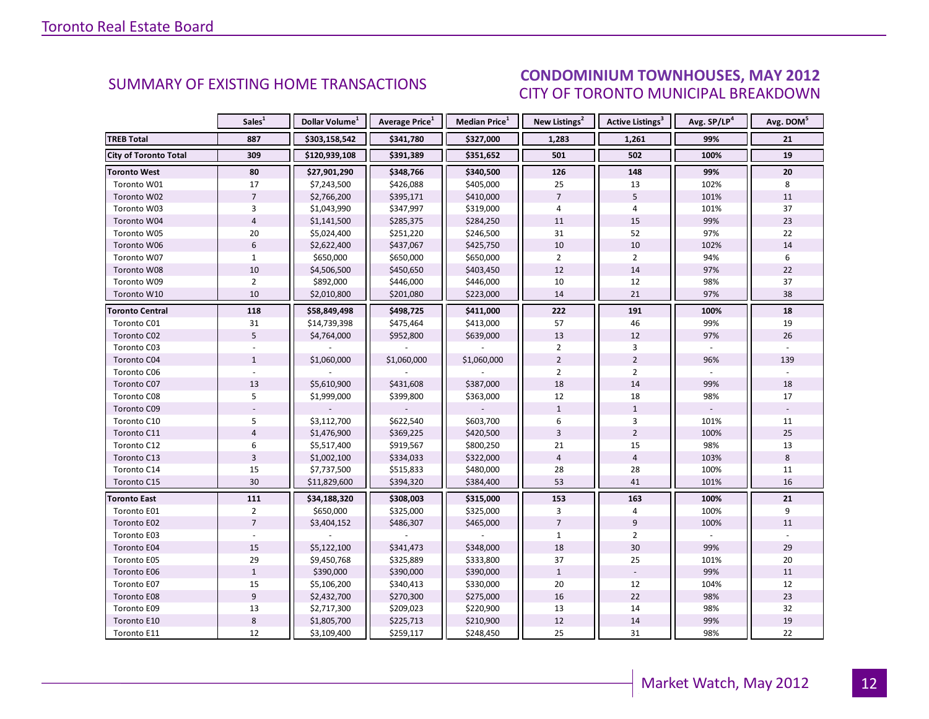#### ICEC MAV 2012 CITY OF TORONTO MUNICIPAL BREAKDOWN SUMMARY OF EXISTING HOME TRANSACTIONS<br>CITY OF TOPONTO MUINICIPAL PREAKDOMAL

<span id="page-11-0"></span>

|                              | Sales <sup>1</sup> | Dollar Volume <sup>1</sup> | <b>Average Price</b> <sup>1</sup> | <b>Median Price</b> <sup>1</sup> | New Listings <sup>2</sup> | Active Listings <sup>3</sup> | Avg. SP/LP <sup>4</sup> | Avg. DOM <sup>5</sup> |
|------------------------------|--------------------|----------------------------|-----------------------------------|----------------------------------|---------------------------|------------------------------|-------------------------|-----------------------|
| <b>TREB Total</b>            | 887                | \$303,158,542              | \$341,780                         | \$327,000                        | 1,283                     | 1,261                        | 99%                     | 21                    |
| <b>City of Toronto Total</b> | 309                | \$120,939,108              | \$391,389                         | \$351,652                        | 501                       | 502                          | 100%                    | 19                    |
| <b>Toronto West</b>          | 80                 | \$27,901,290               | \$348,766                         | \$340,500                        | 126                       | 148                          | 99%                     | 20                    |
| Toronto W01                  | 17                 | \$7,243,500                | \$426,088                         | \$405,000                        | 25                        | 13                           | 102%                    | 8                     |
| Toronto W02                  | $\overline{7}$     | \$2,766,200                | \$395,171                         | \$410,000                        | $\overline{7}$            | 5                            | 101%                    | 11                    |
| Toronto W03                  | 3                  | \$1,043,990                | \$347,997                         | \$319,000                        | 4                         | 4                            | 101%                    | 37                    |
| Toronto W04                  | $\overline{4}$     | \$1,141,500                | \$285,375                         | \$284,250                        | 11                        | 15                           | 99%                     | 23                    |
| Toronto W05                  | 20                 | \$5,024,400                | \$251,220                         | \$246,500                        | 31                        | 52                           | 97%                     | 22                    |
| Toronto W06                  | $6\phantom{a}$     | \$2,622,400                | \$437,067                         | \$425,750                        | 10                        | 10                           | 102%                    | 14                    |
| Toronto W07                  | $\mathbf{1}$       | \$650,000                  | \$650,000                         | \$650,000                        | $\overline{2}$            | $\overline{2}$               | 94%                     | 6                     |
| Toronto W08                  | $10\,$             | \$4,506,500                | \$450,650                         | \$403,450                        | 12                        | 14                           | 97%                     | 22                    |
| Toronto W09                  | $\overline{2}$     | \$892,000                  | \$446,000                         | \$446,000                        | 10                        | 12                           | 98%                     | 37                    |
| Toronto W10                  | 10                 | \$2,010,800                | \$201,080                         | \$223,000                        | 14                        | 21                           | 97%                     | 38                    |
| Toronto Central              | 118                | \$58,849,498               | \$498,725                         | \$411,000                        | 222                       | 191                          | 100%                    | 18                    |
| Toronto C01                  | 31                 | \$14,739,398               | \$475,464                         | \$413,000                        | 57                        | 46                           | 99%                     | 19                    |
| Toronto C02                  | 5                  | \$4,764,000                | \$952,800                         | \$639,000                        | 13                        | 12                           | 97%                     | 26                    |
| Toronto C03                  |                    |                            |                                   |                                  | $\overline{2}$            | 3                            |                         |                       |
| Toronto C04                  | $\mathbf{1}$       | \$1,060,000                | \$1,060,000                       | \$1,060,000                      | $\overline{2}$            | $\overline{2}$               | 96%                     | 139                   |
| Toronto C06                  |                    |                            |                                   |                                  | $\overline{2}$            | $\overline{2}$               |                         |                       |
| Toronto C07                  | 13                 | \$5,610,900                | \$431,608                         | \$387,000                        | 18                        | 14                           | 99%                     | 18                    |
| Toronto C08                  | 5                  | \$1,999,000                | \$399,800                         | \$363,000                        | 12                        | 18                           | 98%                     | 17                    |
| Toronto C09                  |                    |                            |                                   |                                  | $\mathbf{1}$              | $\mathbf{1}$                 |                         |                       |
| Toronto C10                  | 5                  | \$3,112,700                | \$622,540                         | \$603,700                        | 6                         | 3                            | 101%                    | 11                    |
| Toronto C11                  | $\overline{4}$     | \$1,476,900                | \$369,225                         | \$420,500                        | $\overline{3}$            | $\overline{2}$               | 100%                    | 25                    |
| Toronto C12                  | 6                  | \$5,517,400                | \$919,567                         | \$800,250                        | 21                        | 15                           | 98%                     | 13                    |
| Toronto C13                  | $\overline{3}$     | \$1,002,100                | \$334,033                         | \$322,000                        | $\overline{4}$            | $\overline{4}$               | 103%                    | 8                     |
| Toronto C14                  | 15                 | \$7,737,500                | \$515,833                         | \$480,000                        | 28                        | 28                           | 100%                    | 11                    |
| Toronto C15                  | 30                 | \$11,829,600               | \$394,320                         | \$384,400                        | 53                        | 41                           | 101%                    | 16                    |
| <b>Toronto East</b>          | 111                | \$34,188,320               | \$308,003                         | \$315,000                        | 153                       | 163                          | 100%                    | 21                    |
| Toronto E01                  | $\overline{2}$     | \$650,000                  | \$325,000                         | \$325,000                        | 3                         | 4                            | 100%                    | 9                     |
| Toronto E02                  | $\overline{7}$     | \$3,404,152                | \$486,307                         | \$465,000                        | $\overline{7}$            | 9                            | 100%                    | 11                    |
| Toronto E03                  |                    |                            |                                   |                                  | $\mathbf{1}$              | $\overline{2}$               |                         |                       |
| Toronto E04                  | 15                 | \$5,122,100                | \$341,473                         | \$348,000                        | 18                        | 30                           | 99%                     | 29                    |
| Toronto E05                  | 29                 | \$9,450,768                | \$325,889                         | \$333,800                        | 37                        | 25                           | 101%                    | 20                    |
| Toronto E06                  | $\mathbf{1}$       | \$390,000                  | \$390,000                         | \$390,000                        | $\mathbf{1}$              |                              | 99%                     | 11                    |
| Toronto E07                  | 15                 | \$5,106,200                | \$340,413                         | \$330,000                        | 20                        | 12                           | 104%                    | 12                    |
| Toronto E08                  | 9                  | \$2,432,700                | \$270,300                         | \$275,000                        | 16                        | 22                           | 98%                     | 23                    |
| Toronto E09                  | 13                 | \$2,717,300                | \$209,023                         | \$220,900                        | 13                        | 14                           | 98%                     | 32                    |
| Toronto E10                  | 8                  | \$1,805,700                | \$225,713                         | \$210,900                        | 12                        | 14                           | 99%                     | 19                    |
| Toronto E11                  | 12                 | \$3,109,400                | \$259,117                         | \$248,450                        | 25                        | 31                           | 98%                     | 22                    |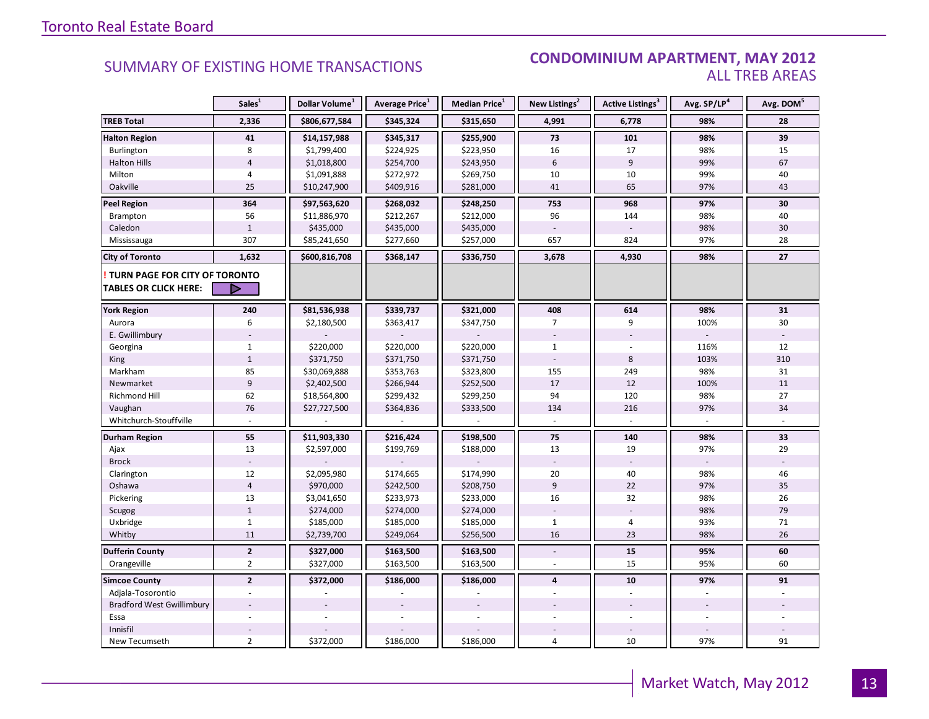#### **Industrial Leasing SUMMARY OF EXISTING HOME TRANSACTIONS CONDOMINIUM APARTMENT, MAY 2012** ALL TREB AREAS

|                                  | Sales <sup>1</sup> | Dollar Volume <sup>1</sup> | Average Price <sup>1</sup> | Median Price <sup>1</sup> | New Listings <sup>2</sup> | Active Listings <sup>3</sup> | Avg. SP/LP <sup>4</sup> | Avg. DOM <sup>5</sup> |
|----------------------------------|--------------------|----------------------------|----------------------------|---------------------------|---------------------------|------------------------------|-------------------------|-----------------------|
| <b>TREB Total</b>                | 2,336              | \$806,677,584              | \$345,324                  | \$315,650                 | 4,991                     | 6,778                        | 98%                     | 28                    |
| <b>Halton Region</b>             | 41                 | \$14,157,988               | \$345,317                  | \$255,900                 | 73                        | 101                          | 98%                     | 39                    |
| Burlington                       | 8                  | \$1,799,400                | \$224,925                  | \$223,950                 | 16                        | 17                           | 98%                     | 15                    |
| <b>Halton Hills</b>              | $\overline{4}$     | \$1,018,800                | \$254,700                  | \$243,950                 | 6                         | 9                            | 99%                     | 67                    |
| Milton                           | $\overline{4}$     | \$1,091,888                | \$272,972                  | \$269,750                 | 10                        | 10                           | 99%                     | 40                    |
| Oakville                         | 25                 | \$10,247,900               | \$409,916                  | \$281,000                 | 41                        | 65                           | 97%                     | 43                    |
| <b>Peel Region</b>               | 364                | \$97,563,620               | \$268,032                  | \$248,250                 | 753                       | 968                          | 97%                     | 30                    |
| <b>Brampton</b>                  | 56                 | \$11,886,970               | \$212,267                  | \$212,000                 | 96                        | 144                          | 98%                     | 40                    |
| Caledon                          | $\mathbf{1}$       | \$435,000                  | \$435,000                  | \$435,000                 |                           |                              | 98%                     | 30                    |
| Mississauga                      | 307                | \$85,241,650               | \$277,660                  | \$257,000                 | 657                       | 824                          | 97%                     | 28                    |
| <b>City of Toronto</b>           | 1,632              | \$600,816,708              | \$368,147                  | \$336,750                 | 3,678                     | 4,930                        | 98%                     | 27                    |
| TURN PAGE FOR CITY OF TORONTO    |                    |                            |                            |                           |                           |                              |                         |                       |
| <b>TABLES OR CLICK HERE:</b>     | D                  |                            |                            |                           |                           |                              |                         |                       |
| <b>York Region</b>               | 240                | \$81,536,938               | \$339,737                  | \$321,000                 | 408                       | 614                          | 98%                     | 31                    |
| Aurora                           | 6                  | \$2,180,500                | \$363,417                  | \$347,750                 | 7                         | 9                            | 100%                    | 30                    |
| E. Gwillimbury                   |                    |                            |                            |                           |                           |                              |                         |                       |
| Georgina                         | $\mathbf{1}$       | \$220,000                  | \$220,000                  | \$220,000                 | $\mathbf{1}$              |                              | 116%                    | 12                    |
| <b>King</b>                      | $\mathbf{1}$       | \$371,750                  | \$371,750                  | \$371,750                 |                           | 8                            | 103%                    | 310                   |
| Markham                          | 85                 | \$30,069,888               | \$353,763                  | \$323,800                 | 155                       | 249                          | 98%                     | 31                    |
| Newmarket                        | $\overline{9}$     | \$2,402,500                | \$266,944                  | \$252,500                 | 17                        | 12                           | 100%                    | 11                    |
| Richmond Hill                    | 62                 | \$18,564,800               | \$299,432                  | \$299,250                 | 94                        | 120                          | 98%                     | 27                    |
| Vaughan                          | 76                 | \$27,727,500               | \$364,836                  | \$333,500                 | 134                       | 216                          | 97%                     | 34                    |
| Whitchurch-Stouffville           |                    |                            |                            |                           |                           |                              |                         |                       |
| Durham Region                    | 55                 | \$11,903,330               | \$216,424                  | \$198,500                 | 75                        | 140                          | 98%                     | 33                    |
| Ajax                             | 13                 | \$2,597,000                | \$199,769                  | \$188,000                 | 13                        | 19                           | 97%                     | 29                    |
| <b>Brock</b>                     |                    |                            |                            |                           |                           |                              |                         |                       |
| Clarington                       | 12                 | \$2,095,980                | \$174,665                  | \$174,990                 | 20                        | 40                           | 98%                     | 46                    |
| Oshawa                           | $\overline{4}$     | \$970,000                  | \$242,500                  | \$208,750                 | $\overline{9}$            | 22                           | 97%                     | 35                    |
| Pickering                        | 13                 | \$3,041,650                | \$233,973                  | \$233,000                 | 16                        | 32                           | 98%                     | 26                    |
| Scugog                           | $\mathbf{1}$       | \$274,000                  | \$274,000                  | \$274,000                 | $\sim$                    |                              | 98%                     | 79                    |
| Uxbridge                         | $\mathbf{1}$       | \$185,000                  | \$185,000                  | \$185,000                 | $\mathbf{1}$              | 4                            | 93%                     | 71                    |
| Whitby                           | 11                 | \$2,739,700                | \$249,064                  | \$256,500                 | 16                        | 23                           | 98%                     | 26                    |
| <b>Dufferin County</b>           | $\overline{2}$     | \$327,000                  | \$163,500                  | \$163,500                 | $\blacksquare$            | 15                           | 95%                     | 60                    |
| Orangeville                      | $\overline{2}$     | \$327,000                  | \$163,500                  | \$163,500                 | $\overline{a}$            | 15                           | 95%                     | 60                    |
| <b>Simcoe County</b>             | $\overline{2}$     | \$372,000                  | \$186,000                  | \$186,000                 | $\overline{\mathbf{4}}$   | 10                           | 97%                     | 91                    |
| Adjala-Tosorontio                |                    |                            |                            |                           |                           |                              |                         |                       |
| <b>Bradford West Gwillimbury</b> |                    |                            |                            |                           |                           |                              |                         |                       |
| Essa                             |                    |                            |                            |                           |                           |                              |                         |                       |
| Innisfil                         |                    |                            |                            |                           |                           |                              |                         |                       |
| New Tecumseth                    | $\overline{2}$     | \$372,000                  | \$186,000                  | \$186,000                 | 4                         | 10                           | 97%                     | 91                    |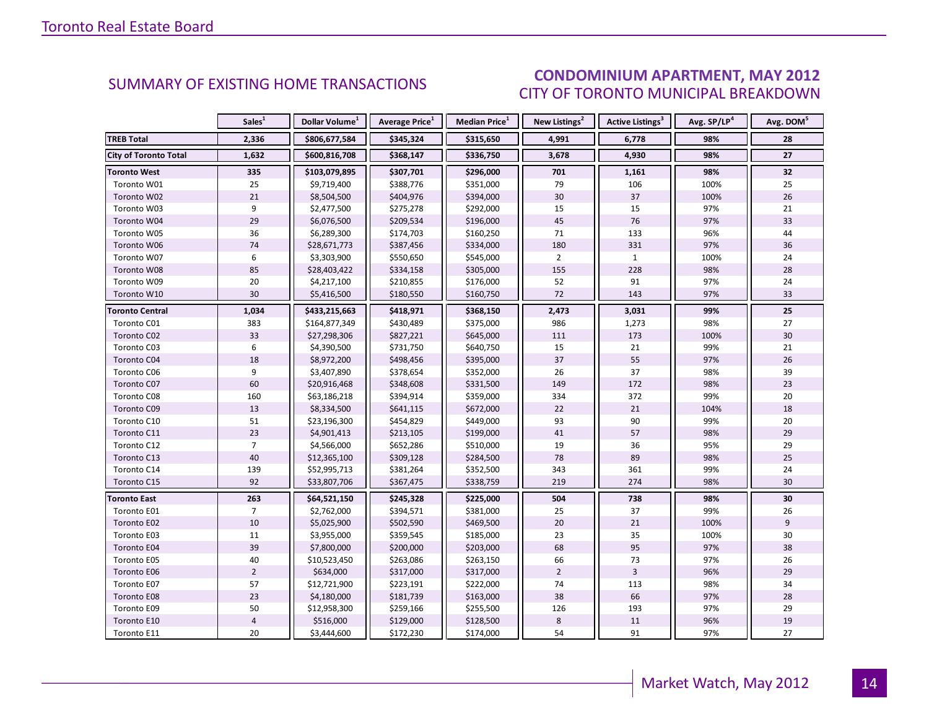#### **ENT MAY 2012** CITY OF TORONTO MUNICIPAL BREAKDOWN **CONDOMINIUM APARTMENT, MAY 2012**<br>CITY OF TOPONTO MILINICIPAL PREAKDOMAL

<span id="page-13-0"></span>

|                              | Sales <sup>1</sup> | Dollar Volume <sup>1</sup> | <b>Average Price</b> <sup>1</sup> | <b>Median Price</b> <sup>1</sup> | New Listings <sup>2</sup> | <b>Active Listings<sup>3</sup></b> | Avg. SP/LP <sup>4</sup> | Avg. DOM <sup>5</sup> |
|------------------------------|--------------------|----------------------------|-----------------------------------|----------------------------------|---------------------------|------------------------------------|-------------------------|-----------------------|
| <b>TREB Total</b>            | 2,336              | \$806,677,584              | \$345,324                         | \$315,650                        | 4,991                     | 6,778                              | 98%                     | 28                    |
| <b>City of Toronto Total</b> | 1,632              | \$600,816,708              | \$368,147                         | \$336,750                        | 3,678                     | 4,930                              | 98%                     | 27                    |
| <b>Toronto West</b>          | 335                | \$103,079,895              | \$307,701                         | \$296,000                        | 701                       | 1,161                              | 98%                     | 32                    |
| Toronto W01                  | 25                 | \$9,719,400                | \$388,776                         | \$351,000                        | 79                        | 106                                | 100%                    | 25                    |
| Toronto W02                  | 21                 | \$8,504,500                | \$404,976                         | \$394,000                        | 30                        | 37                                 | 100%                    | 26                    |
| Toronto W03                  | 9                  | \$2,477,500                | \$275,278                         | \$292,000                        | 15                        | 15                                 | 97%                     | 21                    |
| Toronto W04                  | 29                 | \$6,076,500                | \$209,534                         | \$196,000                        | 45                        | 76                                 | 97%                     | 33                    |
| Toronto W05                  | 36                 | \$6,289,300                | \$174,703                         | \$160,250                        | 71                        | 133                                | 96%                     | 44                    |
| Toronto W06                  | 74                 | \$28,671,773               | \$387,456                         | \$334,000                        | 180                       | 331                                | 97%                     | 36                    |
| Toronto W07                  | 6                  | \$3,303,900                | \$550,650                         | \$545,000                        | $\overline{2}$            | $\mathbf{1}$                       | 100%                    | 24                    |
| Toronto W08                  | 85                 | \$28,403,422               | \$334,158                         | \$305,000                        | 155                       | 228                                | 98%                     | 28                    |
| Toronto W09                  | 20                 | \$4,217,100                | \$210,855                         | \$176,000                        | 52                        | 91                                 | 97%                     | 24                    |
| Toronto W10                  | 30                 | \$5,416,500                | \$180,550                         | \$160,750                        | 72                        | 143                                | 97%                     | 33                    |
| Toronto Central              | 1,034              | \$433,215,663              | \$418,971                         | \$368,150                        | 2,473                     | 3,031                              | 99%                     | 25                    |
| Toronto C01                  | 383                | \$164,877,349              | \$430,489                         | \$375,000                        | 986                       | 1,273                              | 98%                     | 27                    |
| Toronto C02                  | 33                 | \$27,298,306               | \$827,221                         | \$645,000                        | 111                       | 173                                | 100%                    | 30                    |
| Toronto C03                  | 6                  | \$4,390,500                | \$731,750                         | \$640,750                        | 15                        | 21                                 | 99%                     | 21                    |
| Toronto C04                  | 18                 | \$8,972,200                | \$498,456                         | \$395,000                        | 37                        | 55                                 | 97%                     | 26                    |
| Toronto C06                  | 9                  | \$3,407,890                | \$378,654                         | \$352,000                        | 26                        | 37                                 | 98%                     | 39                    |
| Toronto C07                  | 60                 | \$20,916,468               | \$348,608                         | \$331,500                        | 149                       | 172                                | 98%                     | 23                    |
| Toronto C08                  | 160                | \$63,186,218               | \$394,914                         | \$359,000                        | 334                       | 372                                | 99%                     | 20                    |
| Toronto C09                  | 13                 | \$8,334,500                | \$641,115                         | \$672,000                        | 22                        | 21                                 | 104%                    | 18                    |
| Toronto C10                  | 51                 | \$23,196,300               | \$454,829                         | \$449,000                        | 93                        | 90                                 | 99%                     | 20                    |
| Toronto C11                  | 23                 | \$4,901,413                | \$213,105                         | \$199,000                        | 41                        | 57                                 | 98%                     | 29                    |
| Toronto C12                  | $\overline{7}$     | \$4,566,000                | \$652,286                         | \$510,000                        | 19                        | 36                                 | 95%                     | 29                    |
| Toronto C13                  | 40                 | \$12,365,100               | \$309,128                         | \$284,500                        | 78                        | 89                                 | 98%                     | 25                    |
| Toronto C14                  | 139                | \$52,995,713               | \$381,264                         | \$352,500                        | 343                       | 361                                | 99%                     | 24                    |
| Toronto C15                  | 92                 | \$33,807,706               | \$367,475                         | \$338,759                        | 219                       | 274                                | 98%                     | 30                    |
| <b>Toronto East</b>          | 263                | \$64,521,150               | \$245,328                         | \$225,000                        | 504                       | 738                                | 98%                     | 30                    |
| Toronto E01                  | $\overline{7}$     | \$2,762,000                | \$394,571                         | \$381,000                        | 25                        | 37                                 | 99%                     | 26                    |
| Toronto E02                  | $10\,$             | \$5,025,900                | \$502,590                         | \$469,500                        | 20                        | 21                                 | 100%                    | $\overline{9}$        |
| Toronto E03                  | 11                 | \$3,955,000                | \$359,545                         | \$185,000                        | 23                        | 35                                 | 100%                    | 30                    |
| Toronto E04                  | 39                 | \$7,800,000                | \$200,000                         | \$203,000                        | 68                        | 95                                 | 97%                     | 38                    |
| Toronto E05                  | 40                 | \$10,523,450               | \$263,086                         | \$263,150                        | 66                        | 73                                 | 97%                     | 26                    |
| Toronto E06                  | $\overline{2}$     | \$634,000                  | \$317,000                         | \$317,000                        | $\overline{2}$            | $\overline{3}$                     | 96%                     | 29                    |
| Toronto E07                  | 57                 | \$12,721,900               | \$223,191                         | \$222,000                        | 74                        | 113                                | 98%                     | 34                    |
| Toronto E08                  | 23                 | \$4,180,000                | \$181,739                         | \$163,000                        | 38                        | 66                                 | 97%                     | 28                    |
| Toronto E09                  | 50                 | \$12,958,300               | \$259,166                         | \$255,500                        | 126                       | 193                                | 97%                     | 29                    |
| Toronto E10                  | $\overline{4}$     | \$516,000                  | \$129,000                         | \$128,500                        | $\,8\,$                   | 11                                 | 96%                     | 19                    |
| Toronto E11                  | 20                 | \$3,444,600                | \$172,230                         | \$174,000                        | 54                        | 91                                 | 97%                     | 27                    |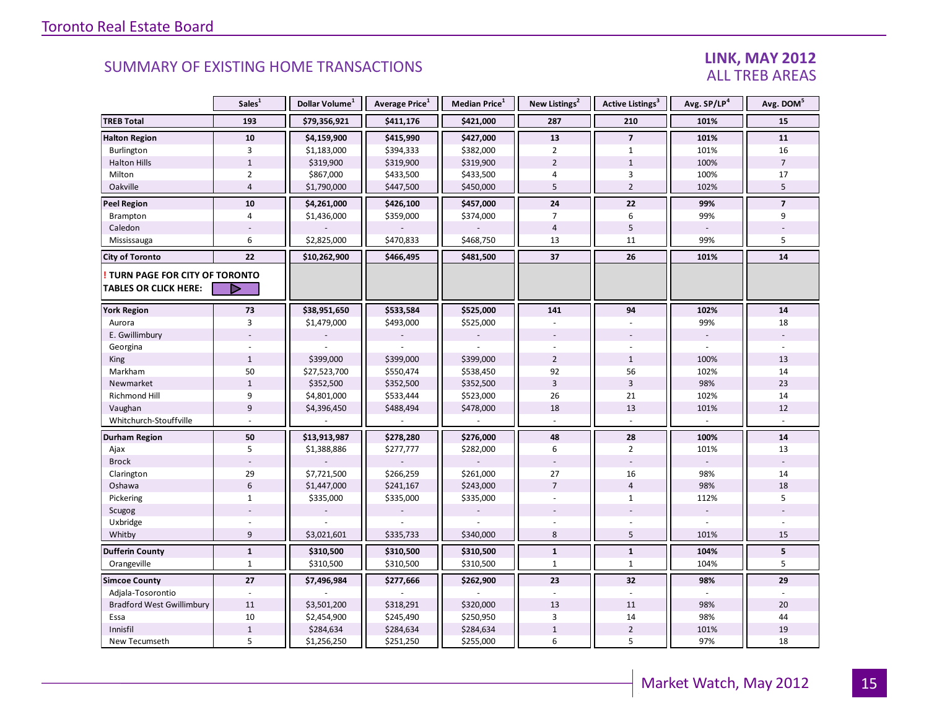### LINK, MAY 2012 ALL TREB AREAS

|                                                               | Sales <sup>1</sup> | Dollar Volume <sup>1</sup> | Average Price <sup>1</sup> | Median Price <sup>1</sup> | New Listings <sup>2</sup> | Active Listings <sup>3</sup> | Avg. SP/LP <sup>4</sup>  | Avg. DOM <sup>5</sup> |
|---------------------------------------------------------------|--------------------|----------------------------|----------------------------|---------------------------|---------------------------|------------------------------|--------------------------|-----------------------|
| <b>TREB Total</b>                                             | 193                | \$79,356,921               | \$411,176                  | \$421,000                 | 287                       | 210                          | 101%                     | 15                    |
| <b>Halton Region</b>                                          | ${\bf 10}$         | \$4,159,900                | \$415,990                  | \$427,000                 | ${\bf 13}$                | $\overline{7}$               | 101%                     | ${\bf 11}$            |
| Burlington                                                    | $\overline{3}$     | \$1,183,000                | \$394,333                  | \$382,000                 | $\overline{2}$            | $\mathbf{1}$                 | 101%                     | 16                    |
| <b>Halton Hills</b>                                           | $1\,$              | \$319,900                  | \$319,900                  | \$319,900                 | $\overline{2}$            | $\mathbf{1}$                 | 100%                     | $\overline{7}$        |
| Milton                                                        | $\overline{2}$     | \$867,000                  | \$433,500                  | \$433,500                 | 4                         | 3                            | 100%                     | 17                    |
| Oakville                                                      | $\overline{4}$     | \$1,790,000                | \$447,500                  | \$450,000                 | 5                         | $\overline{2}$               | 102%                     | 5                     |
| <b>Peel Region</b>                                            | 10                 | \$4,261,000                | \$426,100                  | \$457,000                 | 24                        | 22                           | 99%                      | $\overline{7}$        |
| Brampton                                                      | $\overline{4}$     | \$1,436,000                | \$359,000                  | \$374,000                 | 7                         | 6                            | 99%                      | 9                     |
| Caledon                                                       |                    |                            |                            |                           | $\overline{4}$            | 5                            |                          |                       |
| Mississauga                                                   | 6                  | \$2,825,000                | \$470,833                  | \$468,750                 | 13                        | 11                           | 99%                      | 5                     |
| <b>City of Toronto</b>                                        | 22                 | \$10,262,900               | \$466,495                  | \$481,500                 | 37                        | 26                           | 101%                     | 14                    |
| TURN PAGE FOR CITY OF TORONTO<br><b>TABLES OR CLICK HERE:</b> | ▷                  |                            |                            |                           |                           |                              |                          |                       |
| <b>York Region</b>                                            | 73                 | \$38,951,650               | \$533,584                  | \$525,000                 | 141                       | 94                           | 102%                     | 14                    |
| Aurora                                                        | $\overline{3}$     | \$1,479,000                | \$493,000                  | \$525,000                 |                           |                              | 99%                      | 18                    |
| E. Gwillimbury                                                |                    |                            |                            |                           |                           |                              | $\overline{\phantom{a}}$ |                       |
| Georgina                                                      |                    |                            |                            |                           |                           |                              |                          |                       |
| King                                                          | $\mathbf{1}$       | \$399,000                  | \$399,000                  | \$399,000                 | $\overline{2}$            | $\mathbf{1}$                 | 100%                     | 13                    |
| Markham                                                       | 50                 | \$27,523,700               | \$550,474                  | \$538,450                 | 92                        | 56                           | 102%                     | 14                    |
| Newmarket                                                     | $1\,$              | \$352,500                  | \$352,500                  | \$352,500                 | $\overline{3}$            | $\overline{3}$               | 98%                      | 23                    |
| Richmond Hill                                                 | 9                  | \$4,801,000                | \$533,444                  | \$523,000                 | 26                        | 21                           | 102%                     | 14                    |
| Vaughan                                                       | 9                  | \$4,396,450                | \$488,494                  | \$478,000                 | 18                        | 13                           | 101%                     | 12                    |
| Whitchurch-Stouffville                                        |                    |                            |                            |                           |                           |                              |                          |                       |
| Durham Region                                                 | 50                 | \$13,913,987               | \$278,280                  | \$276,000                 | 48                        | 28                           | 100%                     | ${\bf 14}$            |
| Ajax                                                          | 5                  | \$1,388,886                | \$277,777                  | \$282,000                 | 6                         | $\overline{2}$               | 101%                     | 13                    |
| <b>Brock</b>                                                  |                    |                            |                            |                           |                           |                              |                          |                       |
| Clarington                                                    | 29                 | \$7,721,500                | \$266,259                  | \$261,000                 | 27                        | 16                           | 98%                      | 14                    |
| Oshawa                                                        | $6\phantom{1}$     | \$1,447,000                | \$241,167                  | \$243,000                 | $\overline{7}$            | $\overline{4}$               | 98%                      | 18                    |
| Pickering                                                     | $\mathbf{1}$       | \$335,000                  | \$335,000                  | \$335,000                 | ÷.                        | $\mathbf{1}$                 | 112%                     | 5                     |
| Scugog                                                        |                    |                            |                            |                           |                           |                              | $\sim$                   |                       |
| Uxbridge                                                      |                    |                            |                            |                           |                           |                              | $\overline{a}$           |                       |
| Whitby                                                        | 9                  | \$3,021,601                | \$335,733                  | \$340,000                 | 8                         | 5                            | 101%                     | 15                    |
| <b>Dufferin County</b>                                        | $\mathbf{1}$       | \$310,500                  | \$310,500                  | \$310,500                 | $\mathbf{1}$              | $\mathbf{1}$                 | 104%                     | 5                     |
| Orangeville                                                   | $\mathbf{1}$       | \$310,500                  | \$310,500                  | \$310,500                 | $\mathbf{1}$              | $\mathbf{1}$                 | 104%                     | 5                     |
| <b>Simcoe County</b>                                          | 27                 | \$7,496,984                | \$277,666                  | \$262,900                 | 23                        | 32                           | 98%                      | 29                    |
| Adjala-Tosorontio                                             |                    |                            |                            |                           |                           |                              |                          |                       |
| <b>Bradford West Gwillimbury</b>                              | 11                 | \$3,501,200                | \$318,291                  | \$320,000                 | 13                        | 11                           | 98%                      | 20                    |
| Essa                                                          | 10                 | \$2,454,900                | \$245,490                  | \$250,950                 | 3                         | 14                           | 98%                      | 44                    |
| Innisfil                                                      | $\,1\,$            | \$284,634                  | \$284,634                  | \$284,634                 | $\mathbf{1}$              | $\overline{2}$               | 101%                     | 19                    |
| New Tecumseth                                                 | 5                  | \$1,256,250                | \$251,250                  | \$255,000                 | 6                         | 5                            | 97%                      | 18                    |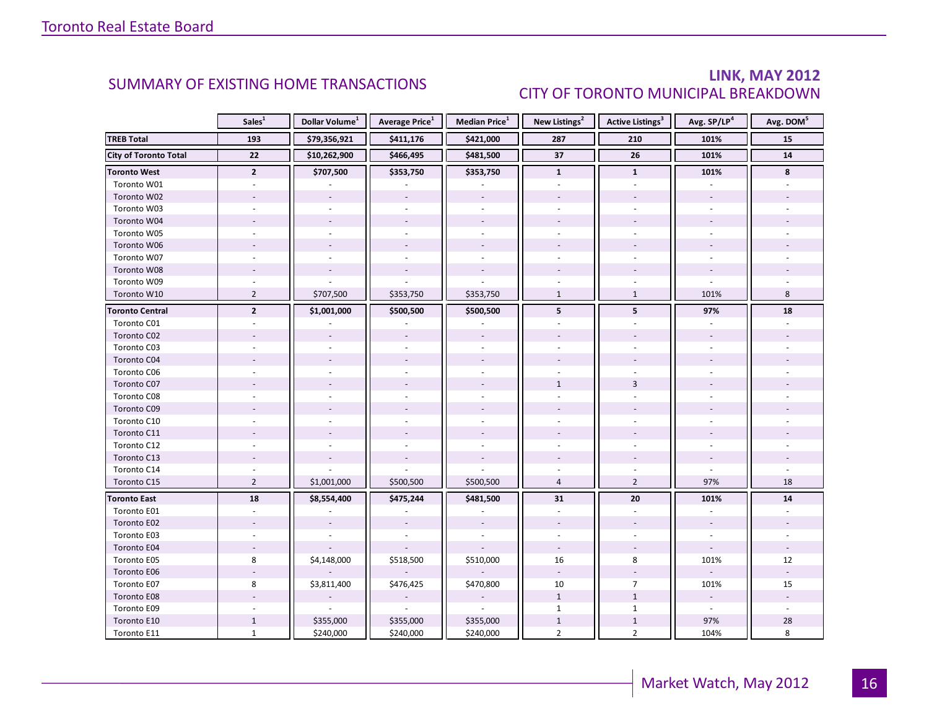### LINK, MAY 2012 CITY OF TORONTO MUNICIPAL BREAKDOWN

<span id="page-15-0"></span>

|                              | Sales <sup>1</sup> | Dollar Volume <sup>1</sup> | <b>Average Price</b> <sup>1</sup> | <b>Median Price</b> <sup>1</sup> | New Listings <sup>2</sup> | Active Listings <sup>3</sup> | Avg. SP/LP <sup>4</sup>  | Avg. DOM <sup>5</sup> |
|------------------------------|--------------------|----------------------------|-----------------------------------|----------------------------------|---------------------------|------------------------------|--------------------------|-----------------------|
| <b>TREB Total</b>            | 193                | \$79,356,921               | \$411,176                         | \$421,000                        | 287                       | 210                          | 101%                     | 15                    |
| <b>City of Toronto Total</b> | 22                 | \$10,262,900               | \$466,495                         | \$481,500                        | 37                        | 26                           | 101%                     | 14                    |
| <b>Toronto West</b>          | $\overline{2}$     | \$707,500                  | \$353,750                         | \$353,750                        | $\mathbf{1}$              | $\mathbf{1}$                 | 101%                     | 8                     |
| Toronto W01                  |                    |                            |                                   |                                  |                           |                              |                          |                       |
| Toronto W02                  |                    |                            |                                   |                                  |                           |                              |                          |                       |
| Toronto W03                  | $\bar{a}$          |                            |                                   | $\sim$                           |                           |                              |                          |                       |
| Toronto W04                  |                    |                            |                                   | $\sim$                           |                           |                              |                          |                       |
| Toronto W05                  |                    |                            |                                   |                                  |                           |                              |                          |                       |
| Toronto W06                  |                    |                            |                                   | $\sim$                           |                           |                              |                          |                       |
| Toronto W07                  |                    |                            |                                   | $\sim$                           |                           |                              |                          |                       |
| Toronto W08                  |                    |                            |                                   |                                  |                           |                              |                          |                       |
| Toronto W09                  |                    |                            |                                   |                                  |                           |                              |                          |                       |
| Toronto W10                  | $\overline{2}$     | \$707,500                  | \$353,750                         | \$353,750                        | $\mathbf{1}$              | $\mathbf{1}$                 | 101%                     | 8                     |
| <b>Toronto Central</b>       | $\overline{2}$     | \$1,001,000                | \$500,500                         | \$500,500                        | 5                         | 5                            | 97%                      | 18                    |
| Toronto C01                  |                    |                            |                                   |                                  |                           |                              |                          |                       |
| Toronto C02                  |                    |                            |                                   |                                  |                           |                              |                          |                       |
| Toronto C03                  |                    |                            |                                   | $\sim$                           |                           |                              |                          |                       |
| Toronto C04                  |                    |                            |                                   |                                  |                           |                              |                          |                       |
| Toronto C06                  |                    |                            |                                   |                                  |                           |                              |                          |                       |
| Toronto C07                  |                    |                            |                                   |                                  | $\mathbf{1}$              | 3                            |                          |                       |
| Toronto C08                  |                    |                            |                                   |                                  |                           |                              |                          |                       |
| Toronto C09                  |                    |                            |                                   |                                  |                           |                              |                          |                       |
| Toronto C10                  |                    |                            |                                   |                                  |                           |                              |                          |                       |
| Toronto C11                  |                    |                            |                                   |                                  |                           |                              |                          |                       |
| Toronto C12                  |                    |                            |                                   |                                  |                           |                              |                          |                       |
| Toronto C13                  |                    |                            |                                   |                                  |                           |                              |                          |                       |
| Toronto C14                  |                    |                            |                                   |                                  |                           |                              |                          |                       |
| Toronto C15                  | $\overline{2}$     | \$1,001,000                | \$500,500                         | \$500,500                        | $\overline{4}$            | $\overline{2}$               | 97%                      | 18                    |
| <b>Toronto East</b>          | 18                 | \$8,554,400                | \$475,244                         | \$481,500                        | 31                        | 20                           | 101%                     | 14                    |
| Toronto E01                  |                    |                            |                                   |                                  | $\overline{a}$            | $\mathcal{L}$                |                          |                       |
| Toronto E02                  |                    |                            |                                   |                                  |                           |                              | $\overline{\phantom{a}}$ |                       |
| Toronto E03                  |                    |                            |                                   |                                  |                           |                              |                          |                       |
| Toronto E04                  | $\sim$             |                            |                                   |                                  | $\omega$                  |                              |                          |                       |
| Toronto E05                  | 8                  | \$4,148,000                | \$518,500                         | \$510,000                        | 16                        | 8                            | 101%                     | 12                    |
| Toronto E06                  |                    |                            |                                   |                                  | $\omega$                  |                              |                          |                       |
| Toronto E07                  | 8                  | \$3,811,400                | \$476,425                         | \$470,800                        | 10                        | $\overline{7}$               | 101%                     | 15                    |
| Toronto E08                  |                    |                            |                                   |                                  | $\mathbf{1}$              | $\mathbf{1}$                 |                          |                       |
| Toronto E09                  |                    |                            | $\sim$                            | $\sim$                           | $\mathbf{1}$              | $\mathbf{1}$                 | $\blacksquare$           | ÷.                    |
| Toronto E10                  | $\mathbf{1}$       | \$355,000                  | \$355,000                         | \$355,000                        | $\mathbf{1}$              | $1\,$                        | 97%                      | 28                    |
| Toronto E11                  | $\mathbf{1}$       | \$240,000                  | \$240,000                         | \$240,000                        | $\overline{2}$            | $\overline{2}$               | 104%                     | 8                     |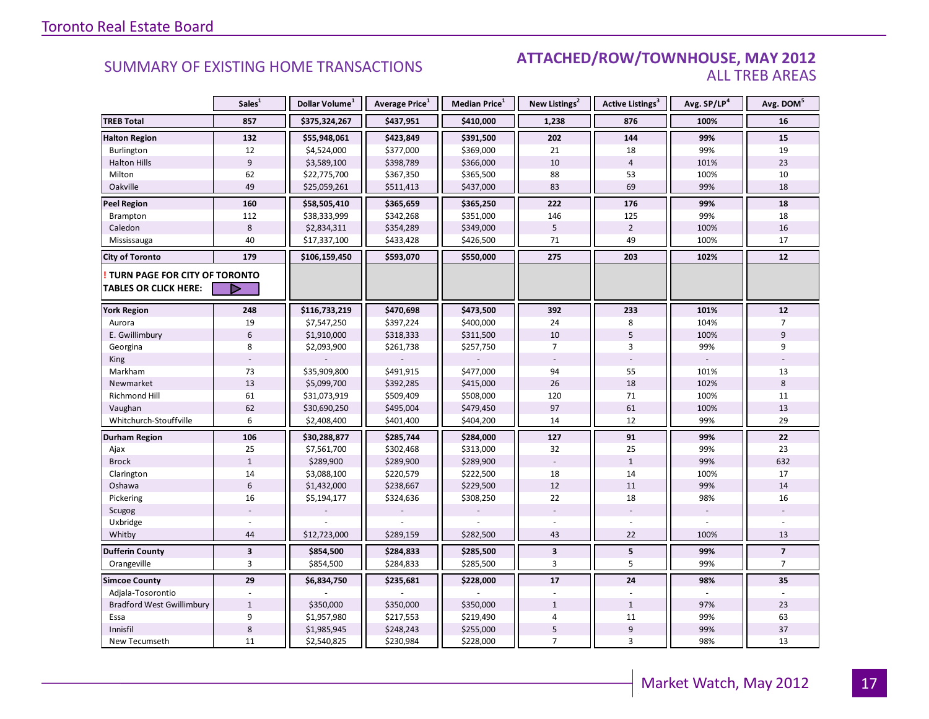#### SUMMARY OF EXISTING HOME TRANSACTIONS **ATTACHED/ROW/TOWNHOUSE, MAY 2012** ALL TREB AREAS

|                                  | Sales <sup>1</sup>      | Dollar Volume <sup>1</sup> | Average Price <sup>1</sup> | <b>Median Price</b> <sup>1</sup> | New Listings <sup>2</sup> | <b>Active Listings</b> <sup>3</sup> | Avg. SP/LP4 | Avg. DOM <sup>5</sup>   |
|----------------------------------|-------------------------|----------------------------|----------------------------|----------------------------------|---------------------------|-------------------------------------|-------------|-------------------------|
| <b>TREB Total</b>                | 857                     | \$375,324,267              | \$437,951                  | \$410,000                        | 1,238                     | 876                                 | 100%        | 16                      |
| <b>Halton Region</b>             | 132                     | \$55,948,061               | \$423,849                  | \$391,500                        | 202                       | 144                                 | 99%         | 15                      |
| Burlington                       | 12                      | \$4,524,000                | \$377,000                  | \$369,000                        | 21                        | 18                                  | 99%         | 19                      |
| <b>Halton Hills</b>              | $\boldsymbol{9}$        | \$3,589,100                | \$398,789                  | \$366,000                        | 10                        | $\overline{4}$                      | 101%        | 23                      |
| Milton                           | 62                      | \$22,775,700               | \$367,350                  | \$365,500                        | 88                        | 53                                  | 100%        | 10                      |
| Oakville                         | 49                      | \$25,059,261               | \$511,413                  | \$437,000                        | 83                        | 69                                  | 99%         | 18                      |
| <b>Peel Region</b>               | 160                     | \$58,505,410               | \$365,659                  | \$365,250                        | 222                       | 176                                 | 99%         | 18                      |
| Brampton                         | 112                     | \$38,333,999               | \$342,268                  | \$351,000                        | 146                       | 125                                 | 99%         | 18                      |
| Caledon                          | 8                       | \$2,834,311                | \$354,289                  | \$349,000                        | 5                         | $\overline{2}$                      | 100%        | 16                      |
| Mississauga                      | 40                      | \$17,337,100               | \$433,428                  | \$426,500                        | 71                        | 49                                  | 100%        | 17                      |
| <b>City of Toronto</b>           | 179                     | \$106,159,450              | \$593,070                  | \$550,000                        | 275                       | 203                                 | 102%        | 12                      |
| TURN PAGE FOR CITY OF TORONTO    |                         |                            |                            |                                  |                           |                                     |             |                         |
| <b>TABLES OR CLICK HERE:</b>     | ▷                       |                            |                            |                                  |                           |                                     |             |                         |
| <b>York Region</b>               | 248                     | \$116,733,219              | \$470,698                  | \$473,500                        | 392                       | 233                                 | 101%        | 12                      |
| Aurora                           | 19                      | \$7,547,250                | \$397,224                  | \$400,000                        | 24                        | 8                                   | 104%        | $\overline{7}$          |
| E. Gwillimbury                   | 6                       | \$1,910,000                | \$318,333                  | \$311,500                        | 10                        | 5                                   | 100%        | 9                       |
| Georgina                         | 8                       | \$2,093,900                | \$261,738                  | \$257,750                        | $\overline{7}$            | $\overline{3}$                      | 99%         | 9                       |
| King                             |                         |                            |                            |                                  |                           |                                     |             |                         |
| Markham                          | 73                      | \$35,909,800               | \$491,915                  | \$477,000                        | 94                        | 55                                  | 101%        | 13                      |
| Newmarket                        | 13                      | \$5,099,700                | \$392,285                  | \$415,000                        | 26                        | 18                                  | 102%        | 8                       |
| <b>Richmond Hill</b>             | 61                      | \$31,073,919               | \$509,409                  | \$508,000                        | 120                       | 71                                  | 100%        | 11                      |
| Vaughan                          | 62                      | \$30,690,250               | \$495,004                  | \$479,450                        | 97                        | 61                                  | 100%        | 13                      |
| Whitchurch-Stouffville           | 6                       | \$2,408,400                | \$401,400                  | \$404,200                        | 14                        | 12                                  | 99%         | 29                      |
| <b>Durham Region</b>             | 106                     | \$30,288,877               | \$285,744                  | \$284,000                        | 127                       | 91                                  | 99%         | 22                      |
| Ajax                             | 25                      | \$7,561,700                | \$302,468                  | \$313,000                        | 32                        | 25                                  | 99%         | 23                      |
| <b>Brock</b>                     | $\mathbf{1}$            | \$289,900                  | \$289,900                  | \$289,900                        |                           | $\mathbf{1}$                        | 99%         | 632                     |
| Clarington                       | 14                      | \$3,088,100                | \$220,579                  | \$222,500                        | 18                        | 14                                  | 100%        | 17                      |
| Oshawa                           | $6\,$                   | \$1,432,000                | \$238,667                  | \$229,500                        | 12                        | 11                                  | 99%         | 14                      |
| Pickering                        | 16                      | \$5,194,177                | \$324,636                  | \$308,250                        | 22                        | 18                                  | 98%         | 16                      |
| Scugog                           |                         |                            |                            |                                  |                           |                                     |             |                         |
| Uxbridge                         |                         |                            |                            |                                  |                           |                                     |             |                         |
| Whitby                           | 44                      | \$12,723,000               | \$289,159                  | \$282,500                        | 43                        | 22                                  | 100%        | 13                      |
| <b>Dufferin County</b>           | $\overline{\mathbf{3}}$ | \$854,500                  | \$284,833                  | \$285,500                        | $\overline{\mathbf{3}}$   | ${\bf 5}$                           | 99%         | $\overline{\mathbf{z}}$ |
| Orangeville                      | 3                       | \$854,500                  | \$284,833                  | \$285,500                        | 3                         | 5                                   | 99%         | $\overline{7}$          |
| <b>Simcoe County</b>             | 29                      | \$6,834,750                | \$235,681                  | \$228,000                        | 17                        | 24                                  | 98%         | 35                      |
| Adjala-Tosorontio                |                         |                            |                            |                                  |                           |                                     |             |                         |
| <b>Bradford West Gwillimbury</b> | $\mathbf{1}$            | \$350,000                  | \$350,000                  | \$350,000                        | $\mathbf{1}$              | $\mathbf{1}$                        | 97%         | 23                      |
| Essa                             | 9                       | \$1,957,980                | \$217,553                  | \$219,490                        | 4                         | 11                                  | 99%         | 63                      |
| Innisfil                         | $\,8\,$                 | \$1,985,945                | \$248,243                  | \$255,000                        | 5                         | $9\,$                               | 99%         | 37                      |
| New Tecumseth                    | 11                      | \$2,540,825                | \$230,984                  | \$228,000                        | $\overline{7}$            | $\overline{3}$                      | 98%         | 13                      |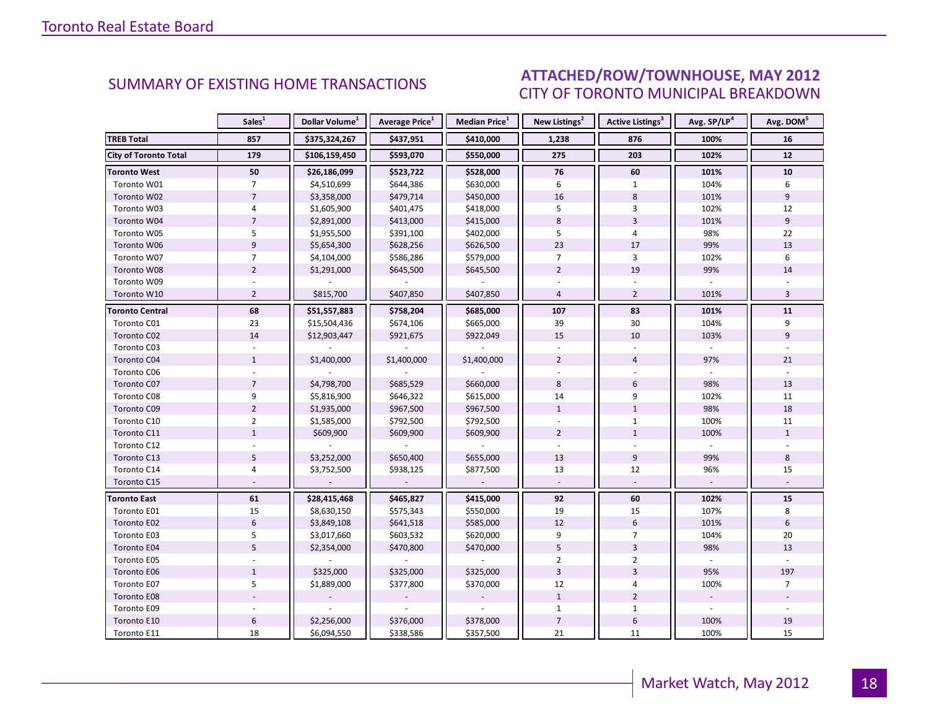#### **INGURA 2012** CITY OF TORONTO MUNICIPAL BREAKDOWN SUMMARY OF EXISTING HOME TRANSACTIONS **ATTACHED/ROW/TOWNHOUSE, MAY 2012**

<span id="page-17-0"></span>

|                              | Sales <sup>1</sup> | Dollar Volume <sup>1</sup> | <b>Average Price</b> <sup>1</sup> | Median Price <sup>1</sup> | New Listings <sup>2</sup> | <b>Active Listings<sup>3</sup></b> | Avg. SP/LP <sup>4</sup> | Avg. DOM <sup>5</sup> |
|------------------------------|--------------------|----------------------------|-----------------------------------|---------------------------|---------------------------|------------------------------------|-------------------------|-----------------------|
| <b>TREB Total</b>            | 857                | \$375,324,267              | \$437,951                         | \$410,000                 | 1,238                     | 876                                | 100%                    | 16                    |
| <b>City of Toronto Total</b> | 179                | \$106,159,450              | \$593,070                         | \$550,000                 | 275                       | 203                                | 102%                    | 12                    |
| <b>Toronto West</b>          | 50                 | \$26,186,099               | \$523,722                         | \$528,000                 | 76                        | 60                                 | 101%                    | 10                    |
| Toronto W01                  | $\overline{7}$     | \$4,510,699                | \$644,386                         | \$630,000                 | 6                         | $\mathbf{1}$                       | 104%                    | 6                     |
| Toronto W02                  | $\overline{7}$     | \$3,358,000                | \$479,714                         | \$450,000                 | 16                        | 8                                  | 101%                    | 9                     |
| Toronto W03                  | 4                  | \$1,605,900                | \$401,475                         | \$418,000                 | 5                         | 3                                  | 102%                    | 12                    |
| Toronto W04                  | $\overline{7}$     | \$2,891,000                | \$413,000                         | \$415,000                 | 8                         | $\overline{3}$                     | 101%                    | 9                     |
| Toronto W05                  | 5                  | \$1,955,500                | \$391,100                         | \$402,000                 | 5                         | 4                                  | 98%                     | 22                    |
| Toronto W06                  | $\overline{9}$     | \$5,654,300                | \$628,256                         | \$626,500                 | 23                        | 17                                 | 99%                     | 13                    |
| Toronto W07                  | $\overline{7}$     | \$4,104,000                | \$586,286                         | \$579,000                 | $\overline{7}$            | 3                                  | 102%                    | 6                     |
| Toronto W08                  | $\overline{2}$     | \$1,291,000                | \$645,500                         | \$645,500                 | $\overline{2}$            | 19                                 | 99%                     | 14                    |
| Toronto W09                  |                    |                            |                                   |                           |                           |                                    |                         |                       |
| Toronto W10                  | $\overline{2}$     | \$815,700                  | \$407,850                         | \$407,850                 | $\overline{4}$            | $\overline{2}$                     | 101%                    | $\overline{3}$        |
| <b>Toronto Central</b>       | 68                 | \$51,557,883               | \$758,204                         | \$685,000                 | 107                       | 83                                 | 101%                    | 11                    |
| Toronto C01                  | 23                 | \$15,504,436               | \$674,106                         | \$665,000                 | 39                        | 30                                 | 104%                    | 9                     |
| Toronto C02                  | 14                 | \$12,903,447               | \$921,675                         | \$922,049                 | 15                        | 10                                 | 103%                    | 9                     |
| Toronto C03                  |                    |                            |                                   |                           |                           |                                    |                         |                       |
| Toronto C04                  | $\mathbf{1}$       | \$1,400,000                | \$1,400,000                       | \$1,400,000               | $\overline{2}$            | $\overline{4}$                     | 97%                     | 21                    |
| Toronto C06                  |                    |                            |                                   |                           |                           |                                    |                         |                       |
| Toronto C07                  | $\overline{7}$     | \$4,798,700                | \$685,529                         | \$660,000                 | 8                         | 6                                  | 98%                     | 13                    |
| Toronto C08                  | 9                  | \$5,816,900                | \$646,322                         | \$615,000                 | 14                        | 9                                  | 102%                    | 11                    |
| Toronto C09                  | $\overline{2}$     | \$1,935,000                | \$967,500                         | \$967,500                 | $\mathbf{1}$              | $\mathbf{1}$                       | 98%                     | 18                    |
| Toronto C10                  | $\overline{2}$     | \$1,585,000                | \$792,500                         | \$792,500                 |                           | $\mathbf 1$                        | 100%                    | 11                    |
| Toronto C11                  | $\mathbf{1}$       | \$609,900                  | \$609,900                         | \$609,900                 | $\overline{2}$            | $\mathbf{1}$                       | 100%                    | $\mathbf{1}$          |
| Toronto C12                  |                    |                            |                                   |                           |                           |                                    |                         |                       |
| Toronto C13                  | 5                  | \$3,252,000                | \$650,400                         | \$655,000                 | 13                        | 9                                  | 99%                     | 8                     |
| Toronto C14                  | $\overline{4}$     | \$3,752,500                | \$938,125                         | \$877,500                 | 13                        | 12                                 | 96%                     | 15                    |
| Toronto C15                  |                    |                            |                                   | $\sim$                    |                           |                                    |                         |                       |
| <b>Toronto East</b>          | 61                 | \$28,415,468               | \$465,827                         | \$415,000                 | 92                        | 60                                 | 102%                    | 15                    |
| Toronto E01                  | 15                 | \$8,630,150                | \$575,343                         | \$550,000                 | 19                        | 15                                 | 107%                    | 8                     |
| Toronto E02                  | $6\,$              | \$3,849,108                | \$641,518                         | \$585,000                 | 12                        | 6                                  | 101%                    | 6                     |
| Toronto E03                  | 5                  | \$3,017,660                | \$603,532                         | \$620,000                 | 9                         | $\overline{7}$                     | 104%                    | 20                    |
| Toronto E04                  | $\overline{5}$     | \$2,354,000                | \$470,800                         | \$470,000                 | $\overline{5}$            | $\overline{3}$                     | 98%                     | 13                    |
| Toronto E05                  |                    |                            |                                   |                           | $\overline{2}$            | $\overline{2}$                     |                         |                       |
| Toronto E06                  | $\mathbf{1}$       | \$325,000                  | \$325,000                         | \$325,000                 | $\overline{3}$            | $\overline{3}$                     | 95%                     | 197                   |
| Toronto E07                  | 5                  | \$1,889,000                | \$377,800                         | \$370,000                 | 12                        | 4                                  | 100%                    | $\overline{7}$        |
| Toronto E08                  |                    |                            |                                   |                           | $\mathbf{1}$              | $\overline{2}$                     |                         |                       |
| Toronto E09                  |                    |                            |                                   |                           | $\mathbf{1}$              | $\mathbf{1}$                       | $\sim$                  |                       |
| Toronto E10                  | $\,6\,$            | \$2,256,000                | \$376,000                         | \$378,000                 | $\overline{7}$            | 6                                  | 100%                    | 19                    |
| Toronto E11                  | 18                 | \$6,094,550                | \$338,586                         | \$357,500                 | 21                        | 11                                 | 100%                    | 15                    |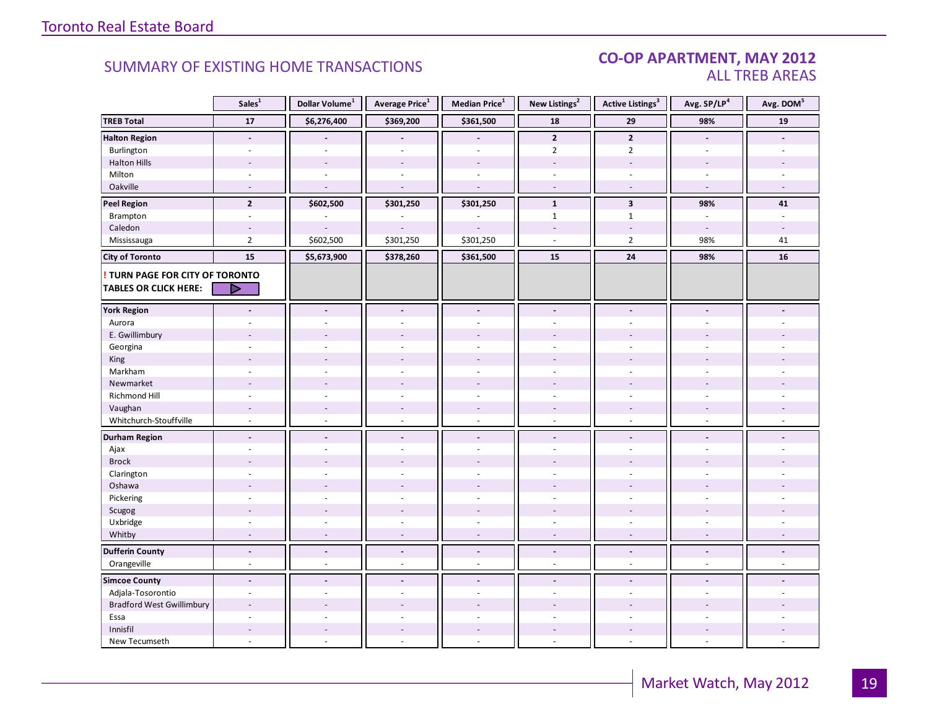#### CO-OP APARTMENT, MAY 2012 ALL TREB AREAS

|                                        | Sales <sup>1</sup>       | Dollar Volume <sup>1</sup> | Average Price <sup>1</sup> | Median Price <sup>1</sup> | New Listings <sup>2</sup> | <b>Active Listings<sup>3</sup></b> | Avg. SP/LP4                 | Avg. DOM <sup>5</sup>    |
|----------------------------------------|--------------------------|----------------------------|----------------------------|---------------------------|---------------------------|------------------------------------|-----------------------------|--------------------------|
| <b>TREB Total</b>                      | $17\,$                   | \$6,276,400                | \$369,200                  | \$361,500                 | 18                        | 29                                 | 98%                         | 19                       |
| <b>Halton Region</b>                   | $\blacksquare$           |                            |                            | $\overline{a}$            | $\mathbf{2}$              | $\mathbf{2}$                       | $\blacksquare$              |                          |
| Burlington                             | $\overline{a}$           |                            | ÷.                         | ÷,                        | $\overline{2}$            | $\overline{2}$                     | $\overline{a}$              |                          |
| <b>Halton Hills</b>                    | $\overline{a}$           |                            | ÷,                         | $\overline{a}$            | $\sim$                    | $\overline{\phantom{a}}$           | $\overline{a}$              |                          |
| Milton                                 | $\overline{\phantom{a}}$ | ÷                          | $\blacksquare$             | $\overline{\phantom{a}}$  | $\overline{\phantom{a}}$  |                                    | $\sim$                      |                          |
| Oakville                               | $\sim$                   | $\sim$                     | $\sim$                     | $\sim$                    | $\sim$                    | $\sim$                             | $\sim$                      | $\sim$                   |
| <b>Peel Region</b>                     | $\mathbf{2}$             | \$602,500                  | \$301,250                  | \$301,250                 | $\mathbf{1}$              | $\overline{\mathbf{3}}$            | 98%                         | 41                       |
| Brampton                               | $\omega$                 | $\sim$                     | ÷,                         | ÷,                        | $\mathbf{1}$              | $\mathbf{1}$                       | $\sim$                      | $\sim$                   |
| Caledon                                | $\blacksquare$           |                            | $\overline{\phantom{a}}$   | $\overline{a}$            |                           | $\overline{\phantom{a}}$           | $\sim$                      |                          |
| Mississauga                            | $\overline{2}$           | \$602,500                  | \$301,250                  | \$301,250                 | ÷.                        | $\overline{2}$                     | 98%                         | 41                       |
| <b>City of Toronto</b>                 | 15                       | \$5,673,900                | \$378,260                  | \$361,500                 | 15                        | 24                                 | 98%                         | ${\bf 16}$               |
| <b>! TURN PAGE FOR CITY OF TORONTO</b> |                          |                            |                            |                           |                           |                                    |                             |                          |
| <b>TABLES OR CLICK HERE:</b>           | ▷                        |                            |                            |                           |                           |                                    |                             |                          |
| <b>York Region</b>                     | $\overline{a}$           | $\sim$                     | $\blacksquare$             | $\tilde{\phantom{a}}$     | $\blacksquare$            | $\blacksquare$                     | $\blacksquare$              |                          |
|                                        |                          |                            |                            |                           |                           |                                    |                             |                          |
| Aurora                                 |                          |                            |                            | ÷,                        | $\overline{\phantom{a}}$  |                                    |                             |                          |
| E. Gwillimbury                         |                          |                            |                            | ä,                        |                           |                                    |                             |                          |
| Georgina                               |                          |                            |                            | ÷.                        |                           |                                    |                             |                          |
| King<br>Markham                        | ÷,                       | $\overline{a}$             | $\overline{a}$             | ÷,                        | $\omega$                  | $\overline{\phantom{a}}$           | $\overline{a}$              |                          |
| Newmarket                              |                          |                            |                            |                           |                           |                                    |                             |                          |
| Richmond Hill                          | ÷.                       |                            |                            | ÷.                        |                           |                                    |                             |                          |
| Vaughan                                | $\overline{\phantom{a}}$ |                            | $\overline{a}$             | $\overline{\phantom{a}}$  |                           | $\overline{\phantom{a}}$           |                             |                          |
| Whitchurch-Stouffville                 | $\omega$                 | $\sim$                     | $\omega$                   | $\overline{\phantom{a}}$  | $\sim$                    | $\overline{\phantom{a}}$           | $\sim$                      |                          |
|                                        |                          |                            |                            |                           |                           |                                    |                             |                          |
| <b>Durham Region</b>                   | $\frac{1}{2}$            | $\blacksquare$             | $\blacksquare$             | $\overline{\phantom{a}}$  | $\overline{\phantom{a}}$  | $\blacksquare$                     | $\blacksquare$              |                          |
| Ajax                                   | $\sim$                   |                            | ÷                          | $\overline{a}$            | $\sim$                    | ÷                                  | $\sim$                      |                          |
| <b>Brock</b>                           |                          |                            |                            |                           |                           |                                    |                             |                          |
| Clarington                             | ÷.                       |                            | ÷                          | ÷,                        | ÷.                        | ÷.                                 | ÷.                          |                          |
| Oshawa                                 |                          |                            |                            |                           |                           |                                    |                             |                          |
| Pickering                              | ÷.                       |                            |                            | $\overline{a}$            |                           |                                    |                             |                          |
| Scugog                                 |                          |                            | ÷,                         | $\overline{a}$            |                           |                                    |                             |                          |
| Uxbridge                               | $\sim$                   | $\sim$                     | $\sim$                     | $\overline{\phantom{a}}$  | $\sim$                    | $\sim$                             | $\sim$                      |                          |
| Whitby                                 | $\sim$                   | $\sim$                     | $\sim$                     | $\overline{\phantom{a}}$  | $\sim$                    | $\sim$                             | $\sim$                      | $\sim$                   |
| <b>Dufferin County</b>                 | $\blacksquare$           | $\overline{\phantom{a}}$   | $\overline{\phantom{a}}$   | $\overline{\phantom{a}}$  | $\overline{\phantom{a}}$  | $\overline{\phantom{a}}$           | $\overline{\phantom{a}}$    | $\overline{\phantom{a}}$ |
| Orangeville                            | $\sim$                   | $\omega$                   | $\sim$                     | $\overline{\phantom{a}}$  | $\overline{\phantom{a}}$  | $\overline{\phantom{a}}$           | $\mathcal{L}_{\mathcal{A}}$ | $\overline{\phantom{a}}$ |
| <b>Simcoe County</b>                   | $\overline{a}$           | $\sim$                     | $\overline{a}$             | ۰                         | $\sim$                    | $\overline{a}$                     | $\overline{a}$              |                          |
| Adjala-Tosorontio                      | $\overline{\phantom{a}}$ | $\sim$                     | $\bar{\phantom{a}}$        | $\sim$                    | $\overline{\phantom{a}}$  | $\blacksquare$                     | $\sim$                      |                          |
| <b>Bradford West Gwillimbury</b>       | $\overline{a}$           |                            |                            |                           |                           |                                    |                             |                          |
| Essa                                   |                          |                            |                            |                           |                           |                                    |                             |                          |
| Innisfil                               | $\overline{a}$           | $\overline{\phantom{a}}$   | $\overline{\phantom{a}}$   | ÷,                        | $\sim$                    | $\overline{\phantom{a}}$           |                             |                          |
| New Tecumseth                          | ÷.                       |                            |                            | $\overline{a}$            | ÷.                        | ÷                                  |                             |                          |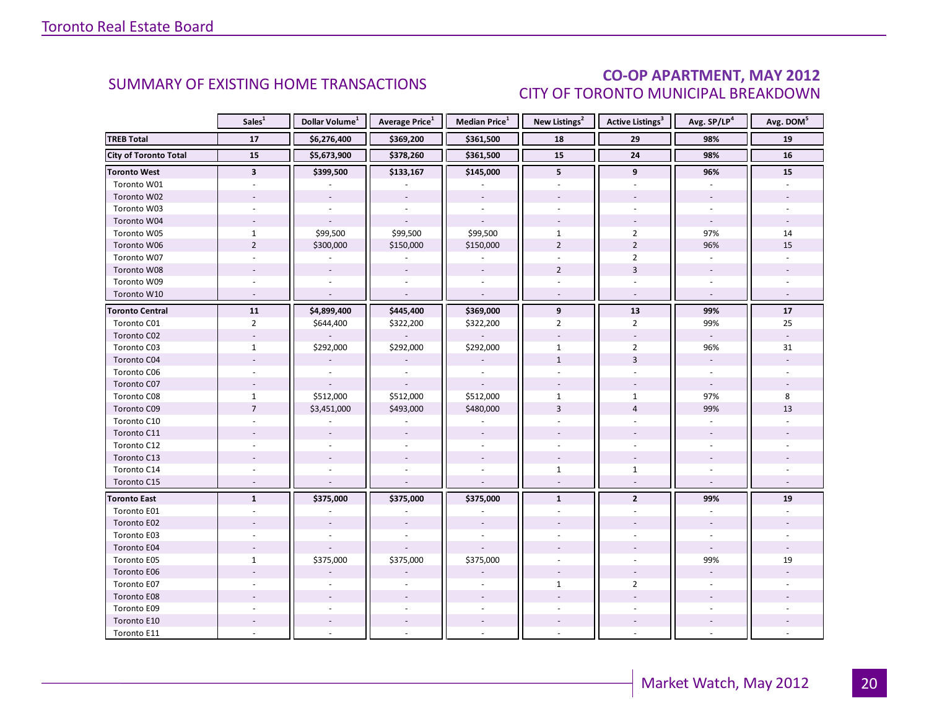### CO-OP APARTMENT, MAY 2012 CITY OF TORONTO MUNICIPAL BREAKDOWN

<span id="page-19-0"></span>

|                              | Sales <sup>1</sup>      | Dollar Volume <sup>1</sup> | <b>Average Price</b> <sup>1</sup> | <b>Median Price</b> <sup>1</sup> | New Listings <sup>2</sup> | <b>Active Listings<sup>3</sup></b> | Avg. SP/LP <sup>4</sup>  | Avg. DOM <sup>5</sup>       |
|------------------------------|-------------------------|----------------------------|-----------------------------------|----------------------------------|---------------------------|------------------------------------|--------------------------|-----------------------------|
| <b>TREB Total</b>            | 17                      | \$6,276,400                | \$369,200                         | \$361,500                        | 18                        | 29                                 | 98%                      | 19                          |
| <b>City of Toronto Total</b> | 15                      | \$5,673,900                | \$378,260                         | \$361,500                        | 15                        | ${\bf 24}$                         | 98%                      | 16                          |
| <b>Toronto West</b>          | $\overline{\mathbf{3}}$ | \$399,500                  | \$133,167                         | \$145,000                        | 5                         | 9                                  | 96%                      | 15                          |
| Toronto W01                  |                         |                            |                                   |                                  |                           |                                    |                          |                             |
| Toronto W02                  |                         |                            |                                   |                                  |                           |                                    |                          |                             |
| Toronto W03                  | $\sim$                  | $\sim$                     | ÷.                                | $\sim$                           |                           | $\overline{a}$                     |                          |                             |
| Toronto W04                  |                         |                            |                                   |                                  |                           |                                    |                          |                             |
| Toronto W05                  | $\mathbf{1}$            | \$99,500                   | \$99,500                          | \$99,500                         | $\mathbf{1}$              | $\overline{2}$                     | 97%                      | 14                          |
| Toronto W06                  | $\overline{2}$          | \$300,000                  | \$150,000                         | \$150,000                        | $\overline{2}$            | $\overline{2}$                     | 96%                      | 15                          |
| Toronto W07                  |                         | $\omega$                   | $\overline{\phantom{a}}$          | $\sim$                           | $\overline{a}$            | $\overline{2}$                     | $\omega$                 |                             |
| Toronto W08                  |                         |                            | $\overline{\phantom{a}}$          | $\overline{\phantom{a}}$         | $\overline{2}$            | $\overline{3}$                     |                          |                             |
| Toronto W09                  |                         |                            |                                   |                                  |                           |                                    |                          |                             |
| Toronto W10                  | $\sim$                  | $\overline{a}$             | $\overline{\phantom{a}}$          | $\sim$                           |                           | $\omega$                           | $\omega$                 |                             |
| <b>Toronto Central</b>       | 11                      | \$4,899,400                | \$445,400                         | \$369,000                        | 9                         | 13                                 | 99%                      | 17                          |
| Toronto C01                  | $\overline{2}$          | \$644,400                  | \$322,200                         | \$322,200                        | $\overline{2}$            | $\overline{2}$                     | 99%                      | 25                          |
| Toronto C02                  | $\sim$                  |                            |                                   |                                  | $\overline{\phantom{a}}$  | $\omega$                           | $\omega$                 | $\mathcal{L}_{\mathcal{A}}$ |
| Toronto C03                  | $\mathbf{1}$            | \$292,000                  | \$292,000                         | \$292,000                        | $\mathbf{1}$              | $\overline{2}$                     | 96%                      | 31                          |
| Toronto C04                  |                         |                            |                                   |                                  | $\mathbf{1}$              | $\overline{3}$                     |                          |                             |
| Toronto C06                  |                         |                            |                                   |                                  |                           |                                    |                          |                             |
| Toronto C07                  |                         |                            |                                   |                                  |                           |                                    | $\overline{\phantom{a}}$ |                             |
| Toronto C08                  | $\mathbf{1}$            | \$512,000                  | \$512,000                         | \$512,000                        | $\mathbf{1}$              | $\mathbf{1}$                       | 97%                      | 8                           |
| Toronto C09                  | $\overline{7}$          | \$3,451,000                | \$493,000                         | \$480,000                        | 3                         | $\overline{4}$                     | 99%                      | 13                          |
| Toronto C10                  |                         |                            |                                   |                                  |                           |                                    |                          |                             |
| Toronto C11                  |                         |                            | $\sim$                            |                                  |                           |                                    |                          |                             |
| Toronto C12                  | ÷.                      |                            |                                   |                                  |                           | $\overline{a}$                     |                          |                             |
| Toronto C13                  |                         |                            |                                   |                                  |                           |                                    |                          |                             |
| Toronto C14                  |                         |                            |                                   |                                  | $\mathbf{1}$              | $\mathbf{1}$                       |                          |                             |
| Toronto C15                  | $\overline{a}$          |                            |                                   | $\overline{a}$                   | $\sim$                    | $\sim$                             | $\sim$                   |                             |
| <b>Toronto East</b>          | $\mathbf{1}$            | \$375,000                  | \$375,000                         | \$375,000                        | $\mathbf{1}$              | $\mathbf{2}$                       | 99%                      | 19                          |
| Toronto E01                  |                         |                            |                                   |                                  |                           |                                    |                          |                             |
| Toronto E02                  |                         |                            |                                   |                                  |                           |                                    |                          |                             |
| Toronto E03                  |                         |                            |                                   |                                  |                           |                                    |                          |                             |
| Toronto E04                  |                         |                            |                                   |                                  |                           |                                    |                          |                             |
| Toronto E05                  | $\mathbf{1}$            | \$375,000                  | \$375,000                         | \$375,000                        |                           |                                    | 99%                      | 19                          |
| Toronto E06                  |                         |                            |                                   |                                  |                           |                                    |                          |                             |
| Toronto E07                  |                         |                            |                                   |                                  | $\mathbf{1}$              | $\overline{2}$                     |                          |                             |
| Toronto E08                  |                         |                            |                                   |                                  |                           |                                    |                          |                             |
| Toronto E09                  |                         |                            |                                   |                                  |                           |                                    |                          |                             |
| Toronto E10                  |                         |                            |                                   |                                  |                           |                                    |                          |                             |
| Toronto E11                  |                         |                            |                                   |                                  |                           |                                    |                          |                             |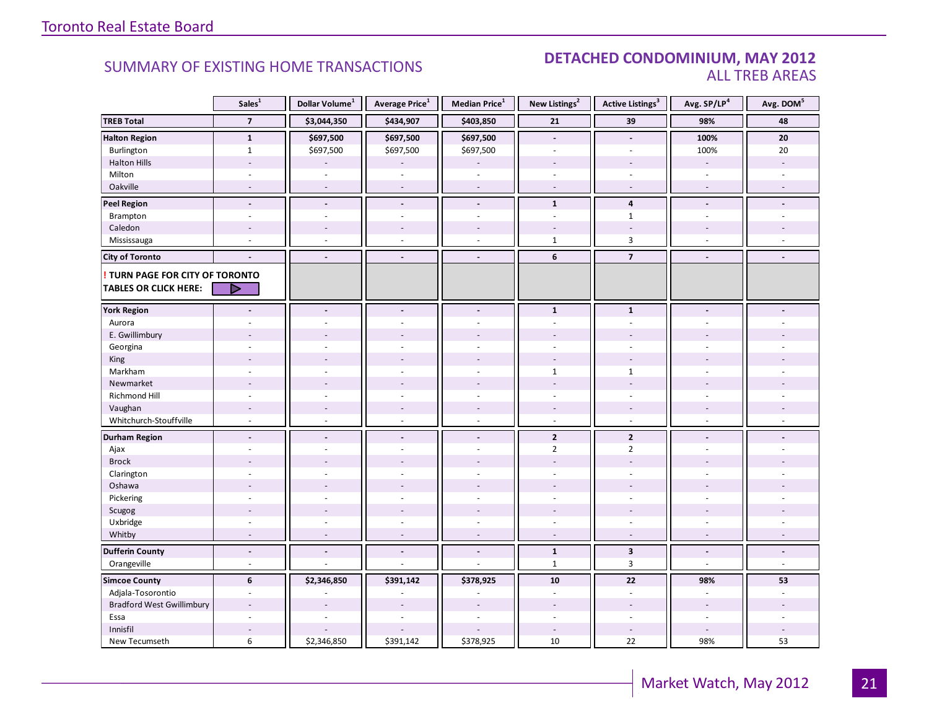#### SUMMARY OF EXISTING HOME TRANSACTIONS **DETACHED CONDOMINIUM, MAY 2012** ALL TREB AREAS

|                                        | Sales <sup>1</sup>              | Dollar Volume <sup>1</sup> | Average Price <sup>1</sup>   | Median Price <sup>1</sup> | New Listings <sup>2</sup> | <b>Active Listings<sup>3</sup></b> | Avg. SP/LP <sup>4</sup>  | Avg. DOM <sup>5</sup>    |
|----------------------------------------|---------------------------------|----------------------------|------------------------------|---------------------------|---------------------------|------------------------------------|--------------------------|--------------------------|
| <b>TREB Total</b>                      | $\overline{\phantom{a}}$        | \$3,044,350                | \$434,907                    | \$403,850                 | 21                        | 39                                 | 98%                      | 48                       |
| <b>Halton Region</b>                   | $\mathbf{1}$                    | \$697,500                  | \$697,500                    | \$697,500                 | $\overline{\phantom{a}}$  | $\overline{a}$                     | 100%                     | 20                       |
| Burlington                             | $\mathbf{1}$                    | \$697,500                  | \$697,500                    | \$697,500                 | $\overline{a}$            | L.                                 | 100%                     | 20                       |
| <b>Halton Hills</b>                    | $\overline{a}$                  |                            |                              |                           |                           | $\overline{a}$                     | $\sim$                   | $\overline{\phantom{a}}$ |
| Milton                                 | $\sim$                          | $\overline{\phantom{a}}$   | $\bar{a}$                    | $\sim$                    | $\sim$                    | $\overline{\phantom{a}}$           | $\sim$                   |                          |
| Oakville                               | $\sim$                          | $\sim$                     | $\sim$                       | $\sim$                    | $\sim$                    | $\sim$                             | $\sim$                   |                          |
| <b>Peel Region</b>                     | $\blacksquare$                  | $\overline{\phantom{a}}$   | $\overline{a}$               | $\overline{\phantom{a}}$  | $\mathbf{1}$              | $\overline{4}$                     | $\overline{\phantom{a}}$ |                          |
| Brampton                               | ÷,                              | $\overline{a}$             | $\overline{a}$               | ÷,                        | ÷.                        | $\mathbf{1}$                       | $\sim$                   |                          |
| Caledon                                |                                 |                            |                              |                           |                           |                                    |                          |                          |
| Mississauga                            | ÷.                              | $\sim$                     | ÷                            | $\overline{\phantom{a}}$  | $\mathbf{1}$              | $\overline{3}$                     | $\sim$                   |                          |
| <b>City of Toronto</b>                 | $\blacksquare$                  | $\blacksquare$             | $\blacksquare$               | $\blacksquare$            | 6                         | $\overline{\mathbf{z}}$            | $\blacksquare$           | $\blacksquare$           |
| <b>! TURN PAGE FOR CITY OF TORONTO</b> |                                 |                            |                              |                           |                           |                                    |                          |                          |
| <b>TABLES OR CLICK HERE:</b>           | D                               |                            |                              |                           |                           |                                    |                          |                          |
|                                        |                                 |                            |                              |                           |                           |                                    |                          |                          |
| <b>York Region</b>                     | $\blacksquare$                  | $\blacksquare$             | $\overline{\phantom{a}}$     | $\overline{\phantom{a}}$  | $\mathbf{1}$              | $\mathbf{1}$                       | $\blacksquare$           |                          |
| Aurora                                 |                                 |                            |                              | ÷,                        | $\sim$                    | $\mathbf{r}$                       |                          |                          |
| E. Gwillimbury                         |                                 |                            |                              |                           |                           |                                    |                          |                          |
| Georgina                               |                                 |                            |                              | L,                        |                           |                                    |                          |                          |
| King                                   |                                 |                            |                              | $\overline{a}$            |                           |                                    |                          |                          |
| Markham                                | ÷                               |                            | $\overline{a}$               | $\overline{\phantom{a}}$  | $\mathbf{1}$              | $\mathbf{1}$                       | $\sim$                   |                          |
| Newmarket                              |                                 |                            |                              |                           |                           | ÷,                                 |                          |                          |
| Richmond Hill                          | $\sim$                          |                            | $\overline{a}$               | $\overline{\phantom{a}}$  |                           | $\sim$                             | $\overline{a}$           |                          |
| Vaughan                                | $\overline{\phantom{a}}$        | $\overline{\phantom{a}}$   | $\overline{\phantom{a}}$     | $\overline{\phantom{a}}$  | $\overline{\phantom{a}}$  | $\sim$                             | $\overline{\phantom{a}}$ |                          |
| Whitchurch-Stouffville                 | ä,                              | ÷.                         | $\sim$                       | ÷,                        | $\sim$                    | $\overline{\phantom{a}}$           | $\sim$                   |                          |
| <b>Durham Region</b>                   | $\centering \label{eq:reduced}$ | $\blacksquare$             | $\overline{\phantom{a}}$     | $\blacksquare$            | $\overline{2}$            | $\overline{2}$                     | $\blacksquare$           |                          |
| Ajax                                   | ÷                               |                            | ÷                            | $\overline{\phantom{a}}$  | $\overline{2}$            | $\overline{2}$                     | $\sim$                   |                          |
| <b>Brock</b>                           |                                 |                            |                              |                           |                           |                                    |                          |                          |
| Clarington                             | $\overline{\phantom{a}}$        |                            | ÷                            | $\overline{\phantom{a}}$  | ÷.                        | ÷                                  | $\overline{a}$           |                          |
| Oshawa                                 | $\overline{\phantom{a}}$        |                            |                              | L,                        |                           |                                    |                          |                          |
| Pickering                              | ÷.                              |                            |                              | L.                        |                           | ÷                                  |                          |                          |
| Scugog                                 | ÷                               |                            | $\overline{\phantom{a}}$     | ÷,                        |                           | ÷                                  | ÷.                       |                          |
| Uxbridge                               | $\sim$                          | $\overline{\phantom{a}}$   | $\bar{a}$                    | $\overline{\phantom{a}}$  | $\sim$                    | $\overline{\phantom{a}}$           | $\sim$                   |                          |
| Whitby                                 | $\sim$                          | $\sim$                     | $\sim$                       | $\sim$                    | $\sim$                    | $\sim$                             | $\sim$                   | $\sim$                   |
| <b>Dufferin County</b>                 | $\overline{\phantom{a}}$        | $\overline{\phantom{a}}$   | $\qquad \qquad \blacksquare$ | $\blacksquare$            | $\mathbf{1}$              | $\overline{\mathbf{3}}$            | $\overline{\phantom{a}}$ | $\overline{\phantom{a}}$ |
| Orangeville                            | $\omega$                        | ÷.                         | ÷.                           | ÷,                        | $\mathbf{1}$              | $\mathbf{3}$                       | $\sim$                   | $\omega$                 |
| <b>Simcoe County</b>                   | 6                               | \$2,346,850                | \$391,142                    | \$378,925                 | 10                        | 22                                 | 98%                      | 53                       |
| Adjala-Tosorontio                      | $\overline{\phantom{a}}$        |                            | ÷,                           | ä,                        | $\overline{\phantom{a}}$  | $\blacksquare$                     | $\overline{\phantom{a}}$ |                          |
| <b>Bradford West Gwillimbury</b>       | $\overline{a}$                  |                            | $\overline{a}$               | $\overline{a}$            |                           | $\overline{\phantom{a}}$           | $\overline{a}$           |                          |
| Essa                                   |                                 |                            |                              |                           |                           |                                    |                          |                          |
| Innisfil                               | $\overline{a}$                  |                            |                              |                           |                           | $\overline{\phantom{a}}$           | $\sim$                   |                          |
| New Tecumseth                          | 6                               | \$2,346,850                | \$391,142                    | \$378,925                 | 10                        | 22                                 | 98%                      | 53                       |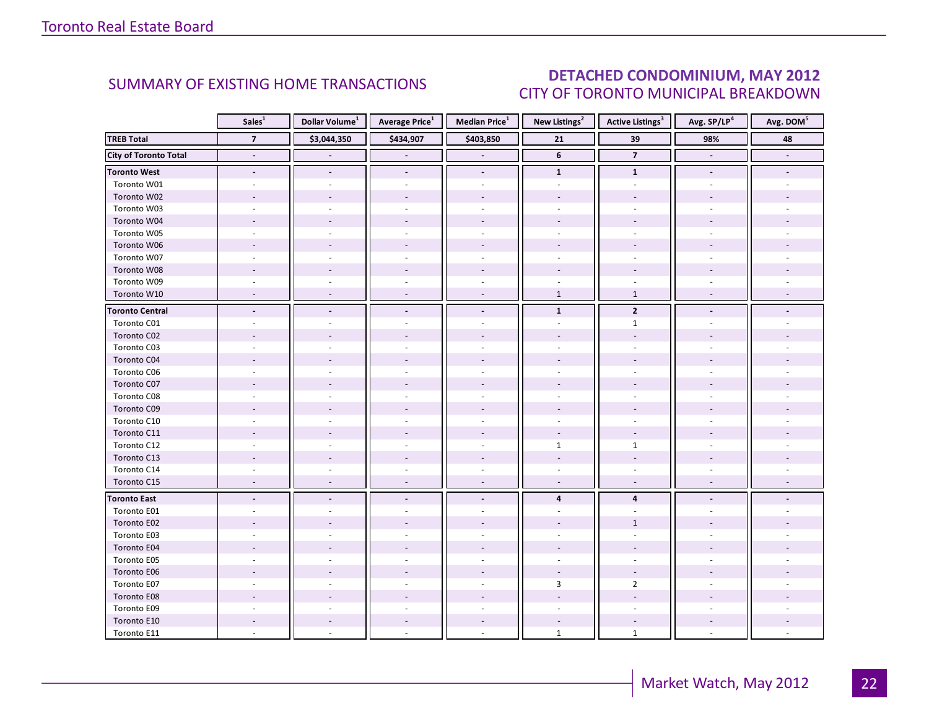### DETACHED CONDOMINIUM, MAY 2012 CITY OF TORONTO MUNICIPAL BREAKDOWN

<span id="page-21-0"></span>

|                              | Sales <sup>1</sup>       | Dollar Volume <sup>1</sup> | <b>Average Price</b> <sup>1</sup> | <b>Median Price</b> <sup>1</sup> | New Listings <sup>2</sup> | <b>Active Listings</b> <sup>3</sup> | Avg. SP/LP4              | Avg. DOM <sup>5</sup> |
|------------------------------|--------------------------|----------------------------|-----------------------------------|----------------------------------|---------------------------|-------------------------------------|--------------------------|-----------------------|
| <b>TREB Total</b>            | $\overline{7}$           | \$3,044,350                | \$434,907                         | \$403,850                        | 21                        | 39                                  | 98%                      | 48                    |
| <b>City of Toronto Total</b> | $\blacksquare$           |                            |                                   |                                  | $\boldsymbol{6}$          | $\overline{7}$                      | $\overline{\phantom{a}}$ | $\blacksquare$        |
| <b>Toronto West</b>          | $\blacksquare$           | $\overline{\phantom{a}}$   | $\blacksquare$                    | $\blacksquare$                   | $\mathbf{1}$              | $\mathbf{1}$                        | $\blacksquare$           |                       |
| Toronto W01                  | $\sim$                   |                            | ä,                                | $\sim$                           | $\sim$                    | $\sim$                              |                          |                       |
| Toronto W02                  | ÷.                       |                            | $\overline{a}$                    |                                  |                           |                                     |                          |                       |
| Toronto W03                  | $\overline{\phantom{a}}$ |                            | $\sim$                            | $\sim$                           | ÷                         | ÷                                   |                          |                       |
| Toronto W04                  |                          |                            |                                   |                                  |                           |                                     |                          |                       |
| Toronto W05                  | $\overline{\phantom{a}}$ |                            |                                   |                                  |                           |                                     |                          |                       |
| Toronto W06                  |                          |                            |                                   | $\sim$                           |                           |                                     |                          |                       |
| Toronto W07                  |                          |                            |                                   | $\bar{a}$                        |                           |                                     |                          |                       |
| Toronto W08                  |                          |                            |                                   |                                  |                           |                                     |                          |                       |
| Toronto W09                  |                          |                            |                                   | $\sim$                           |                           |                                     |                          |                       |
| Toronto W10                  | $\sim$                   | $\sim$                     | $\overline{\phantom{a}}$          | $\sim$                           | $\mathbf{1}$              | $\mathbf{1}$                        | $\sim$                   |                       |
| <b>Toronto Central</b>       | $\overline{\phantom{a}}$ |                            | ÷.                                | $\overline{a}$                   | $\mathbf{1}$              | $\overline{2}$                      |                          |                       |
| Toronto C01                  |                          |                            |                                   |                                  |                           | $\mathbf{1}$                        |                          |                       |
| Toronto C02                  |                          |                            |                                   |                                  |                           |                                     |                          |                       |
| Toronto C03                  | $\overline{a}$           |                            | ÷.                                | $\sim$                           | $\sim$                    | ÷.                                  |                          |                       |
| Toronto C04                  |                          |                            |                                   |                                  |                           |                                     |                          |                       |
| Toronto C06                  |                          |                            |                                   |                                  |                           |                                     |                          |                       |
| Toronto C07                  |                          |                            |                                   |                                  |                           |                                     |                          |                       |
| Toronto C08                  |                          |                            |                                   | $\sim$                           |                           |                                     |                          |                       |
| Toronto C09                  |                          |                            |                                   |                                  |                           |                                     |                          |                       |
| Toronto C10                  |                          |                            |                                   |                                  |                           |                                     |                          |                       |
| Toronto C11                  |                          |                            |                                   |                                  |                           |                                     |                          |                       |
| Toronto C12                  | ÷.                       |                            |                                   | $\sim$                           | $\mathbf{1}$              | $\mathbf{1}$                        |                          |                       |
| Toronto C13                  |                          |                            |                                   |                                  |                           |                                     |                          |                       |
| Toronto C14                  |                          |                            |                                   |                                  |                           |                                     |                          |                       |
| Toronto C15                  | $\overline{\phantom{a}}$ |                            | $\overline{\phantom{a}}$          | $\sim$                           | $\overline{\phantom{a}}$  | $\sim$                              |                          |                       |
| <b>Toronto East</b>          | $\overline{\phantom{a}}$ |                            |                                   |                                  | $\overline{\mathbf{4}}$   | $\overline{\mathbf{4}}$             |                          |                       |
| Toronto E01                  |                          |                            |                                   |                                  |                           |                                     |                          |                       |
| Toronto E02                  |                          |                            |                                   |                                  |                           | $\mathbf{1}$                        |                          |                       |
| Toronto E03                  |                          |                            |                                   |                                  |                           |                                     |                          |                       |
| Toronto E04                  |                          |                            |                                   |                                  |                           |                                     |                          |                       |
| Toronto E05                  |                          |                            |                                   |                                  |                           |                                     |                          |                       |
| Toronto E06                  |                          |                            |                                   |                                  |                           |                                     |                          |                       |
| Toronto E07                  |                          |                            |                                   | $\sim$                           | $\overline{3}$            | $\overline{2}$                      |                          |                       |
| Toronto E08                  |                          |                            |                                   |                                  |                           |                                     |                          |                       |
| Toronto E09                  |                          |                            |                                   |                                  |                           |                                     |                          |                       |
| Toronto E10                  |                          |                            |                                   | $\overline{\phantom{a}}$         | $\overline{\phantom{a}}$  |                                     |                          |                       |
| Toronto E11                  |                          |                            |                                   | $\overline{a}$                   | $\mathbf{1}$              | $\mathbf{1}$                        |                          |                       |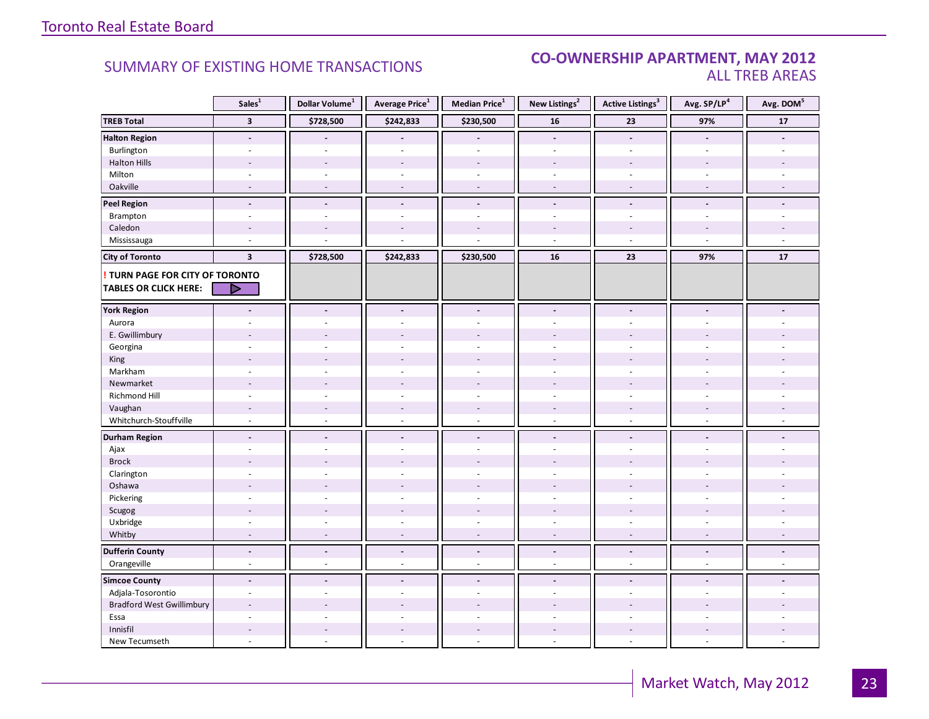#### **Industrial Leasing CO-OWNERSHIP APARTMENT, MAY 2012**<br>ALL TREB AREAS ALL TREB AREAS

|                                  | Sales <sup>1</sup>       | Dollar Volume <sup>1</sup> | Average Price <sup>1</sup> | Median Price <sup>1</sup> | New Listings <sup>2</sup> | <b>Active Listings<sup>3</sup></b> | Avg. SP/LP <sup>4</sup>      | Avg. DOM <sup>5</sup> |
|----------------------------------|--------------------------|----------------------------|----------------------------|---------------------------|---------------------------|------------------------------------|------------------------------|-----------------------|
| <b>TREB Total</b>                | $\overline{\mathbf{3}}$  | \$728,500                  | \$242,833                  | \$230,500                 | 16                        | 23                                 | 97%                          | ${\bf 17}$            |
| <b>Halton Region</b>             | $\overline{a}$           |                            |                            |                           | $\blacksquare$            | $\blacksquare$                     | $\overline{a}$               |                       |
| Burlington                       | ÷.                       |                            |                            |                           | $\overline{\phantom{a}}$  | $\sim$                             | ÷.                           |                       |
| <b>Halton Hills</b>              | $\overline{a}$           | $\sim$                     | $\overline{\phantom{a}}$   | ÷,                        | $\sim$                    | $\overline{a}$                     | $\overline{a}$               |                       |
| Milton                           | ÷.                       | $\sim$                     | $\sim$                     | $\overline{\phantom{a}}$  | $\sim$                    | $\sim$                             | ÷.                           |                       |
| Oakville                         | $\sim$                   | $\sim$                     | $\sim$                     | ÷.                        | $\sim$                    | $\sim$                             | $\sim$                       | $\sim$                |
| <b>Peel Region</b>               | $\overline{\phantom{a}}$ | $\overline{\phantom{a}}$   | $\overline{\phantom{a}}$   | $\frac{1}{2}$             | $\blacksquare$            | $\overline{\phantom{a}}$           | $\overline{\phantom{a}}$     |                       |
| Brampton                         | $\overline{\phantom{a}}$ | $\sim$                     | $\sim$                     | $\overline{\phantom{a}}$  | $\sim$                    | $\overline{\phantom{a}}$           | $\blacksquare$               |                       |
| Caledon                          | $\overline{a}$           |                            |                            |                           |                           |                                    |                              |                       |
| Mississauga                      |                          |                            |                            |                           | ÷,                        | $\overline{a}$                     |                              |                       |
| <b>City of Toronto</b>           | $\overline{\mathbf{3}}$  | \$728,500                  | \$242,833                  | \$230,500                 | 16                        | 23                                 | 97%                          | 17                    |
| ! TURN PAGE FOR CITY OF TORONTO  |                          |                            |                            |                           |                           |                                    |                              |                       |
| <b>TABLES OR CLICK HERE:</b>     | D                        |                            |                            |                           |                           |                                    |                              |                       |
|                                  |                          |                            |                            |                           |                           |                                    |                              |                       |
| <b>York Region</b>               | $\overline{a}$           | $\overline{\phantom{a}}$   | $\blacksquare$             | $\overline{a}$            | $\overline{a}$            | $\blacksquare$                     | $\overline{a}$               |                       |
| Aurora                           |                          |                            |                            | ÷.                        |                           |                                    |                              |                       |
| E. Gwillimbury                   |                          |                            |                            |                           |                           |                                    |                              |                       |
| Georgina                         |                          |                            |                            |                           |                           |                                    |                              |                       |
| King                             |                          |                            |                            |                           |                           |                                    |                              |                       |
| Markham                          | ÷,                       | $\sim$                     |                            | ÷,                        | $\overline{\phantom{a}}$  |                                    | ÷,                           |                       |
| Newmarket                        |                          |                            |                            |                           |                           |                                    |                              |                       |
| Richmond Hill                    |                          |                            |                            |                           |                           |                                    |                              |                       |
| Vaughan                          |                          | $\overline{\phantom{a}}$   | $\bar{a}$                  | $\overline{a}$            | $\overline{\phantom{a}}$  |                                    |                              |                       |
| Whitchurch-Stouffville           | $\sim$                   | ÷.                         | $\sim$                     | $\overline{a}$            | $\sim$                    | $\sim$                             | $\overline{a}$               |                       |
| <b>Durham Region</b>             | $\overline{a}$           | $\sim$                     | $\blacksquare$             | $\blacksquare$            | $\blacksquare$            | $\blacksquare$                     | $\blacksquare$               |                       |
| Ajax                             |                          |                            |                            | ÷,                        | $\sim$                    | $\sim$                             |                              |                       |
| <b>Brock</b>                     |                          |                            |                            |                           |                           |                                    |                              |                       |
| Clarington                       |                          |                            |                            |                           |                           |                                    |                              |                       |
| Oshawa                           |                          |                            |                            |                           |                           |                                    |                              |                       |
| Pickering                        | $\overline{a}$           | ÷,                         |                            | L.                        | $\overline{a}$            | $\overline{a}$                     | ÷.                           |                       |
| Scugog                           |                          |                            |                            |                           |                           |                                    |                              |                       |
| Uxbridge                         | ÷                        | ÷.                         | $\overline{a}$             | ÷.                        | ÷.                        | $\sim$                             | $\overline{a}$               |                       |
| Whitby                           | $\overline{\phantom{a}}$ | $\overline{\phantom{a}}$   | $\overline{a}$             | $\overline{a}$            | $\overline{\phantom{a}}$  | $\overline{\phantom{a}}$           | $\qquad \qquad \blacksquare$ |                       |
| <b>Dufferin County</b>           | ÷.                       | $\Box$                     | $\blacksquare$             | $\overline{a}$            | $\Box$                    | $\overline{a}$                     | $\overline{a}$               | ÷.                    |
| Orangeville                      | $\mathbf{r}$             | ÷.                         | $\sim$                     | ä,                        | $\overline{a}$            | $\sim$                             | $\overline{a}$               | $\sim$                |
| <b>Simcoe County</b>             | $\blacksquare$           | $\overline{a}$             | $\blacksquare$             | $\overline{a}$            | $\overline{a}$            | $\blacksquare$                     | $\overline{a}$               |                       |
| Adjala-Tosorontio                | ÷,                       |                            |                            |                           |                           |                                    |                              |                       |
| <b>Bradford West Gwillimbury</b> |                          |                            |                            |                           |                           |                                    |                              |                       |
| Essa                             | ÷                        |                            |                            | L                         | $\overline{a}$            | $\sim$                             | ÷                            |                       |
| Innisfil                         |                          |                            |                            |                           |                           |                                    |                              |                       |
| New Tecumseth                    | ÷                        | ÷.                         |                            |                           |                           |                                    | ÷,                           |                       |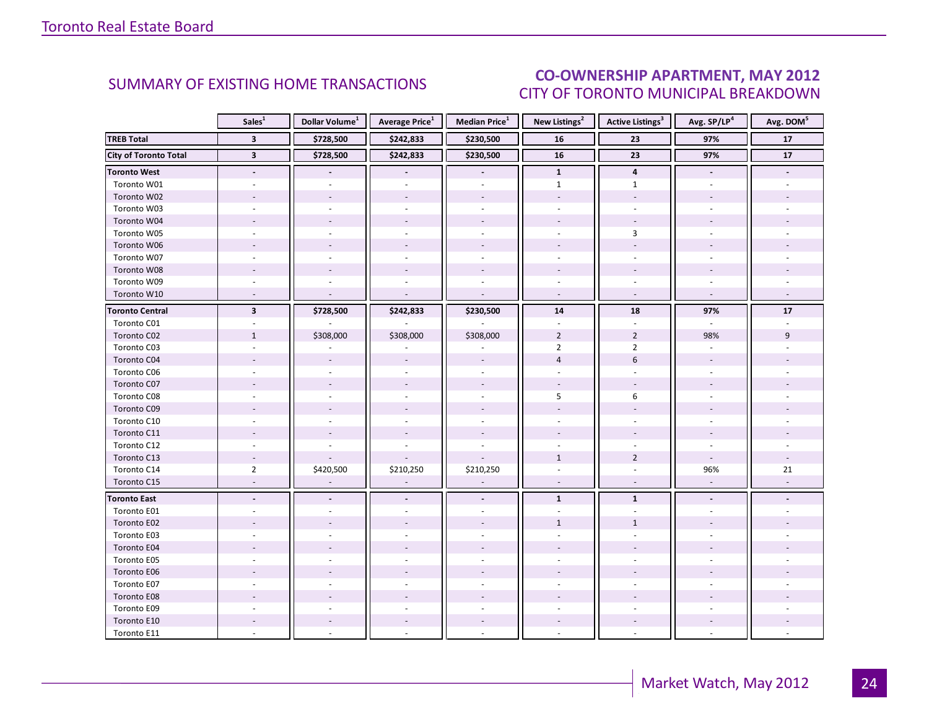#### **ENT MAY 2012** CITY OF TORONTO MUNICIPAL BREAKDOWN **CO-OWNERSHIP APARTMENT, MAY 2012**<br>CITY OF TOPONTO MUNICIPAL PREAKDOMAL

<span id="page-23-0"></span>

|                              | Sales <sup>1</sup>       | Dollar Volume <sup>1</sup> | <b>Average Price</b> <sup>1</sup> | <b>Median Price</b> <sup>1</sup> | New Listings <sup>2</sup> | <b>Active Listings<sup>3</sup></b> | Avg. SP/LP <sup>4</sup>     | Avg. DOM <sup>5</sup> |
|------------------------------|--------------------------|----------------------------|-----------------------------------|----------------------------------|---------------------------|------------------------------------|-----------------------------|-----------------------|
| <b>TREB Total</b>            | $\overline{\mathbf{3}}$  | \$728,500                  | \$242,833                         | \$230,500                        | 16                        | 23                                 | 97%                         | 17                    |
| <b>City of Toronto Total</b> | $\overline{\mathbf{3}}$  | \$728,500                  | \$242,833                         | \$230,500                        | 16                        | 23                                 | 97%                         | $17\,$                |
| <b>Toronto West</b>          | $\blacksquare$           |                            | $\blacksquare$                    | $\overline{\phantom{a}}$         | $\mathbf{1}$              | $\overline{\mathbf{4}}$            | $\overline{\phantom{a}}$    |                       |
| Toronto W01                  |                          |                            |                                   |                                  | $\mathbf{1}$              | $\mathbf{1}$                       |                             |                       |
| Toronto W02                  |                          |                            |                                   |                                  |                           | $\overline{a}$                     |                             |                       |
| Toronto W03                  | ÷.                       |                            |                                   | $\sim$                           | $\sim$                    | $\sim$                             |                             |                       |
| Toronto W04                  |                          |                            |                                   |                                  |                           |                                    |                             |                       |
| Toronto W05                  |                          |                            |                                   |                                  |                           | 3                                  |                             |                       |
| Toronto W06                  |                          |                            |                                   |                                  |                           |                                    |                             |                       |
| Toronto W07                  |                          |                            |                                   |                                  |                           |                                    |                             |                       |
| Toronto W08                  |                          |                            |                                   |                                  |                           |                                    |                             |                       |
| Toronto W09                  |                          |                            |                                   |                                  |                           |                                    |                             |                       |
| Toronto W10                  | $\sim$                   | $\sim$                     | $\mathbf{r}$                      | $\sim$                           | $\overline{\phantom{a}}$  | $\blacksquare$                     | $\omega$                    |                       |
| <b>Toronto Central</b>       | $\overline{\mathbf{3}}$  | \$728,500                  | \$242,833                         | \$230,500                        | 14                        | 18                                 | 97%                         | 17                    |
| Toronto C01                  |                          |                            |                                   |                                  |                           |                                    |                             |                       |
| Toronto C02                  | $\mathbf{1}$             | \$308,000                  | \$308,000                         | \$308,000                        | $\overline{2}$            | $\overline{2}$                     | 98%                         | 9                     |
| Toronto C03                  |                          |                            |                                   |                                  | $\overline{2}$            | $\overline{2}$                     |                             |                       |
| Toronto C04                  |                          |                            |                                   |                                  | $\overline{4}$            | $6\phantom{a}$                     |                             |                       |
| Toronto C06                  |                          |                            |                                   |                                  |                           |                                    |                             |                       |
| Toronto C07                  |                          |                            |                                   |                                  |                           |                                    |                             |                       |
| Toronto C08                  |                          |                            |                                   |                                  | 5                         | 6                                  |                             |                       |
| Toronto C09                  |                          |                            |                                   |                                  |                           |                                    |                             |                       |
| Toronto C10                  |                          |                            |                                   |                                  |                           |                                    |                             |                       |
| Toronto C11                  |                          |                            |                                   |                                  |                           |                                    |                             |                       |
| Toronto C12                  |                          |                            |                                   |                                  |                           |                                    |                             |                       |
| Toronto C13                  |                          |                            |                                   |                                  | $\mathbf{1}$              | $\overline{2}$                     |                             |                       |
| Toronto C14                  | $\overline{2}$           | \$420,500                  | \$210,250                         | \$210,250                        |                           |                                    | 96%                         | 21                    |
| Toronto C15                  | $\overline{\phantom{a}}$ | $\omega$                   | $\overline{\phantom{a}}$          | $\sim$                           | $\overline{\phantom{a}}$  | $\omega$                           | $\mathcal{L}_{\mathcal{A}}$ |                       |
| <b>Toronto East</b>          |                          |                            |                                   |                                  | $\mathbf{1}$              | $\mathbf{1}$                       |                             |                       |
| Toronto E01                  |                          |                            |                                   |                                  |                           |                                    |                             |                       |
| Toronto E02                  |                          |                            |                                   |                                  | $\mathbf{1}$              | $\mathbf{1}$                       |                             |                       |
| Toronto E03                  |                          |                            |                                   |                                  |                           |                                    |                             |                       |
| Toronto E04                  |                          |                            |                                   |                                  |                           |                                    |                             |                       |
| Toronto E05                  |                          |                            |                                   |                                  |                           |                                    |                             |                       |
| Toronto E06                  |                          |                            |                                   |                                  |                           |                                    |                             |                       |
| Toronto E07                  |                          |                            |                                   |                                  |                           |                                    |                             |                       |
| Toronto E08                  |                          |                            |                                   |                                  |                           |                                    |                             |                       |
| Toronto E09                  |                          |                            |                                   |                                  |                           |                                    |                             |                       |
| Toronto E10                  |                          |                            |                                   |                                  |                           |                                    |                             |                       |
| Toronto E11                  |                          |                            |                                   |                                  |                           |                                    |                             |                       |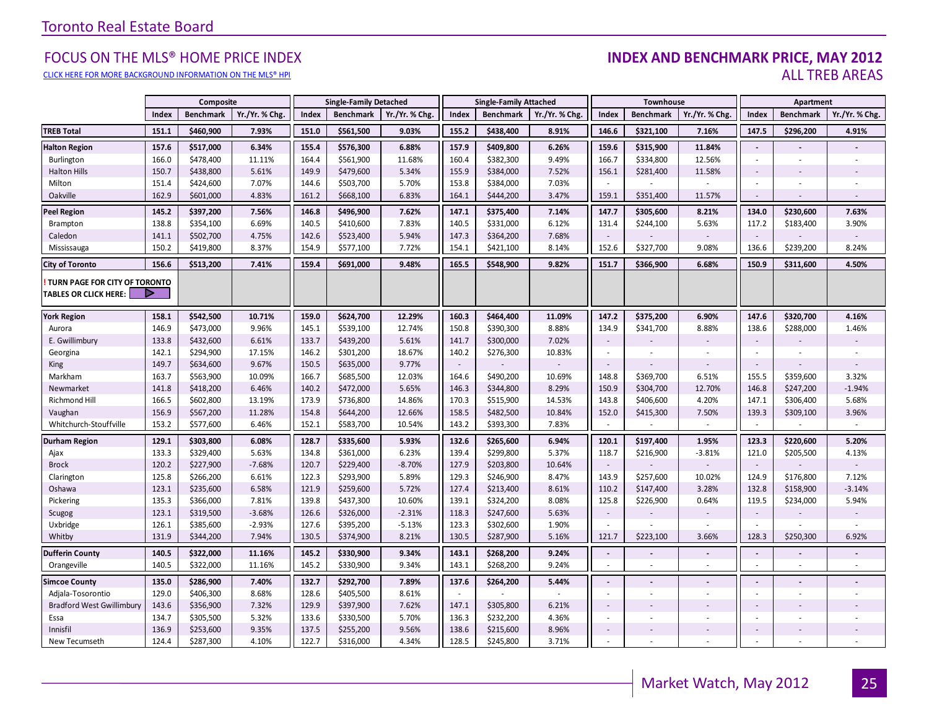#### FOCUS ON THE MLS® HOME PRICE INDEX **INDEX AND BENCHMARK PRICE, MAY 2012**<br>CLICK HERE FOR MORE BACKGROUND INFORMATION ON THE MIS® HPI CLICK HERE FOR MORE BACKGROUND INFORMATION ON THE MLS® HPI AND STATE OF THE STATE OF THE STATE OF THE STATE OF THE STATE OF THE STATE OF THE STATE OF THE STATE OF THE STATE OF THE STATE OF THE STATE OF THE STATE OF THE STA

|                                                               |       | Composite        |                |       | <b>Single-Family Detached</b> |               |                     | <b>Single-Family Attached</b> |                |                          | Townhouse        |                          |                          | Apartment        |                |
|---------------------------------------------------------------|-------|------------------|----------------|-------|-------------------------------|---------------|---------------------|-------------------------------|----------------|--------------------------|------------------|--------------------------|--------------------------|------------------|----------------|
|                                                               | Index | <b>Benchmark</b> | Yr./Yr. % Chg. | Index | <b>Benchmark</b>              | Yr./Yr. % Chg | Index               | <b>Benchmark</b>              | Yr./Yr. % Chg. | Index                    | <b>Benchmark</b> | Yr./Yr. % Chg            | Index                    | <b>Benchmark</b> | Yr./Yr. % Chg. |
| <b>TREB Total</b>                                             | 151.1 | \$460,900        | 7.93%          | 151.0 | \$561,500                     | 9.03%         | 155.2               | \$438,400                     | 8.91%          | 146.6                    | \$321,100        | 7.16%                    | 147.5                    | \$296,200        | 4.91%          |
| <b>Halton Region</b>                                          | 157.6 | \$517,000        | 6.34%          | 155.4 | \$576,300                     | 6.88%         | 157.9               | \$409,800                     | 6.26%          | 159.6                    | \$315,900        | 11.84%                   | $\blacksquare$           |                  |                |
| Burlington                                                    | 166.0 | \$478,400        | 11.11%         | 164.4 | \$561,900                     | 11.68%        | 160.4               | \$382,300                     | 9.49%          | 166.7                    | \$334,800        | 12.56%                   | $\overline{\phantom{a}}$ |                  |                |
| <b>Halton Hills</b>                                           | 150.7 | \$438,800        | 5.61%          | 149.9 | \$479,600                     | 5.34%         | 155.9               | \$384,000                     | 7.52%          | 156.1                    | \$281,400        | 11.58%                   |                          |                  |                |
| Milton                                                        | 151.4 | \$424,600        | 7.07%          | 144.6 | \$503,700                     | 5.70%         | 153.8               | \$384,000                     | 7.03%          | $\sim$                   |                  | ÷                        | $\sim$                   |                  |                |
| Oakville                                                      | 162.9 | \$601,000        | 4.83%          | 161.2 | \$668,100                     | 6.83%         | 164.1               | \$444,200                     | 3.47%          | 159.1                    | \$351,400        | 11.57%                   | $\sim$                   |                  |                |
| <b>Peel Region</b>                                            | 145.2 | \$397,200        | 7.56%          | 146.8 | \$496,900                     | 7.62%         | 147.1               | \$375,400                     | 7.14%          | 147.7                    | \$305,600        | 8.21%                    | 134.0                    | \$230,600        | 7.63%          |
| Brampton                                                      | 138.8 | \$354,100        | 6.69%          | 140.5 | \$410,600                     | 7.83%         | 140.5               | \$331,000                     | 6.12%          | 131.4                    | \$244,100        | 5.63%                    | 117.2                    | \$183,400        | 3.90%          |
| Caledon                                                       | 141.1 | \$502,700        | 4.75%          | 142.6 | \$523,400                     | 5.94%         | 147.3               | \$364,200                     | 7.68%          |                          |                  |                          | $\sim$                   |                  |                |
| Mississauga                                                   | 150.2 | \$419,800        | 8.37%          | 154.9 | \$577,100                     | 7.72%         | 154.1               | \$421,100                     | 8.14%          | 152.6                    | \$327,700        | 9.08%                    | 136.6                    | \$239,200        | 8.24%          |
| <b>City of Toronto</b>                                        | 156.6 | \$513,200        | 7.41%          | 159.4 | \$691,000                     | 9.48%         | 165.5               | \$548,900                     | 9.82%          | 151.7                    | \$366,900        | 6.68%                    | 150.9                    | \$311,600        | 4.50%          |
| TURN PAGE FOR CITY OF TORONTO<br><b>TABLES OR CLICK HERE:</b> |       |                  |                |       |                               |               |                     |                               |                |                          |                  |                          |                          |                  |                |
| <b>York Region</b>                                            | 158.1 | \$542,500        | 10.71%         | 159.0 | \$624,700                     | 12.29%        | 160.3               | \$464,400                     | 11.09%         | 147.2                    | \$375,200        | 6.90%                    | 147.6                    | \$320,700        | 4.16%          |
| Aurora                                                        | 146.9 | \$473,000        | 9.96%          | 145.1 | \$539,100                     | 12.74%        | 150.8               | \$390,300                     | 8.88%          | 134.9                    | \$341,700        | 8.88%                    | 138.6                    | \$288,000        | 1.46%          |
| E. Gwillimbury                                                | 133.8 | \$432,600        | 6.61%          | 133.7 | \$439,200                     | 5.61%         | 141.7               | \$300,000                     | 7.02%          | $\overline{\phantom{a}}$ |                  |                          | $\blacksquare$           |                  |                |
| Georgina                                                      | 142.1 | \$294,900        | 17.15%         | 146.2 | \$301,200                     | 18.67%        | 140.2               | \$276,300                     | 10.83%         | $\sim$                   |                  |                          | $\sim$                   |                  |                |
| King                                                          | 149.7 | \$634,600        | 9.67%          | 150.5 | \$635,000                     | 9.77%         | $\bar{\phantom{a}}$ |                               |                | $\overline{\phantom{a}}$ |                  |                          | $\blacksquare$           |                  |                |
| Markham                                                       | 163.7 | \$563,900        | 10.09%         | 166.7 | \$685,500                     | 12.03%        | 164.6               | \$490,200                     | 10.69%         | 148.8                    | \$369,700        | 6.51%                    | 155.5                    | \$359,600        | 3.32%          |
| Newmarket                                                     | 141.8 | \$418,200        | 6.46%          | 140.2 | \$472,000                     | 5.65%         | 146.3               | \$344,800                     | 8.29%          | 150.9                    | \$304,700        | 12.70%                   | 146.8                    | \$247,200        | $-1.94%$       |
| Richmond Hill                                                 | 166.5 | \$602,800        | 13.19%         | 173.9 | \$736,800                     | 14.86%        | 170.3               | \$515,900                     | 14.53%         | 143.8                    | \$406,600        | 4.20%                    | 147.1                    | \$306,400        | 5.68%          |
| Vaughan                                                       | 156.9 | \$567,200        | 11.28%         | 154.8 | \$644,200                     | 12.66%        | 158.5               | \$482,500                     | 10.84%         | 152.0                    | \$415,300        | 7.50%                    | 139.3                    | \$309,100        | 3.96%          |
| Whitchurch-Stouffville                                        | 153.2 | \$577,600        | 6.46%          | 152.1 | \$583,700                     | 10.54%        | 143.2               | \$393,300                     | 7.83%          |                          |                  | $\omega$                 | ÷                        |                  |                |
| <b>Durham Region</b>                                          | 129.1 | \$303,800        | 6.08%          | 128.7 | \$335,600                     | 5.93%         | 132.6               | \$265,600                     | 6.94%          | 120.1                    | \$197,400        | 1.95%                    | 123.3                    | \$220,600        | 5.20%          |
| Ajax                                                          | 133.3 | \$329,400        | 5.63%          | 134.8 | \$361,000                     | 6.23%         | 139.4               | \$299,800                     | 5.37%          | 118.7                    | \$216,900        | $-3.81%$                 | 121.0                    | \$205,500        | 4.13%          |
| <b>Brock</b>                                                  | 120.2 | \$227,900        | $-7.68%$       | 120.7 | \$229,400                     | $-8.70%$      | 127.9               | \$203,800                     | 10.64%         | $\sim$                   |                  |                          | $\sim$                   |                  |                |
| Clarington                                                    | 125.8 | \$266,200        | 6.61%          | 122.3 | \$293,900                     | 5.89%         | 129.3               | \$246,900                     | 8.47%          | 143.9                    | \$257,600        | 10.02%                   | 124.9                    | \$176,800        | 7.12%          |
| Oshawa                                                        | 123.1 | \$235,600        | 6.58%          | 121.9 | \$259,600                     | 5.72%         | 127.4               | \$213,400                     | 8.61%          | 110.2                    | \$147,400        | 3.28%                    | 132.8                    | \$158,900        | $-3.14%$       |
| Pickering                                                     | 135.3 | \$366,000        | 7.81%          | 139.8 | \$437,300                     | 10.60%        | 139.1               | \$324,200                     | 8.08%          | 125.8                    | \$226,900        | 0.64%                    | 119.5                    | \$234,000        | 5.94%          |
| Scugog                                                        | 123.1 | \$319,500        | $-3.68%$       | 126.6 | \$326,000                     | $-2.31%$      | 118.3               | \$247,600                     | 5.63%          | $\overline{\phantom{a}}$ |                  |                          |                          |                  |                |
| Uxbridge                                                      | 126.1 | \$385,600        | $-2.93%$       | 127.6 | \$395,200                     | $-5.13%$      | 123.3               | \$302,600                     | 1.90%          | $\sim$                   |                  | $\overline{\phantom{a}}$ |                          |                  | ×              |
| Whitby                                                        | 131.9 | \$344,200        | 7.94%          | 130.5 | \$374,900                     | 8.21%         | 130.5               | \$287,900                     | 5.16%          | 121.7                    | \$223,100        | 3.66%                    | 128.3                    | \$250,300        | 6.92%          |
| <b>Dufferin County</b>                                        | 140.5 | \$322,000        | 11.16%         | 145.2 | \$330,900                     | 9.34%         | 143.1               | \$268,200                     | 9.24%          | $\blacksquare$           |                  |                          | $\blacksquare$           |                  |                |
| Orangeville                                                   | 140.5 | \$322,000        | 11.16%         | 145.2 | \$330,900                     | 9.34%         | 143.1               | \$268,200                     | 9.24%          | $\sim$                   | $\sim$           | $\sim$                   |                          | $\sim$           |                |
| <b>Simcoe County</b>                                          | 135.0 | \$286,900        | 7.40%          | 132.7 | \$292,700                     | 7.89%         | 137.6               | \$264,200                     | 5.44%          | $\overline{\phantom{a}}$ |                  |                          | $\blacksquare$           |                  |                |
| Adjala-Tosorontio                                             | 129.0 | \$406,300        | 8.68%          | 128.6 | \$405,500                     | 8.61%         | $\sim$              |                               |                | $\overline{\phantom{a}}$ |                  |                          |                          |                  |                |
| <b>Bradford West Gwillimbury</b>                              | 143.6 | \$356,900        | 7.32%          | 129.9 | \$397,900                     | 7.62%         | 147.1               | \$305,800                     | 6.21%          | $\overline{\phantom{a}}$ |                  |                          | $\sim$                   |                  |                |
| Essa                                                          | 134.7 | \$305,500        | 5.32%          | 133.6 | \$330,500                     | 5.70%         | 136.3               | \$232,200                     | 4.36%          | $\overline{\phantom{a}}$ |                  | $\blacksquare$           | $\overline{\phantom{a}}$ |                  |                |
| Innisfil                                                      | 136.9 | \$253,600        | 9.35%          | 137.5 | \$255,200                     | 9.56%         | 138.6               | \$215,600                     | 8.96%          | $\overline{\phantom{a}}$ |                  |                          | $\sim$                   |                  |                |
| New Tecumseth                                                 | 124.4 | \$287,300        | 4.10%          | 122.7 | \$316,000                     | 4.34%         | 128.5               | \$245,800                     | 3.71%          | $\sim$                   |                  |                          |                          |                  |                |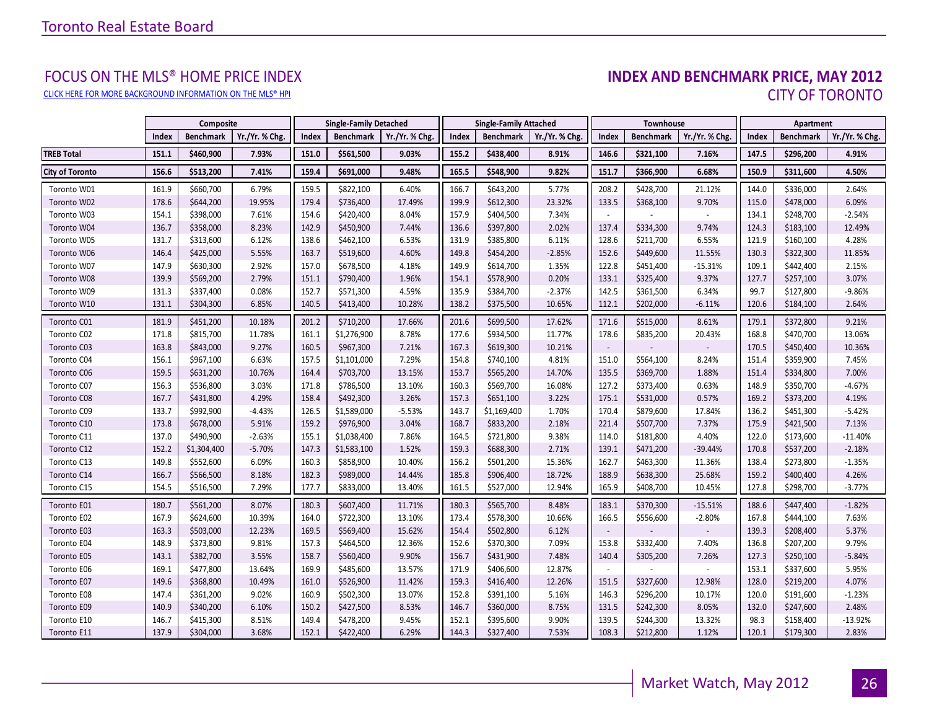# FOCUS ON THE MLS® HOME PRICE INDEX<br>INDEX AND BENCHMARK PRICE, MAY 2012 CLICK HERE FOR MORE BACKGROUND INFORMATION ON THE MLS® HPI CITY OF TORONTO

<span id="page-25-0"></span>

|                        |       | Composite        |                |       | <b>Single-Family Detached</b> |                |       | <b>Single-Family Attached</b> |                |                          | Townhouse        |               |       | Apartment        |                |
|------------------------|-------|------------------|----------------|-------|-------------------------------|----------------|-------|-------------------------------|----------------|--------------------------|------------------|---------------|-------|------------------|----------------|
|                        | Index | <b>Benchmark</b> | Yr./Yr. % Chg. | Index | Benchmark                     | Yr./Yr. % Chg. | Index | <b>Benchmark</b>              | Yr./Yr. % Chg. | Index                    | <b>Benchmark</b> | Yr./Yr. % Chg | Index | <b>Benchmark</b> | Yr./Yr. % Chg. |
| <b>TREB Total</b>      | 151.1 | \$460,900        | 7.93%          | 151.0 | \$561,500                     | 9.03%          | 155.2 | \$438,400                     | 8.91%          | 146.6                    | \$321,100        | 7.16%         | 147.5 | \$296,200        | 4.91%          |
| <b>City of Toronto</b> | 156.6 | \$513,200        | 7.41%          | 159.4 | \$691,000                     | 9.48%          | 165.5 | \$548,900                     | 9.82%          | 151.7                    | \$366,900        | 6.68%         | 150.9 | \$311,600        | 4.50%          |
| Toronto W01            | 161.9 | \$660,700        | 6.79%          | 159.5 | \$822,100                     | 6.40%          | 166.7 | \$643,200                     | 5.77%          | 208.2                    | \$428,700        | 21.12%        | 144.0 | \$336,000        | 2.64%          |
| Toronto W02            | 178.6 | \$644,200        | 19.95%         | 179.4 | \$736,400                     | 17.49%         | 199.9 | \$612,300                     | 23.32%         | 133.5                    | \$368,100        | 9.70%         | 115.0 | \$478,000        | 6.09%          |
| Toronto W03            | 154.1 | \$398,000        | 7.61%          | 154.6 | \$420,400                     | 8.04%          | 157.9 | \$404,500                     | 7.34%          | $\overline{\phantom{a}}$ |                  |               | 134.1 | \$248,700        | $-2.54%$       |
| Toronto W04            | 136.7 | \$358,000        | 8.23%          | 142.9 | \$450,900                     | 7.44%          | 136.6 | \$397,800                     | 2.02%          | 137.4                    | \$334,300        | 9.74%         | 124.3 | \$183,100        | 12.49%         |
| Toronto W05            | 131.7 | \$313,600        | 6.12%          | 138.6 | \$462,100                     | 6.53%          | 131.9 | \$385,800                     | 6.11%          | 128.6                    | \$211,700        | 6.55%         | 121.9 | \$160,100        | 4.28%          |
| Toronto W06            | 146.4 | \$425,000        | 5.55%          | 163.7 | \$519,600                     | 4.60%          | 149.8 | \$454,200                     | $-2.85%$       | 152.6                    | \$449,600        | 11.55%        | 130.3 | \$322,300        | 11.85%         |
| Toronto W07            | 147.9 | \$630,300        | 2.92%          | 157.0 | \$678,500                     | 4.18%          | 149.9 | \$614,700                     | 1.35%          | 122.8                    | \$451,400        | $-15.31%$     | 109.1 | \$442,400        | 2.15%          |
| Toronto W08            | 139.9 | \$569,200        | 2.79%          | 151.1 | \$790,400                     | 1.96%          | 154.1 | \$578,900                     | 0.20%          | 133.1                    | \$325,400        | 9.37%         | 127.7 | \$257,100        | 3.07%          |
| Toronto W09            | 131.3 | \$337,400        | 0.08%          | 152.7 | \$571,300                     | 4.59%          | 135.9 | \$384,700                     | $-2.37%$       | 142.5                    | \$361,500        | 6.34%         | 99.7  | \$127,800        | $-9.86%$       |
| Toronto W10            | 131.1 | \$304,300        | 6.85%          | 140.5 | \$413,400                     | 10.28%         | 138.2 | \$375,500                     | 10.65%         | 112.1                    | \$202,000        | $-6.11%$      | 120.6 | \$184,100        | 2.64%          |
| Toronto C01            | 181.9 | \$451,200        | 10.18%         | 201.2 | \$710,200                     | 17.66%         | 201.6 | \$699,500                     | 17.62%         | 171.6                    | \$515,000        | 8.61%         | 179.1 | \$372,800        | 9.21%          |
| Toronto C02            | 171.8 | \$815,700        | 11.78%         | 161.1 | \$1,276,900                   | 8.78%          | 177.6 | \$934,500                     | 11.77%         | 178.6                    | \$835,200        | 20.43%        | 168.8 | \$470,700        | 13.06%         |
| Toronto C03            | 163.8 | \$843,000        | 9.27%          | 160.5 | \$967,300                     | 7.21%          | 167.3 | \$619,300                     | 10.21%         | $\overline{\phantom{a}}$ |                  |               | 170.5 | \$450,400        | 10.36%         |
| Toronto C04            | 156.1 | \$967,100        | 6.63%          | 157.5 | \$1,101,000                   | 7.29%          | 154.8 | \$740,100                     | 4.81%          | 151.0                    | \$564,100        | 8.24%         | 151.4 | \$359,900        | 7.45%          |
| Toronto C06            | 159.5 | \$631,200        | 10.76%         | 164.4 | \$703,700                     | 13.15%         | 153.7 | \$565,200                     | 14.70%         | 135.5                    | \$369,700        | 1.88%         | 151.4 | \$334,800        | 7.00%          |
| Toronto C07            | 156.3 | \$536,800        | 3.03%          | 171.8 | \$786,500                     | 13.10%         | 160.3 | \$569,700                     | 16.08%         | 127.2                    | \$373,400        | 0.63%         | 148.9 | \$350,700        | $-4.67%$       |
| Toronto C08            | 167.7 | \$431,800        | 4.29%          | 158.4 | \$492,300                     | 3.26%          | 157.3 | \$651,100                     | 3.22%          | 175.1                    | \$531,000        | 0.57%         | 169.2 | \$373,200        | 4.19%          |
| Toronto C09            | 133.7 | \$992,900        | $-4.43%$       | 126.5 | \$1,589,000                   | $-5.53%$       | 143.7 | \$1,169,400                   | 1.70%          | 170.4                    | \$879,600        | 17.84%        | 136.2 | \$451,300        | $-5.42%$       |
| Toronto C10            | 173.8 | \$678,000        | 5.91%          | 159.2 | \$976,900                     | 3.04%          | 168.7 | \$833,200                     | 2.18%          | 221.4                    | \$507,700        | 7.37%         | 175.9 | \$421,500        | 7.13%          |
| Toronto C11            | 137.0 | \$490,900        | $-2.63%$       | 155.1 | \$1,038,400                   | 7.86%          | 164.5 | \$721,800                     | 9.38%          | 114.0                    | \$181,800        | 4.40%         | 122.0 | \$173,600        | $-11.40%$      |
| Toronto C12            | 152.2 | \$1,304,400      | $-5.70%$       | 147.3 | \$1,583,100                   | 1.52%          | 159.3 | \$688,300                     | 2.71%          | 139.1                    | \$471,200        | $-39.44%$     | 170.8 | \$537,200        | $-2.18%$       |
| Toronto C13            | 149.8 | \$552,600        | 6.09%          | 160.3 | \$858,900                     | 10.40%         | 156.2 | \$501,200                     | 15.36%         | 162.7                    | \$463,300        | 11.36%        | 138.4 | \$273,800        | $-1.35%$       |
| Toronto C14            | 166.7 | \$566,500        | 8.18%          | 182.3 | \$989,000                     | 14.44%         | 185.8 | \$906,400                     | 18.72%         | 188.9                    | \$638,300        | 25.68%        | 159.2 | \$400,400        | 4.26%          |
| Toronto C15            | 154.5 | \$516,500        | 7.29%          | 177.7 | \$833,000                     | 13.40%         | 161.5 | \$527,000                     | 12.94%         | 165.9                    | \$408,700        | 10.45%        | 127.8 | \$298,700        | $-3.77%$       |
| Toronto E01            | 180.7 | \$561,200        | 8.07%          | 180.3 | \$607,400                     | 11.71%         | 180.3 | \$565,700                     | 8.48%          | 183.1                    | \$370,300        | $-15.51%$     | 188.6 | \$447,400        | $-1.82%$       |
| Toronto E02            | 167.9 | \$624,600        | 10.39%         | 164.0 | \$722,300                     | 13.10%         | 173.4 | \$578,300                     | 10.66%         | 166.5                    | \$556,600        | $-2.80%$      | 167.8 | \$444,100        | 7.63%          |
| Toronto E03            | 163.3 | \$503,000        | 12.23%         | 169.5 | \$569,400                     | 15.62%         | 154.4 | \$502,800                     | 6.12%          | $\overline{\phantom{a}}$ |                  |               | 139.3 | \$208,400        | 5.37%          |
| Toronto E04            | 148.9 | \$373,800        | 9.81%          | 157.3 | \$464,500                     | 12.36%         | 152.6 | \$370,300                     | 7.09%          | 153.8                    | \$332,400        | 7.40%         | 136.8 | \$207,200        | 9.79%          |
| Toronto E05            | 143.1 | \$382,700        | 3.55%          | 158.7 | \$560,400                     | 9.90%          | 156.7 | \$431,900                     | 7.48%          | 140.4                    | \$305,200        | 7.26%         | 127.3 | \$250,100        | $-5.84%$       |
| Toronto E06            | 169.1 | \$477,800        | 13.64%         | 169.9 | \$485,600                     | 13.57%         | 171.9 | \$406,600                     | 12.87%         |                          |                  |               | 153.1 | \$337,600        | 5.95%          |
| Toronto E07            | 149.6 | \$368,800        | 10.49%         | 161.0 | \$526,900                     | 11.42%         | 159.3 | \$416,400                     | 12.26%         | 151.5                    | \$327,600        | 12.98%        | 128.0 | \$219,200        | 4.07%          |
| Toronto E08            | 147.4 | \$361,200        | 9.02%          | 160.9 | \$502,300                     | 13.07%         | 152.8 | \$391,100                     | 5.16%          | 146.3                    | \$296,200        | 10.17%        | 120.0 | \$191,600        | $-1.23%$       |
| Toronto E09            | 140.9 | \$340,200        | 6.10%          | 150.2 | \$427,500                     | 8.53%          | 146.7 | \$360,000                     | 8.75%          | 131.5                    | \$242,300        | 8.05%         | 132.0 | \$247,600        | 2.48%          |
| Toronto E10            | 146.7 | \$415,300        | 8.51%          | 149.4 | \$478,200                     | 9.45%          | 152.1 | \$395,600                     | 9.90%          | 139.5                    | \$244,300        | 13.32%        | 98.3  | \$158,400        | $-13.92%$      |
| Toronto E11            | 137.9 | \$304,000        | 3.68%          | 152.1 | \$422,400                     | 6.29%          | 144.3 | \$327,400                     | 7.53%          | 108.3                    | \$212,800        | 1.12%         | 120.1 | \$179,300        | 2.83%          |